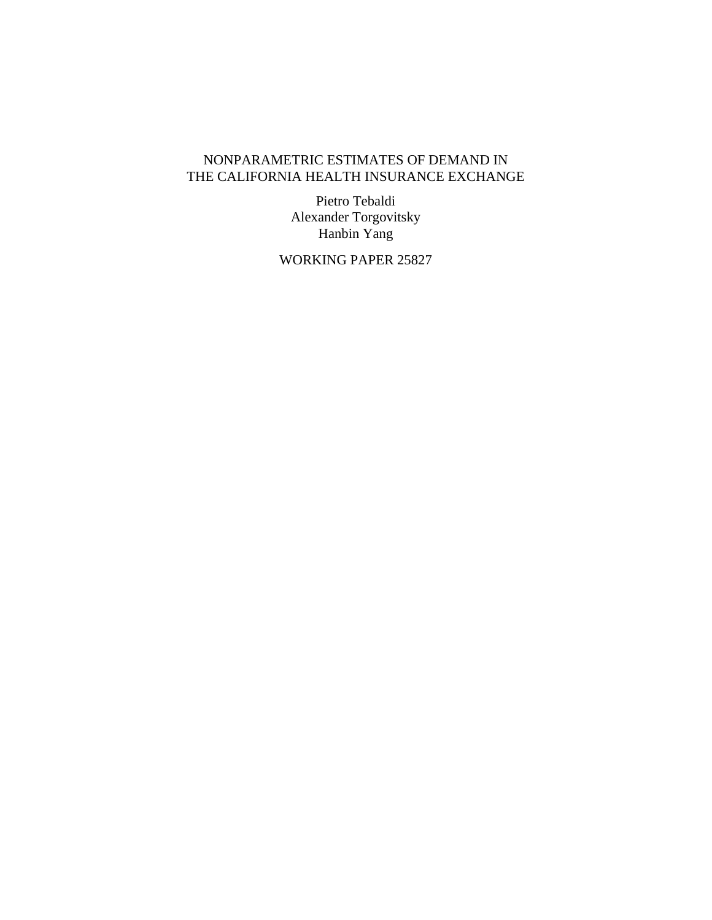# NONPARAMETRIC ESTIMATES OF DEMAND IN THE CALIFORNIA HEALTH INSURANCE EXCHANGE

Pietro Tebaldi Alexander Torgovitsky Hanbin Yang

WORKING PAPER 25827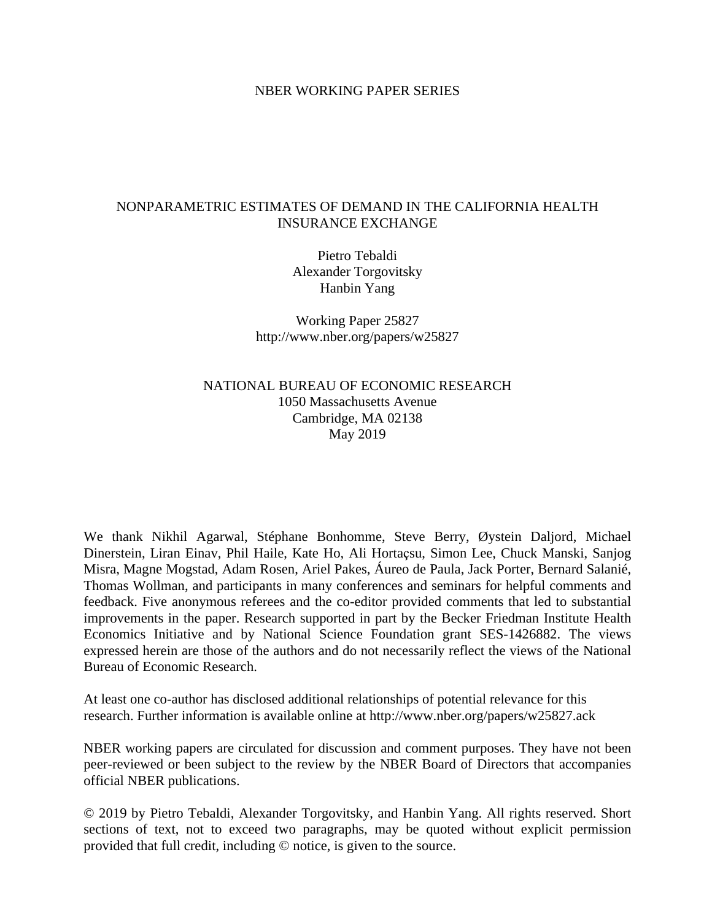### NBER WORKING PAPER SERIES

### NONPARAMETRIC ESTIMATES OF DEMAND IN THE CALIFORNIA HEALTH INSURANCE EXCHANGE

Pietro Tebaldi Alexander Torgovitsky Hanbin Yang

Working Paper 25827 http://www.nber.org/papers/w25827

## NATIONAL BUREAU OF ECONOMIC RESEARCH 1050 Massachusetts Avenue Cambridge, MA 02138 May 2019

We thank Nikhil Agarwal, Stéphane Bonhomme, Steve Berry, Øystein Daljord, Michael Dinerstein, Liran Einav, Phil Haile, Kate Ho, Ali Hortaçsu, Simon Lee, Chuck Manski, Sanjog Misra, Magne Mogstad, Adam Rosen, Ariel Pakes, Áureo de Paula, Jack Porter, Bernard Salanié, Thomas Wollman, and participants in many conferences and seminars for helpful comments and feedback. Five anonymous referees and the co-editor provided comments that led to substantial improvements in the paper. Research supported in part by the Becker Friedman Institute Health Economics Initiative and by National Science Foundation grant SES-1426882. The views expressed herein are those of the authors and do not necessarily reflect the views of the National Bureau of Economic Research.

At least one co-author has disclosed additional relationships of potential relevance for this research. Further information is available online at http://www.nber.org/papers/w25827.ack

NBER working papers are circulated for discussion and comment purposes. They have not been peer-reviewed or been subject to the review by the NBER Board of Directors that accompanies official NBER publications.

© 2019 by Pietro Tebaldi, Alexander Torgovitsky, and Hanbin Yang. All rights reserved. Short sections of text, not to exceed two paragraphs, may be quoted without explicit permission provided that full credit, including © notice, is given to the source.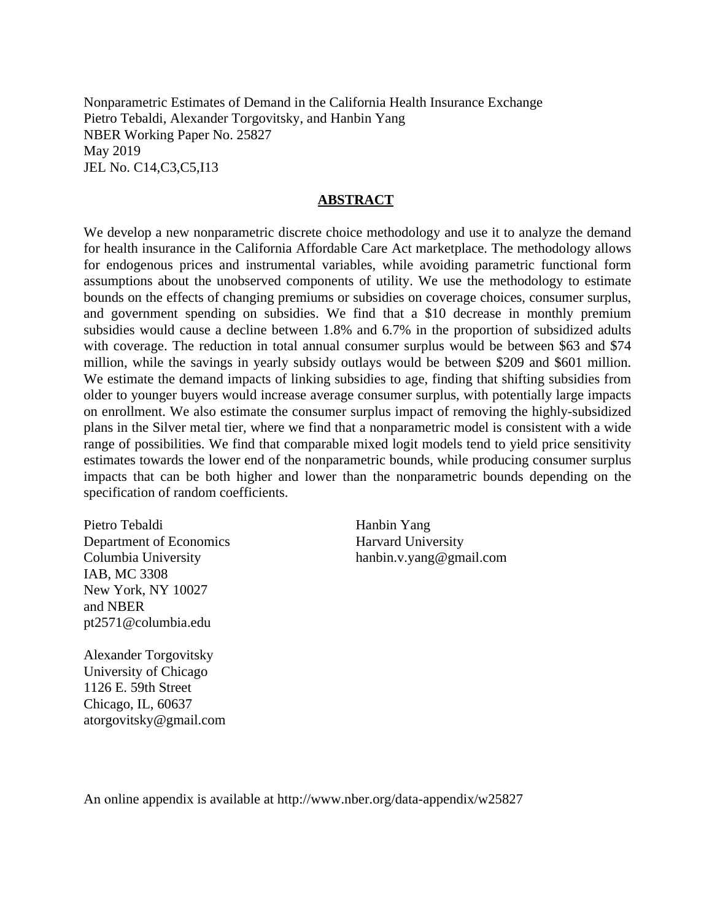Nonparametric Estimates of Demand in the California Health Insurance Exchange Pietro Tebaldi, Alexander Torgovitsky, and Hanbin Yang NBER Working Paper No. 25827 May 2019 JEL No. C14,C3,C5,I13

### **ABSTRACT**

We develop a new nonparametric discrete choice methodology and use it to analyze the demand for health insurance in the California Affordable Care Act marketplace. The methodology allows for endogenous prices and instrumental variables, while avoiding parametric functional form assumptions about the unobserved components of utility. We use the methodology to estimate bounds on the effects of changing premiums or subsidies on coverage choices, consumer surplus, and government spending on subsidies. We find that a \$10 decrease in monthly premium subsidies would cause a decline between 1.8% and 6.7% in the proportion of subsidized adults with coverage. The reduction in total annual consumer surplus would be between \$63 and \$74 million, while the savings in yearly subsidy outlays would be between \$209 and \$601 million. We estimate the demand impacts of linking subsidies to age, finding that shifting subsidies from older to younger buyers would increase average consumer surplus, with potentially large impacts on enrollment. We also estimate the consumer surplus impact of removing the highly-subsidized plans in the Silver metal tier, where we find that a nonparametric model is consistent with a wide range of possibilities. We find that comparable mixed logit models tend to yield price sensitivity estimates towards the lower end of the nonparametric bounds, while producing consumer surplus impacts that can be both higher and lower than the nonparametric bounds depending on the specification of random coefficients.

Pietro Tebaldi Department of Economics Columbia University IAB, MC 3308 New York, NY 10027 and NBER pt2571@columbia.edu

Alexander Torgovitsky University of Chicago 1126 E. 59th Street Chicago, IL, 60637 atorgovitsky@gmail.com

Hanbin Yang Harvard University hanbin.v.yang@gmail.com

An online appendix is available at http://www.nber.org/data-appendix/w25827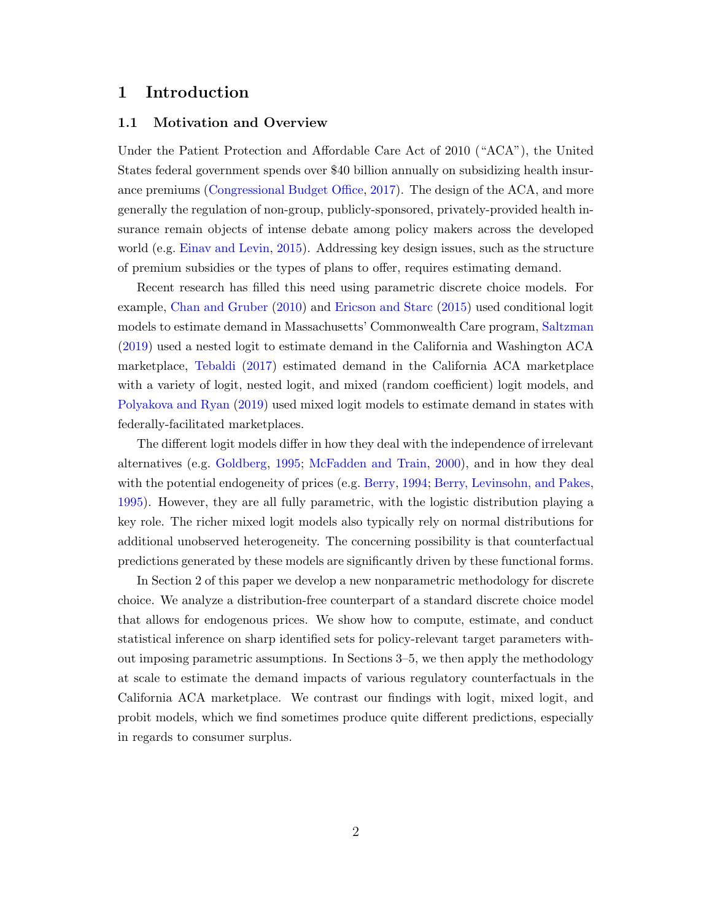## <span id="page-3-1"></span><span id="page-3-0"></span>1 Introduction

#### 1.1 Motivation and Overview

Under the Patient Protection and Affordable Care Act of 2010 ("ACA"), the United States federal government spends over \$40 billion annually on subsidizing health insurance premiums [\(Congressional Budget Office,](#page-42-0) [2017\)](#page-42-0). The design of the ACA, and more generally the regulation of non-group, publicly-sponsored, privately-provided health insurance remain objects of intense debate among policy makers across the developed world (e.g. [Einav and Levin,](#page-42-1) [2015\)](#page-42-1). Addressing key design issues, such as the structure of premium subsidies or the types of plans to offer, requires estimating demand.

Recent research has filled this need using parametric discrete choice models. For example, [Chan and Gruber](#page-41-0) [\(2010\)](#page-41-0) and [Ericson and Starc](#page-43-0) [\(2015\)](#page-43-0) used conditional logit models to estimate demand in Massachusetts' Commonwealth Care program, [Saltzman](#page-46-0) [\(2019\)](#page-46-0) used a nested logit to estimate demand in the California and Washington ACA marketplace, [Tebaldi](#page-46-1) [\(2017\)](#page-46-1) estimated demand in the California ACA marketplace with a variety of logit, nested logit, and mixed (random coefficient) logit models, and [Polyakova and Ryan](#page-45-0) [\(2019\)](#page-45-0) used mixed logit models to estimate demand in states with federally-facilitated marketplaces.

The different logit models differ in how they deal with the independence of irrelevant alternatives (e.g. [Goldberg,](#page-43-1) [1995;](#page-43-1) [McFadden and Train,](#page-44-0) [2000\)](#page-44-0), and in how they deal with the potential endogeneity of prices (e.g. [Berry,](#page-41-1) [1994;](#page-41-1) [Berry, Levinsohn, and Pakes,](#page-41-2) [1995\)](#page-41-2). However, they are all fully parametric, with the logistic distribution playing a key role. The richer mixed logit models also typically rely on normal distributions for additional unobserved heterogeneity. The concerning possibility is that counterfactual predictions generated by these models are significantly driven by these functional forms.

In Section [2](#page-9-0) of this paper we develop a new nonparametric methodology for discrete choice. We analyze a distribution-free counterpart of a standard discrete choice model that allows for endogenous prices. We show how to compute, estimate, and conduct statistical inference on sharp identified sets for policy-relevant target parameters without imposing parametric assumptions. In Sections [3–](#page-20-0)[5,](#page-34-0) we then apply the methodology at scale to estimate the demand impacts of various regulatory counterfactuals in the California ACA marketplace. We contrast our findings with logit, mixed logit, and probit models, which we find sometimes produce quite different predictions, especially in regards to consumer surplus.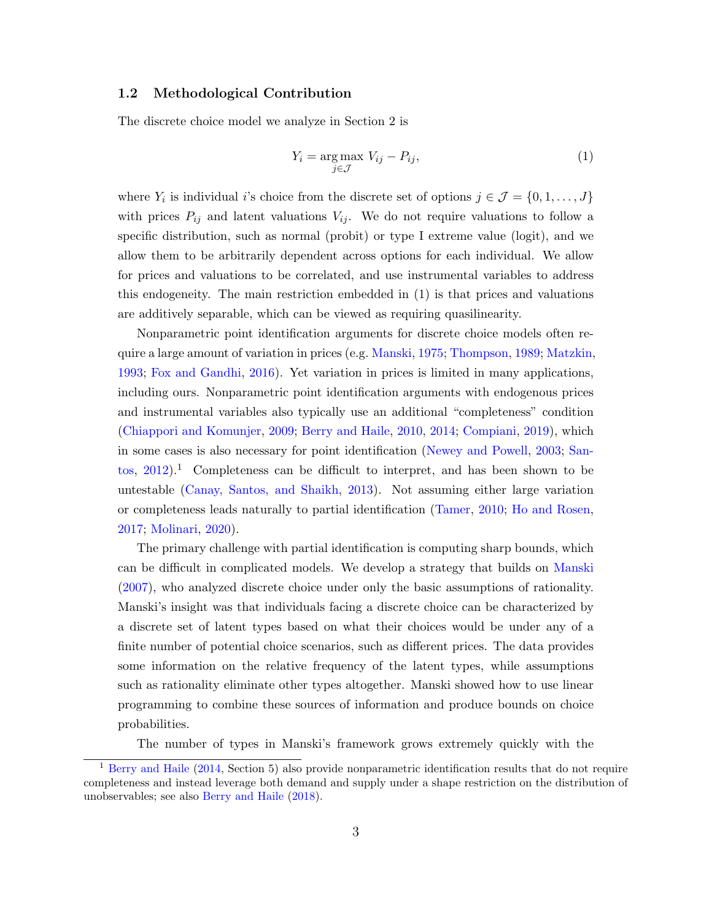### <span id="page-4-2"></span>1.2 Methodological Contribution

The discrete choice model we analyze in Section [2](#page-9-0) is

<span id="page-4-0"></span>
$$
Y_i = \underset{j \in \mathcal{J}}{\text{arg max}} \ V_{ij} - P_{ij},\tag{1}
$$

where  $Y_i$  is individual *i*'s choice from the discrete set of options  $j \in \mathcal{J} = \{0, 1, \ldots, J\}$ with prices  $P_{ij}$  and latent valuations  $V_{ij}$ . We do not require valuations to follow a specific distribution, such as normal (probit) or type I extreme value (logit), and we allow them to be arbitrarily dependent across options for each individual. We allow for prices and valuations to be correlated, and use instrumental variables to address this endogeneity. The main restriction embedded in [\(1\)](#page-4-0) is that prices and valuations are additively separable, which can be viewed as requiring quasilinearity.

Nonparametric point identification arguments for discrete choice models often require a large amount of variation in prices (e.g. [Manski,](#page-44-1) [1975;](#page-44-1) [Thompson,](#page-46-2) [1989;](#page-46-2) [Matzkin,](#page-44-2) [1993;](#page-44-2) [Fox and Gandhi,](#page-43-2) [2016\)](#page-43-2). Yet variation in prices is limited in many applications, including ours. Nonparametric point identification arguments with endogenous prices and instrumental variables also typically use an additional "completeness" condition [\(Chiappori and Komunjer,](#page-42-2) [2009;](#page-42-2) [Berry and Haile,](#page-41-3) [2010,](#page-41-3) [2014;](#page-41-4) [Compiani,](#page-42-3) [2019\)](#page-42-3), which in some cases is also necessary for point identification [\(Newey and Powell,](#page-45-1) [2003;](#page-45-1) [San](#page-46-3)[tos,](#page-46-3)  $2012$  $2012$  $2012$ ).<sup>1</sup> Completeness can be difficult to interpret, and has been shown to be untestable [\(Canay, Santos, and Shaikh,](#page-41-5) [2013\)](#page-41-5). Not assuming either large variation or completeness leads naturally to partial identification [\(Tamer,](#page-46-4) [2010;](#page-46-4) [Ho and Rosen,](#page-43-3) [2017;](#page-43-3) [Molinari,](#page-45-2) [2020\)](#page-45-2).

The primary challenge with partial identification is computing sharp bounds, which can be difficult in complicated models. We develop a strategy that builds on [Manski](#page-44-3) [\(2007\)](#page-44-3), who analyzed discrete choice under only the basic assumptions of rationality. Manski's insight was that individuals facing a discrete choice can be characterized by a discrete set of latent types based on what their choices would be under any of a finite number of potential choice scenarios, such as different prices. The data provides some information on the relative frequency of the latent types, while assumptions such as rationality eliminate other types altogether. Manski showed how to use linear programming to combine these sources of information and produce bounds on choice probabilities.

The number of types in Manski's framework grows extremely quickly with the

<span id="page-4-1"></span><sup>&</sup>lt;sup>1</sup> [Berry and Haile](#page-41-4) [\(2014,](#page-41-4) Section 5) also provide nonparametric identification results that do not require completeness and instead leverage both demand and supply under a shape restriction on the distribution of unobservables; see also [Berry and Haile](#page-41-6) [\(2018\)](#page-41-6).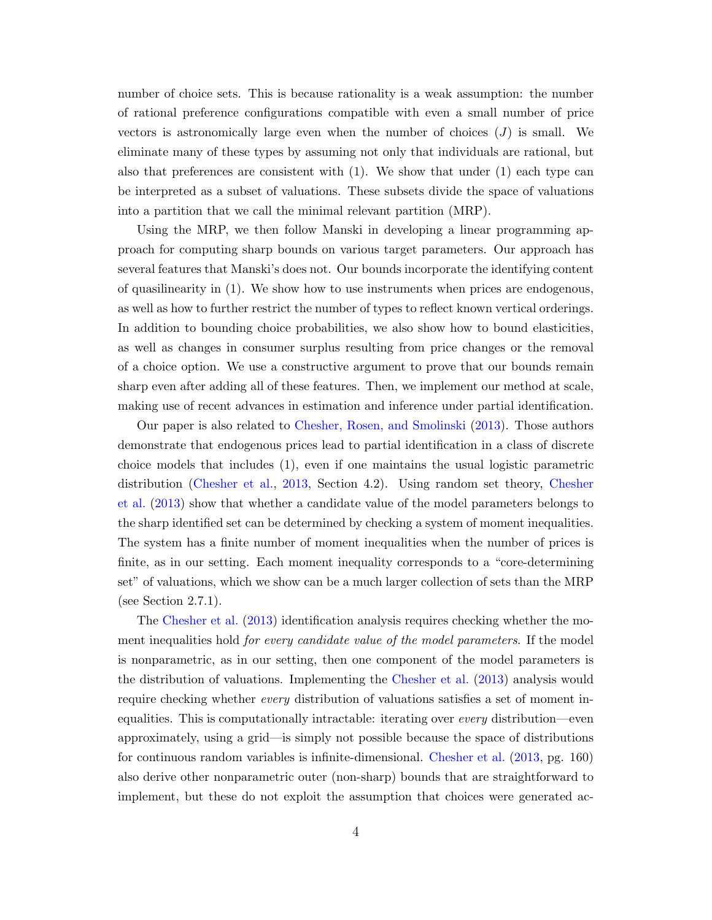<span id="page-5-0"></span>number of choice sets. This is because rationality is a weak assumption: the number of rational preference configurations compatible with even a small number of price vectors is astronomically large even when the number of choices  $(J)$  is small. We eliminate many of these types by assuming not only that individuals are rational, but also that preferences are consistent with  $(1)$ . We show that under  $(1)$  each type can be interpreted as a subset of valuations. These subsets divide the space of valuations into a partition that we call the minimal relevant partition (MRP).

Using the MRP, we then follow Manski in developing a linear programming approach for computing sharp bounds on various target parameters. Our approach has several features that Manski's does not. Our bounds incorporate the identifying content of quasilinearity in [\(1\)](#page-4-0). We show how to use instruments when prices are endogenous, as well as how to further restrict the number of types to reflect known vertical orderings. In addition to bounding choice probabilities, we also show how to bound elasticities, as well as changes in consumer surplus resulting from price changes or the removal of a choice option. We use a constructive argument to prove that our bounds remain sharp even after adding all of these features. Then, we implement our method at scale, making use of recent advances in estimation and inference under partial identification.

Our paper is also related to [Chesher, Rosen, and Smolinski](#page-42-4) [\(2013\)](#page-42-4). Those authors demonstrate that endogenous prices lead to partial identification in a class of discrete choice models that includes [\(1\)](#page-4-0), even if one maintains the usual logistic parametric distribution [\(Chesher et al.,](#page-42-4) [2013,](#page-42-4) Section 4.2). Using random set theory, [Chesher](#page-42-4) [et al.](#page-42-4) [\(2013\)](#page-42-4) show that whether a candidate value of the model parameters belongs to the sharp identified set can be determined by checking a system of moment inequalities. The system has a finite number of moment inequalities when the number of prices is finite, as in our setting. Each moment inequality corresponds to a "core-determining set" of valuations, which we show can be a much larger collection of sets than the MRP (see Section [2.7.1\)](#page-14-0).

The [Chesher et al.](#page-42-4) [\(2013\)](#page-42-4) identification analysis requires checking whether the moment inequalities hold *for every candidate value of the model parameters*. If the model is nonparametric, as in our setting, then one component of the model parameters is the distribution of valuations. Implementing the [Chesher et al.](#page-42-4) [\(2013\)](#page-42-4) analysis would require checking whether *every* distribution of valuations satisfies a set of moment inequalities. This is computationally intractable: iterating over every distribution—even approximately, using a grid—is simply not possible because the space of distributions for continuous random variables is infinite-dimensional. [Chesher et al.](#page-42-4) [\(2013,](#page-42-4) pg. 160) also derive other nonparametric outer (non-sharp) bounds that are straightforward to implement, but these do not exploit the assumption that choices were generated ac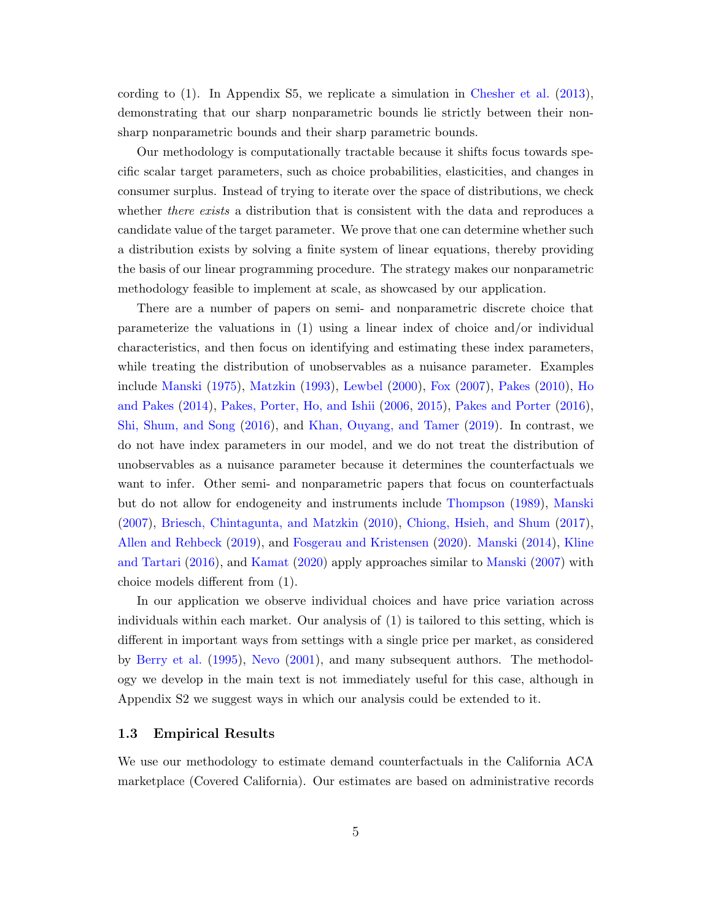<span id="page-6-0"></span>cording to [\(1\)](#page-4-0). In Appendix [S5,](#page-34-0) we replicate a simulation in [Chesher et al.](#page-42-4) [\(2013\)](#page-42-4), demonstrating that our sharp nonparametric bounds lie strictly between their nonsharp nonparametric bounds and their sharp parametric bounds.

Our methodology is computationally tractable because it shifts focus towards specific scalar target parameters, such as choice probabilities, elasticities, and changes in consumer surplus. Instead of trying to iterate over the space of distributions, we check whether *there exists* a distribution that is consistent with the data and reproduces a candidate value of the target parameter. We prove that one can determine whether such a distribution exists by solving a finite system of linear equations, thereby providing the basis of our linear programming procedure. The strategy makes our nonparametric methodology feasible to implement at scale, as showcased by our application.

There are a number of papers on semi- and nonparametric discrete choice that parameterize the valuations in [\(1\)](#page-4-0) using a linear index of choice and/or individual characteristics, and then focus on identifying and estimating these index parameters, while treating the distribution of unobservables as a nuisance parameter. Examples include [Manski](#page-44-1) [\(1975\)](#page-44-1), [Matzkin](#page-44-2) [\(1993\)](#page-44-2), [Lewbel](#page-44-4) [\(2000\)](#page-44-4), [Fox](#page-43-4) [\(2007\)](#page-43-4), [Pakes](#page-45-3) [\(2010\)](#page-45-3), [Ho](#page-43-5) [and Pakes](#page-43-5) [\(2014\)](#page-43-5), [Pakes, Porter, Ho, and Ishii](#page-45-4) [\(2006,](#page-45-4) [2015\)](#page-45-5), [Pakes and Porter](#page-45-6) [\(2016\)](#page-45-6), [Shi, Shum, and Song](#page-46-5) [\(2016\)](#page-46-5), and [Khan, Ouyang, and Tamer](#page-44-5) [\(2019\)](#page-44-5). In contrast, we do not have index parameters in our model, and we do not treat the distribution of unobservables as a nuisance parameter because it determines the counterfactuals we want to infer. Other semi- and nonparametric papers that focus on counterfactuals but do not allow for endogeneity and instruments include [Thompson](#page-46-2) [\(1989\)](#page-46-2), [Manski](#page-44-3) [\(2007\)](#page-44-3), [Briesch, Chintagunta, and Matzkin](#page-41-7) [\(2010\)](#page-41-7), [Chiong, Hsieh, and Shum](#page-42-5) [\(2017\)](#page-42-5), [Allen and Rehbeck](#page-41-8) [\(2019\)](#page-41-8), and [Fosgerau and Kristensen](#page-43-6) [\(2020\)](#page-43-6). [Manski](#page-44-6) [\(2014\)](#page-44-6), [Kline](#page-44-7) [and Tartari](#page-44-7) [\(2016\)](#page-44-7), and [Kamat](#page-44-8) [\(2020\)](#page-44-8) apply approaches similar to [Manski](#page-44-3) [\(2007\)](#page-44-3) with choice models different from [\(1\)](#page-4-0).

In our application we observe individual choices and have price variation across individuals within each market. Our analysis of [\(1\)](#page-4-0) is tailored to this setting, which is different in important ways from settings with a single price per market, as considered by [Berry et al.](#page-41-2) [\(1995\)](#page-41-2), [Nevo](#page-45-7) [\(2001\)](#page-45-7), and many subsequent authors. The methodology we develop in the main text is not immediately useful for this case, although in Appendix [S2](#page-9-0) we suggest ways in which our analysis could be extended to it.

#### 1.3 Empirical Results

We use our methodology to estimate demand counterfactuals in the California ACA marketplace (Covered California). Our estimates are based on administrative records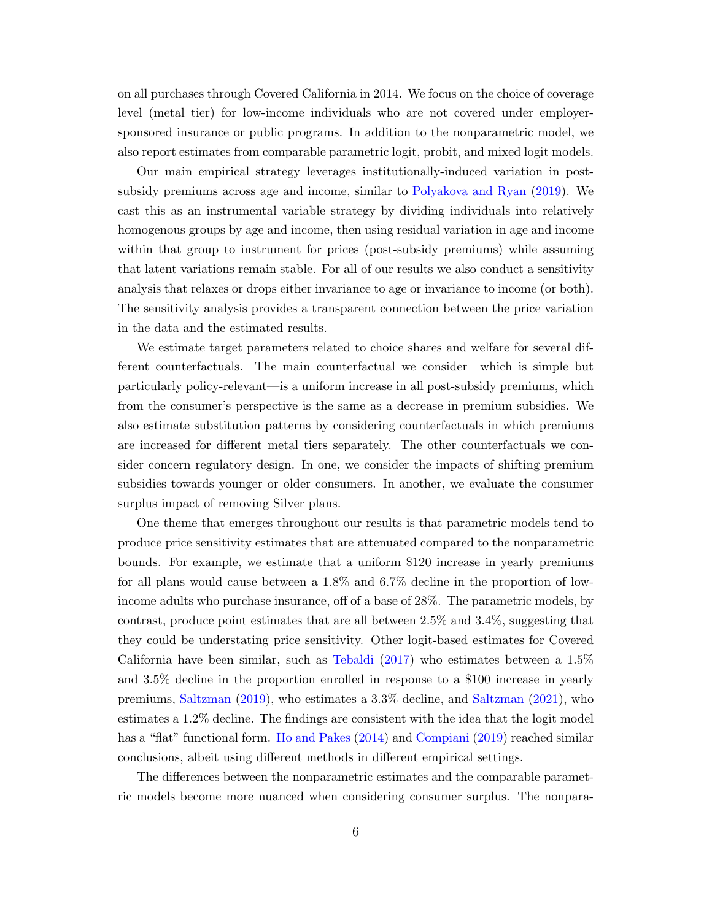<span id="page-7-0"></span>on all purchases through Covered California in 2014. We focus on the choice of coverage level (metal tier) for low-income individuals who are not covered under employersponsored insurance or public programs. In addition to the nonparametric model, we also report estimates from comparable parametric logit, probit, and mixed logit models.

Our main empirical strategy leverages institutionally-induced variation in postsubsidy premiums across age and income, similar to [Polyakova and Ryan](#page-45-0) [\(2019\)](#page-45-0). We cast this as an instrumental variable strategy by dividing individuals into relatively homogenous groups by age and income, then using residual variation in age and income within that group to instrument for prices (post-subsidy premiums) while assuming that latent variations remain stable. For all of our results we also conduct a sensitivity analysis that relaxes or drops either invariance to age or invariance to income (or both). The sensitivity analysis provides a transparent connection between the price variation in the data and the estimated results.

We estimate target parameters related to choice shares and welfare for several different counterfactuals. The main counterfactual we consider—which is simple but particularly policy-relevant—is a uniform increase in all post-subsidy premiums, which from the consumer's perspective is the same as a decrease in premium subsidies. We also estimate substitution patterns by considering counterfactuals in which premiums are increased for different metal tiers separately. The other counterfactuals we consider concern regulatory design. In one, we consider the impacts of shifting premium subsidies towards younger or older consumers. In another, we evaluate the consumer surplus impact of removing Silver plans.

One theme that emerges throughout our results is that parametric models tend to produce price sensitivity estimates that are attenuated compared to the nonparametric bounds. For example, we estimate that a uniform \$120 increase in yearly premiums for all plans would cause between a 1.8% and 6.7% decline in the proportion of lowincome adults who purchase insurance, off of a base of 28%. The parametric models, by contrast, produce point estimates that are all between 2.5% and 3.4%, suggesting that they could be understating price sensitivity. Other logit-based estimates for Covered California have been similar, such as [Tebaldi](#page-46-1) [\(2017\)](#page-46-1) who estimates between a 1.5% and 3.5% decline in the proportion enrolled in response to a \$100 increase in yearly premiums, [Saltzman](#page-46-0) [\(2019\)](#page-46-0), who estimates a 3.3% decline, and [Saltzman](#page-46-6) [\(2021\)](#page-46-6), who estimates a 1.2% decline. The findings are consistent with the idea that the logit model has a "flat" functional form. [Ho and Pakes](#page-43-5) [\(2014\)](#page-43-5) and [Compiani](#page-42-3) [\(2019\)](#page-42-3) reached similar conclusions, albeit using different methods in different empirical settings.

The differences between the nonparametric estimates and the comparable parametric models become more nuanced when considering consumer surplus. The nonpara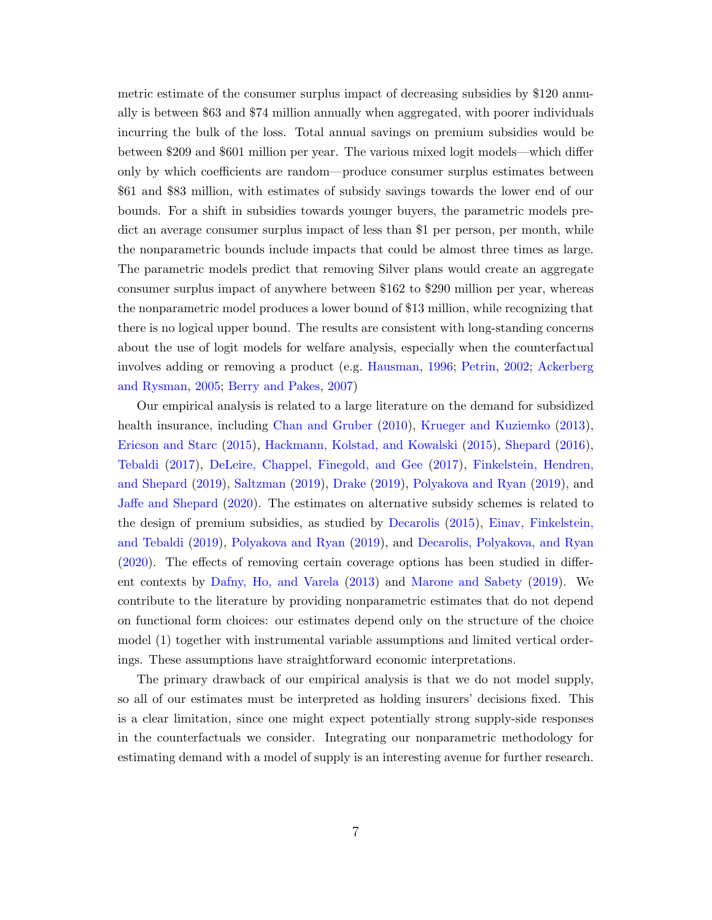<span id="page-8-0"></span>metric estimate of the consumer surplus impact of decreasing subsidies by \$120 annually is between \$63 and \$74 million annually when aggregated, with poorer individuals incurring the bulk of the loss. Total annual savings on premium subsidies would be between \$209 and \$601 million per year. The various mixed logit models—which differ only by which coefficients are random—produce consumer surplus estimates between \$61 and \$83 million, with estimates of subsidy savings towards the lower end of our bounds. For a shift in subsidies towards younger buyers, the parametric models predict an average consumer surplus impact of less than \$1 per person, per month, while the nonparametric bounds include impacts that could be almost three times as large. The parametric models predict that removing Silver plans would create an aggregate consumer surplus impact of anywhere between \$162 to \$290 million per year, whereas the nonparametric model produces a lower bound of \$13 million, while recognizing that there is no logical upper bound. The results are consistent with long-standing concerns about the use of logit models for welfare analysis, especially when the counterfactual involves adding or removing a product (e.g. [Hausman,](#page-43-7) [1996;](#page-43-7) [Petrin,](#page-45-8) [2002;](#page-45-8) [Ackerberg](#page-41-9) [and Rysman,](#page-41-9) [2005;](#page-41-9) [Berry and Pakes,](#page-41-10) [2007\)](#page-41-10)

Our empirical analysis is related to a large literature on the demand for subsidized health insurance, including [Chan and Gruber](#page-41-0) [\(2010\)](#page-41-0), [Krueger and Kuziemko](#page-44-9) [\(2013\)](#page-44-9), [Ericson and Starc](#page-43-0) [\(2015\)](#page-43-0), [Hackmann, Kolstad, and Kowalski](#page-43-8) [\(2015\)](#page-43-8), [Shepard](#page-46-7) [\(2016\)](#page-46-7), [Tebaldi](#page-46-1) [\(2017\)](#page-46-1), [DeLeire, Chappel, Finegold, and Gee](#page-42-6) [\(2017\)](#page-42-6), [Finkelstein, Hendren,](#page-43-9) [and Shepard](#page-43-9) [\(2019\)](#page-43-9), [Saltzman](#page-46-0) [\(2019\)](#page-46-0), [Drake](#page-42-7) [\(2019\)](#page-42-7), [Polyakova and Ryan](#page-45-0) [\(2019\)](#page-45-0), and [Jaffe and Shepard](#page-44-10) [\(2020\)](#page-44-10). The estimates on alternative subsidy schemes is related to the design of premium subsidies, as studied by [Decarolis](#page-42-8) [\(2015\)](#page-42-8), [Einav, Finkelstein,](#page-42-9) [and Tebaldi](#page-42-9) [\(2019\)](#page-42-9), [Polyakova and Ryan](#page-45-0) [\(2019\)](#page-45-0), and [Decarolis, Polyakova, and Ryan](#page-42-10) [\(2020\)](#page-42-10). The effects of removing certain coverage options has been studied in different contexts by [Dafny, Ho, and Varela](#page-42-11) [\(2013\)](#page-42-11) and [Marone and Sabety](#page-44-11) [\(2019\)](#page-44-11). We contribute to the literature by providing nonparametric estimates that do not depend on functional form choices: our estimates depend only on the structure of the choice model [\(1\)](#page-4-0) together with instrumental variable assumptions and limited vertical orderings. These assumptions have straightforward economic interpretations.

The primary drawback of our empirical analysis is that we do not model supply, so all of our estimates must be interpreted as holding insurers' decisions fixed. This is a clear limitation, since one might expect potentially strong supply-side responses in the counterfactuals we consider. Integrating our nonparametric methodology for estimating demand with a model of supply is an interesting avenue for further research.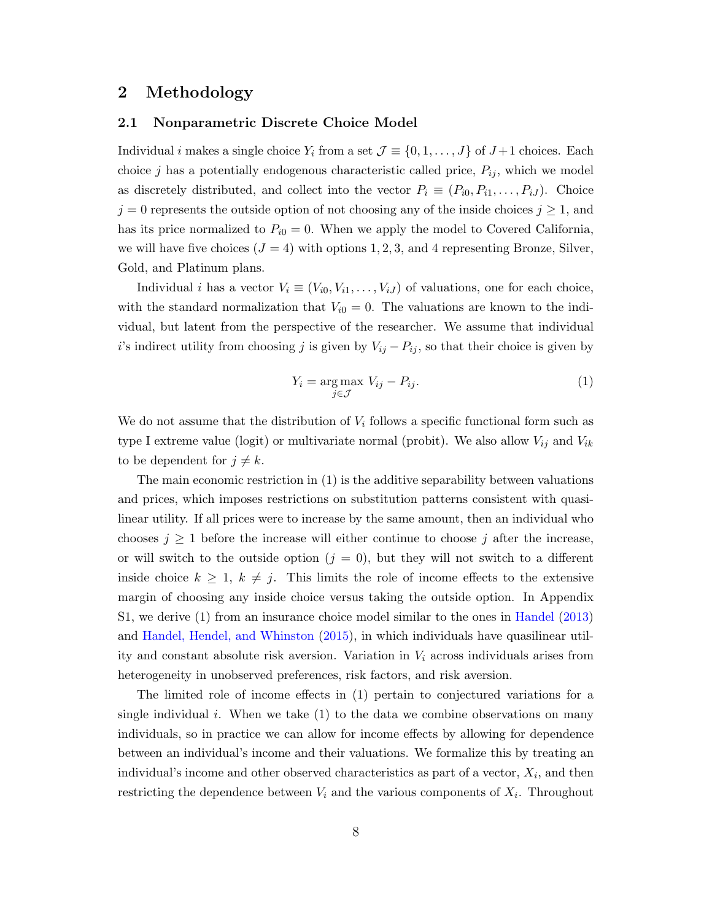## <span id="page-9-1"></span><span id="page-9-0"></span>2 Methodology

#### 2.1 Nonparametric Discrete Choice Model

Individual i makes a single choice  $Y_i$  from a set  $\mathcal{J} \equiv \{0, 1, \ldots, J\}$  of  $J+1$  choices. Each choice j has a potentially endogenous characteristic called price,  $P_{ij}$ , which we model as discretely distributed, and collect into the vector  $P_i \equiv (P_{i0}, P_{i1}, \ldots, P_{iJ})$ . Choice  $j = 0$  represents the outside option of not choosing any of the inside choices  $j \geq 1$ , and has its price normalized to  $P_{i0} = 0$ . When we apply the model to Covered California, we will have five choices  $(J = 4)$  with options 1, 2, 3, and 4 representing Bronze, Silver, Gold, and Platinum plans.

Individual *i* has a vector  $V_i \equiv (V_{i0}, V_{i1}, \ldots, V_{iJ})$  of valuations, one for each choice, with the standard normalization that  $V_{i0} = 0$ . The valuations are known to the individual, but latent from the perspective of the researcher. We assume that individual i's indirect utility from choosing j is given by  $V_{ij} - P_{ij}$ , so that their choice is given by

$$
Y_i = \underset{j \in \mathcal{J}}{\text{arg max}} \ V_{ij} - P_{ij}.\tag{1}
$$

We do not assume that the distribution of  $V_i$  follows a specific functional form such as type I extreme value (logit) or multivariate normal (probit). We also allow  $V_{ij}$  and  $V_{ik}$ to be dependent for  $j \neq k$ .

The main economic restriction in [\(1\)](#page-4-0) is the additive separability between valuations and prices, which imposes restrictions on substitution patterns consistent with quasilinear utility. If all prices were to increase by the same amount, then an individual who chooses  $j \geq 1$  before the increase will either continue to choose j after the increase, or will switch to the outside option  $(j = 0)$ , but they will not switch to a different inside choice  $k \geq 1$ ,  $k \neq j$ . This limits the role of income effects to the extensive margin of choosing any inside choice versus taking the outside option. In Appendix [S1,](#page-3-0) we derive [\(1\)](#page-4-0) from an insurance choice model similar to the ones in [Handel](#page-43-10) [\(2013\)](#page-43-10) and [Handel, Hendel, and Whinston](#page-43-11) [\(2015\)](#page-43-11), in which individuals have quasilinear utility and constant absolute risk aversion. Variation in  $V_i$  across individuals arises from heterogeneity in unobserved preferences, risk factors, and risk aversion.

The limited role of income effects in [\(1\)](#page-4-0) pertain to conjectured variations for a single individual  $i$ . When we take  $(1)$  to the data we combine observations on many individuals, so in practice we can allow for income effects by allowing for dependence between an individual's income and their valuations. We formalize this by treating an individual's income and other observed characteristics as part of a vector,  $X_i$ , and then restricting the dependence between  $V_i$  and the various components of  $X_i$ . Throughout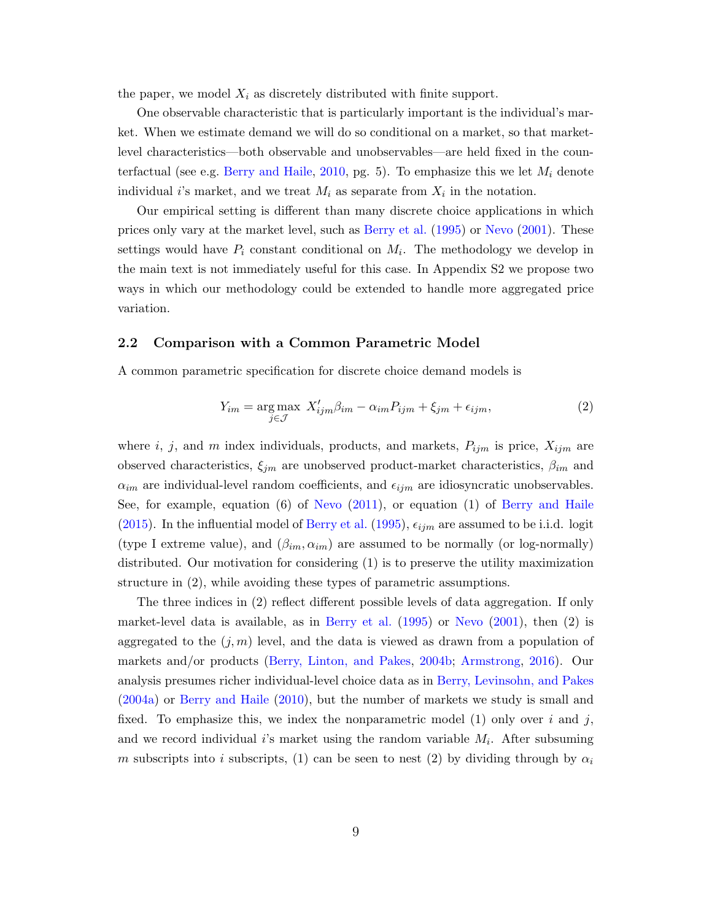<span id="page-10-1"></span>the paper, we model  $X_i$  as discretely distributed with finite support.

One observable characteristic that is particularly important is the individual's market. When we estimate demand we will do so conditional on a market, so that marketlevel characteristics—both observable and unobservables—are held fixed in the coun-terfactual (see e.g. [Berry and Haile,](#page-41-3) [2010,](#page-41-3) pg. 5). To emphasize this we let  $M_i$  denote individual *i*'s market, and we treat  $M_i$  as separate from  $X_i$  in the notation.

Our empirical setting is different than many discrete choice applications in which prices only vary at the market level, such as [Berry et al.](#page-41-2) [\(1995\)](#page-41-2) or [Nevo](#page-45-7) [\(2001\)](#page-45-7). These settings would have  $P_i$  constant conditional on  $M_i$ . The methodology we develop in the main text is not immediately useful for this case. In Appendix [S2](#page-9-0) we propose two ways in which our methodology could be extended to handle more aggregated price variation.

#### 2.2 Comparison with a Common Parametric Model

A common parametric specification for discrete choice demand models is

<span id="page-10-0"></span>
$$
Y_{im} = \underset{j \in \mathcal{J}}{\arg \max} \ X'_{ijm} \beta_{im} - \alpha_{im} P_{ijm} + \xi_{jm} + \epsilon_{ijm}, \tag{2}
$$

where i, j, and m index individuals, products, and markets,  $P_{ijm}$  is price,  $X_{ijm}$  are observed characteristics,  $\xi_{jm}$  are unobserved product-market characteristics,  $\beta_{im}$  and  $\alpha_{im}$  are individual-level random coefficients, and  $\epsilon_{ijm}$  are idiosyncratic unobservables. See, for example, equation (6) of [Nevo](#page-45-9) [\(2011\)](#page-45-9), or equation (1) of [Berry and Haile](#page-41-11) [\(2015\)](#page-41-11). In the influential model of [Berry et al.](#page-41-2) [\(1995\)](#page-41-2),  $\epsilon_{ijm}$  are assumed to be i.i.d. logit (type I extreme value), and  $(\beta_{im}, \alpha_{im})$  are assumed to be normally (or log-normally) distributed. Our motivation for considering [\(1\)](#page-4-0) is to preserve the utility maximization structure in [\(2\)](#page-10-0), while avoiding these types of parametric assumptions.

The three indices in [\(2\)](#page-10-0) reflect different possible levels of data aggregation. If only market-level data is available, as in [Berry et al.](#page-41-2) [\(1995\)](#page-41-2) or [Nevo](#page-45-7) [\(2001\)](#page-45-7), then [\(2\)](#page-10-0) is aggregated to the  $(j, m)$  level, and the data is viewed as drawn from a population of markets and/or products [\(Berry, Linton, and Pakes,](#page-41-12) [2004b;](#page-41-12) [Armstrong,](#page-41-13) [2016\)](#page-41-13). Our analysis presumes richer individual-level choice data as in [Berry, Levinsohn, and Pakes](#page-41-14) [\(2004a\)](#page-41-14) or [Berry and Haile](#page-41-3) [\(2010\)](#page-41-3), but the number of markets we study is small and fixed. To emphasize this, we index the nonparametric model [\(1\)](#page-4-0) only over i and j, and we record individual *i*'s market using the random variable  $M_i$ . After subsuming m subscripts into i subscripts, [\(1\)](#page-4-0) can be seen to nest [\(2\)](#page-10-0) by dividing through by  $\alpha_i$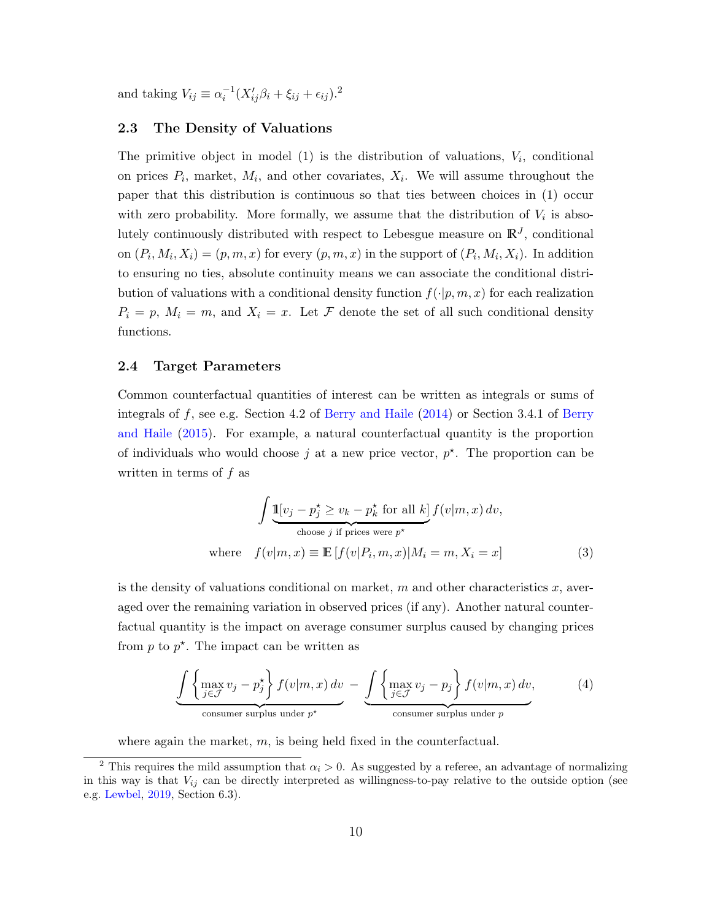<span id="page-11-3"></span>and taking  $V_{ij} \equiv \alpha_i^{-1} (X'_{ij} \beta_i + \xi_{ij} + \epsilon_{ij}).^2$  $V_{ij} \equiv \alpha_i^{-1} (X'_{ij} \beta_i + \xi_{ij} + \epsilon_{ij}).^2$ 

### 2.3 The Density of Valuations

The primitive object in model  $(1)$  is the distribution of valuations,  $V_i$ , conditional on prices  $P_i$ , market,  $M_i$ , and other covariates,  $X_i$ . We will assume throughout the paper that this distribution is continuous so that ties between choices in [\(1\)](#page-4-0) occur with zero probability. More formally, we assume that the distribution of  $V_i$  is absolutely continuously distributed with respect to Lebesgue measure on  $\mathbb{R}^J$ , conditional on  $(P_i, M_i, X_i) = (p, m, x)$  for every  $(p, m, x)$  in the support of  $(P_i, M_i, X_i)$ . In addition to ensuring no ties, absolute continuity means we can associate the conditional distribution of valuations with a conditional density function  $f(\cdot|p, m, x)$  for each realization  $P_i = p$ ,  $M_i = m$ , and  $X_i = x$ . Let  $\mathcal F$  denote the set of all such conditional density functions.

#### 2.4 Target Parameters

Common counterfactual quantities of interest can be written as integrals or sums of integrals of  $f$ , see e.g. Section 4.2 of [Berry and Haile](#page-41-4) [\(2014\)](#page-41-4) or Section 3.4.1 of [Berry](#page-41-11) [and Haile](#page-41-11) [\(2015\)](#page-41-11). For example, a natural counterfactual quantity is the proportion of individuals who would choose j at a new price vector,  $p^*$ . The proportion can be written in terms of  $f$  as

<span id="page-11-1"></span>
$$
\int \underbrace{\mathbb{1}[v_j - p_j^* \ge v_k - p_k^* \text{ for all } k]}_{\text{choose } j \text{ if prices were } p^*} f(v|m, x) dv,
$$
  
where 
$$
f(v|m, x) \equiv \mathbb{E}[f(v|P_i, m, x)|M_i = m, X_i = x]
$$
(3)

is the density of valuations conditional on market,  $m$  and other characteristics  $x$ , averaged over the remaining variation in observed prices (if any). Another natural counterfactual quantity is the impact on average consumer surplus caused by changing prices from  $p$  to  $p^*$ . The impact can be written as

<span id="page-11-2"></span>
$$
\underbrace{\int \left\{ \max_{j \in \mathcal{J}} v_j - p_j^{\star} \right\} f(v|m, x) dv}_{\text{consumer surplus under } p^{\star}} - \underbrace{\int \left\{ \max_{j \in \mathcal{J}} v_j - p_j \right\} f(v|m, x) dv}_{\text{consumer surplus under } p}, \tag{4}
$$

where again the market,  $m$ , is being held fixed in the counterfactual.

<span id="page-11-0"></span><sup>&</sup>lt;sup>2</sup> This requires the mild assumption that  $\alpha_i > 0$ . As suggested by a referee, an advantage of normalizing in this way is that  $V_{ij}$  can be directly interpreted as willingness-to-pay relative to the outside option (see e.g. [Lewbel,](#page-44-12) [2019,](#page-44-12) Section 6.3).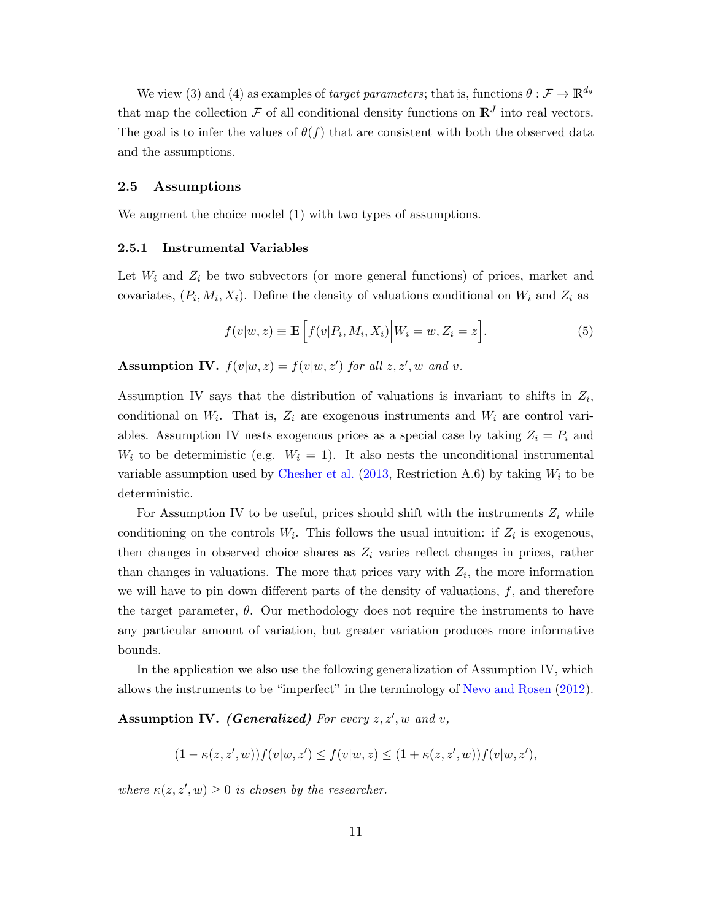<span id="page-12-1"></span>We view [\(3\)](#page-11-1) and [\(4\)](#page-11-2) as examples of *target parameters*; that is, functions  $\theta : \mathcal{F} \to \mathbb{R}^{d_{\theta}}$ that map the collection  $\mathcal F$  of all conditional density functions on  $\mathbb R^J$  into real vectors. The goal is to infer the values of  $\theta(f)$  that are consistent with both the observed data and the assumptions.

#### 2.5 Assumptions

We augment the choice model [\(1\)](#page-4-0) with two types of assumptions.

#### 2.5.1 Instrumental Variables

Let  $W_i$  and  $Z_i$  be two subvectors (or more general functions) of prices, market and covariates,  $(P_i, M_i, X_i)$ . Define the density of valuations conditional on  $W_i$  and  $Z_i$  as

$$
f(v|w, z) \equiv \mathbb{E}\left[f(v|P_i, M_i, X_i)\middle| W_i = w, Z_i = z\right].\tag{5}
$$

<span id="page-12-0"></span>**Assumption IV.**  $f(v|w, z) = f(v|w, z')$  for all  $z, z', w$  and  $v$ .

Assumption [IV](#page-12-0) says that the distribution of valuations is invariant to shifts in  $Z_i$ , conditional on  $W_i$ . That is,  $Z_i$  are exogenous instruments and  $W_i$  are control vari-ables. Assumption [IV](#page-12-0) nests exogenous prices as a special case by taking  $Z_i = P_i$  and  $W_i$  to be deterministic (e.g.  $W_i = 1$ ). It also nests the unconditional instrumental variable assumption used by [Chesher et al.](#page-42-4) [\(2013,](#page-42-4) Restriction A.6) by taking  $W_i$  to be deterministic.

For Assumption [IV](#page-12-0) to be useful, prices should shift with the instruments  $Z_i$  while conditioning on the controls  $W_i$ . This follows the usual intuition: if  $Z_i$  is exogenous, then changes in observed choice shares as  $Z_i$  varies reflect changes in prices, rather than changes in valuations. The more that prices vary with  $Z_i$ , the more information we will have to pin down different parts of the density of valuations,  $f$ , and therefore the target parameter,  $\theta$ . Our methodology does not require the instruments to have any particular amount of variation, but greater variation produces more informative bounds.

In the application we also use the following generalization of Assumption [IV,](#page-12-0) which allows the instruments to be "imperfect" in the terminology of [Nevo and Rosen](#page-45-10) [\(2012\)](#page-45-10).

Assumption IV. (Generalized) For every  $z, z', w$  and  $v$ ,

$$
(1-\kappa(z,z',w))f(v|w,z')\leq f(v|w,z)\leq (1+\kappa(z,z',w))f(v|w,z'),
$$

where  $\kappa(z, z', w) \geq 0$  is chosen by the researcher.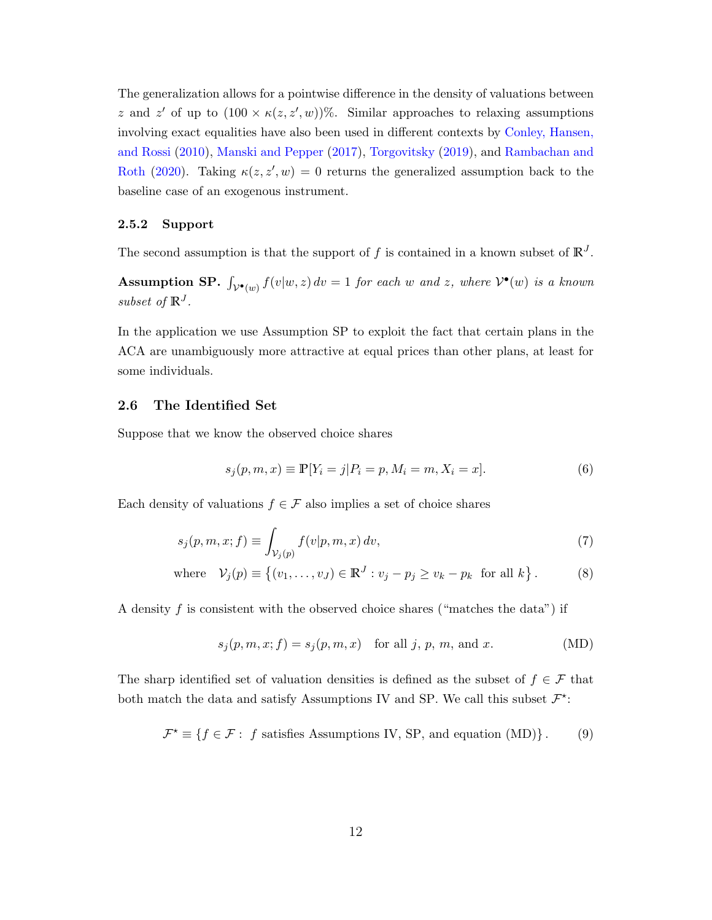<span id="page-13-3"></span>The generalization allows for a pointwise difference in the density of valuations between z and z' of up to  $(100 \times \kappa(z, z', w))$ %. Similar approaches to relaxing assumptions involving exact equalities have also been used in different contexts by [Conley, Hansen,](#page-42-12) [and Rossi](#page-42-12) [\(2010\)](#page-42-12), [Manski and Pepper](#page-44-13) [\(2017\)](#page-44-13), [Torgovitsky](#page-46-8) [\(2019\)](#page-46-8), and [Rambachan and](#page-45-11) [Roth](#page-45-11) [\(2020\)](#page-45-11). Taking  $\kappa(z, z', w) = 0$  returns the generalized assumption back to the baseline case of an exogenous instrument.

#### 2.5.2 Support

The second assumption is that the support of f is contained in a known subset of  $\mathbb{R}^J$ .

<span id="page-13-0"></span>**Assumption SP.**  $\int_{V^{\bullet}(w)} f(v|w, z) dv = 1$  for each w and z, where  $V^{\bullet}(w)$  is a known subset of  $\mathbb{R}^J$ .

In the application we use Assumption [SP](#page-13-0) to exploit the fact that certain plans in the ACA are unambiguously more attractive at equal prices than other plans, at least for some individuals.

#### 2.6 The Identified Set

Suppose that we know the observed choice shares

<span id="page-13-2"></span>
$$
s_j(p, m, x) \equiv \mathbb{P}[Y_i = j | P_i = p, M_i = m, X_i = x].
$$
 (6)

Each density of valuations  $f \in \mathcal{F}$  also implies a set of choice shares

$$
s_j(p, m, x; f) \equiv \int_{\mathcal{V}_j(p)} f(v|p, m, x) dv,
$$
\n<sup>(7)</sup>

where 
$$
V_j(p) \equiv \{(v_1, \ldots, v_J) \in \mathbb{R}^J : v_j - p_j \ge v_k - p_k \text{ for all } k\}.
$$
 (8)

A density f is consistent with the observed choice shares ("matches the data") if

<span id="page-13-1"></span>
$$
s_j(p, m, x; f) = s_j(p, m, x) \quad \text{for all } j, p, m, \text{ and } x. \tag{MD}
$$

The sharp identified set of valuation densities is defined as the subset of  $f \in \mathcal{F}$  that both match the data and satisfy Assumptions [IV](#page-12-0) and [SP.](#page-13-0) We call this subset  $\mathcal{F}^*$ :

$$
\mathcal{F}^{\star} \equiv \{ f \in \mathcal{F} : f \text{ satisfies Assumptions IV, SP, and equation (MD)} \}.
$$
 (9)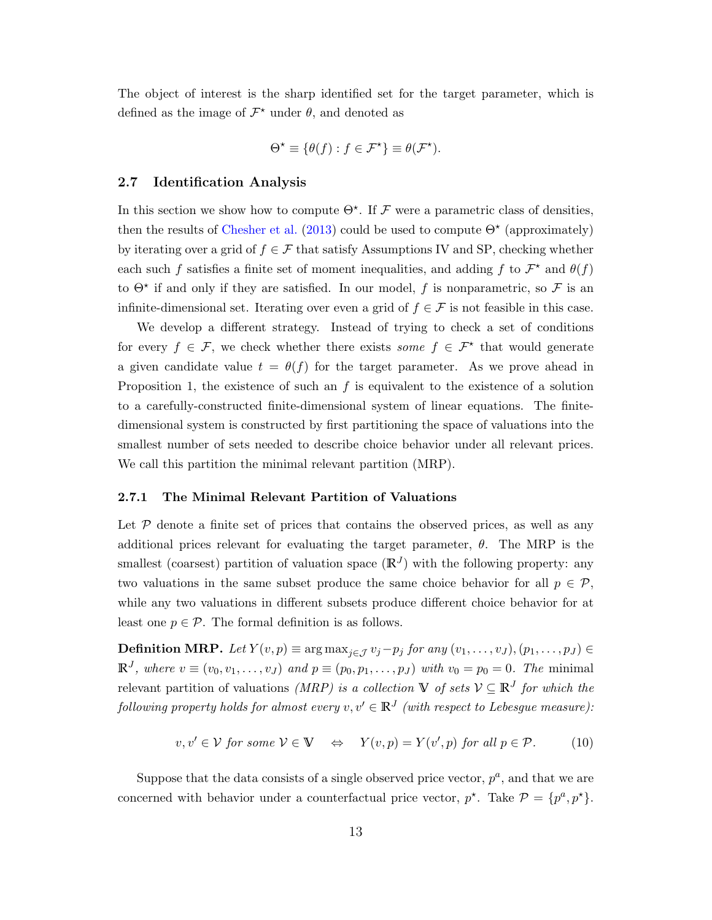<span id="page-14-1"></span>The object of interest is the sharp identified set for the target parameter, which is defined as the image of  $\mathcal{F}^{\star}$  under  $\theta$ , and denoted as

$$
\Theta^{\star} \equiv \{ \theta(f) : f \in \mathcal{F}^{\star} \} \equiv \theta(\mathcal{F}^{\star}).
$$

#### 2.7 Identification Analysis

In this section we show how to compute  $\Theta^*$ . If  $\mathcal F$  were a parametric class of densities, then the results of [Chesher et al.](#page-42-4) [\(2013\)](#page-42-4) could be used to compute  $\Theta^*$  (approximately) by iterating over a grid of  $f \in \mathcal{F}$  that satisfy Assumptions [IV](#page-12-0) and [SP,](#page-13-0) checking whether each such f satisfies a finite set of moment inequalities, and adding f to  $\mathcal{F}^\star$  and  $\theta(f)$ to  $\Theta^*$  if and only if they are satisfied. In our model, f is nonparametric, so  $\mathcal F$  is an infinite-dimensional set. Iterating over even a grid of  $f \in \mathcal{F}$  is not feasible in this case.

We develop a different strategy. Instead of trying to check a set of conditions for every  $f \in \mathcal{F}$ , we check whether there exists some  $f \in \mathcal{F}^{\star}$  that would generate a given candidate value  $t = \theta(f)$  for the target parameter. As we prove ahead in Proposition [1,](#page-18-0) the existence of such an  $f$  is equivalent to the existence of a solution to a carefully-constructed finite-dimensional system of linear equations. The finitedimensional system is constructed by first partitioning the space of valuations into the smallest number of sets needed to describe choice behavior under all relevant prices. We call this partition the minimal relevant partition (MRP).

#### <span id="page-14-0"></span>2.7.1 The Minimal Relevant Partition of Valuations

Let  $P$  denote a finite set of prices that contains the observed prices, as well as any additional prices relevant for evaluating the target parameter,  $\theta$ . The MRP is the smallest (coarsest) partition of valuation space  $(\mathbb{R}^J)$  with the following property: any two valuations in the same subset produce the same choice behavior for all  $p \in \mathcal{P}$ , while any two valuations in different subsets produce different choice behavior for at least one  $p \in \mathcal{P}$ . The formal definition is as follows.

**Definition MRP.** Let  $Y(v, p) \equiv \arg \max_{i \in \mathcal{J}} v_i - p_i$  for any  $(v_1, \ldots, v_J), (p_1, \ldots, p_J) \in$  $\mathbb{R}^J$ , where  $v \equiv (v_0, v_1, \dots, v_J)$  and  $p \equiv (p_0, p_1, \dots, p_J)$  with  $v_0 = p_0 = 0$ . The minimal relevant partition of valuations (MRP) is a collection **V** of sets  $V \subseteq \mathbb{R}^J$  for which the  $\emph{following property holds for almost every } v, v' \in \mathbb{R}^{J}$  (with respect to Lebesgue measure):

$$
v, v' \in \mathcal{V} \text{ for some } \mathcal{V} \in \mathbb{V} \quad \Leftrightarrow \quad Y(v, p) = Y(v', p) \text{ for all } p \in \mathcal{P}. \tag{10}
$$

Suppose that the data consists of a single observed price vector,  $p^a$ , and that we are concerned with behavior under a counterfactual price vector,  $p^*$ . Take  $\mathcal{P} = \{p^a, p^*\}.$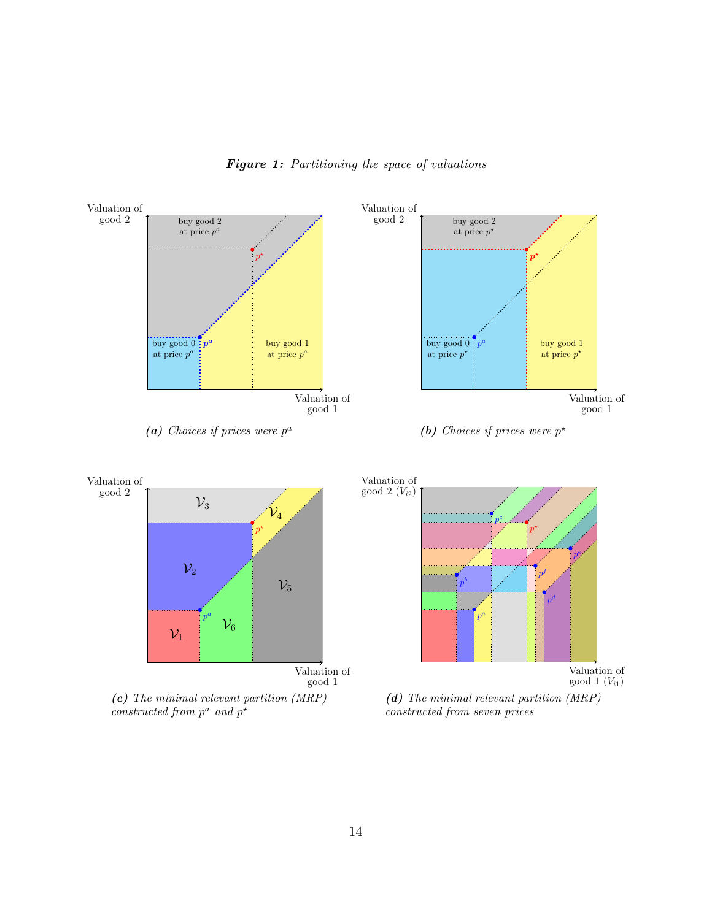<span id="page-15-0"></span>

Figure 1: Partitioning the space of valuations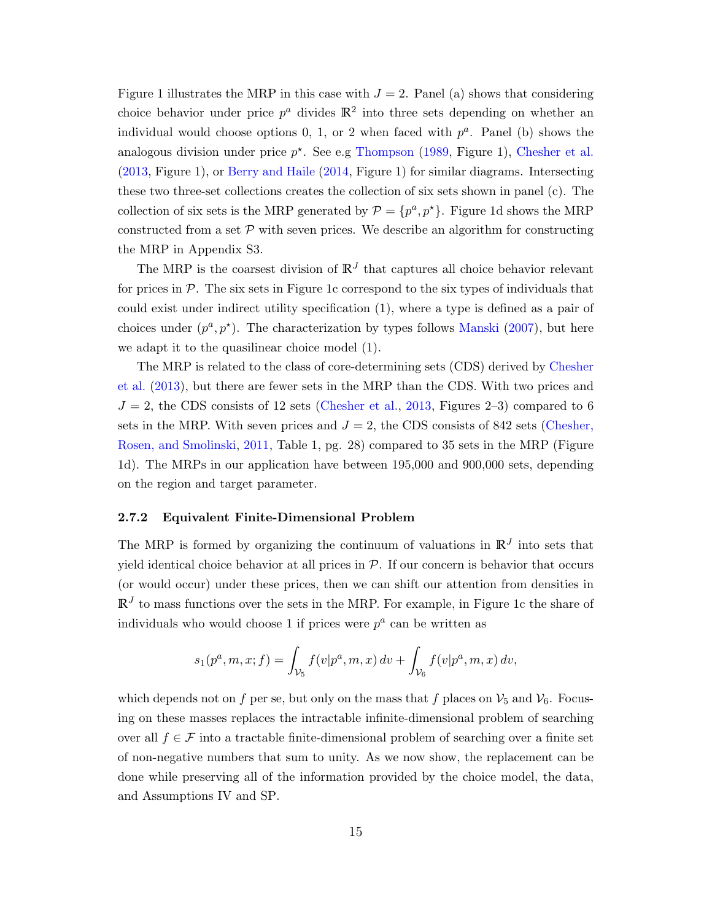<span id="page-16-0"></span>Figure [1](#page-15-0) illustrates the MRP in this case with  $J = 2$ . Panel (a) shows that considering choice behavior under price  $p^a$  divides  $\mathbb{R}^2$  into three sets depending on whether an individual would choose options 0, 1, or 2 when faced with  $p^a$ . Panel (b) shows the analogous division under price  $p^*$ . See e.g [Thompson](#page-46-2) [\(1989,](#page-46-2) Figure 1), [Chesher et al.](#page-42-4) [\(2013,](#page-42-4) Figure 1), or [Berry and Haile](#page-41-4) [\(2014,](#page-41-4) Figure 1) for similar diagrams. Intersecting these two three-set collections creates the collection of six sets shown in panel (c). The collection of six sets is the MRP generated by  $\mathcal{P} = \{p^a, p^{\star}\}\$ . Figure [1d](#page-15-0) shows the MRP constructed from a set  $P$  with seven prices. We describe an algorithm for constructing the MRP in Appendix [S3.](#page-20-0)

The MRP is the coarsest division of  $\mathbb{R}^{J}$  that captures all choice behavior relevant for prices in  $\mathcal{P}$ . The six sets in Figure [1c](#page-15-0) correspond to the six types of individuals that could exist under indirect utility specification [\(1\)](#page-4-0), where a type is defined as a pair of choices under  $(p^a, p^{\star})$ . The characterization by types follows [Manski](#page-44-3) [\(2007\)](#page-44-3), but here we adapt it to the quasilinear choice model [\(1\)](#page-4-0).

The MRP is related to the class of core-determining sets (CDS) derived by [Chesher](#page-42-4) [et al.](#page-42-4) [\(2013\)](#page-42-4), but there are fewer sets in the MRP than the CDS. With two prices and  $J = 2$ , the CDS consists of 12 sets [\(Chesher et al.,](#page-42-4) [2013,](#page-42-4) Figures 2–3) compared to 6 sets in the MRP. With seven prices and  $J = 2$ , the CDS consists of 842 sets [\(Chesher,](#page-42-13) [Rosen, and Smolinski,](#page-42-13) [2011,](#page-42-13) Table 1, pg. 28) compared to 35 sets in the MRP (Figure [1d\)](#page-15-0). The MRPs in our application have between 195,000 and 900,000 sets, depending on the region and target parameter.

#### 2.7.2 Equivalent Finite-Dimensional Problem

The MRP is formed by organizing the continuum of valuations in  $\mathbb{R}^J$  into sets that yield identical choice behavior at all prices in  $P$ . If our concern is behavior that occurs (or would occur) under these prices, then we can shift our attention from densities in  $\mathbb{R}^J$  to mass functions over the sets in the MRP. For example, in Figure [1c](#page-15-0) the share of individuals who would choose 1 if prices were  $p^a$  can be written as

$$
s_1(p^a, m, x; f) = \int_{\mathcal{V}_5} f(v|p^a, m, x) dv + \int_{\mathcal{V}_6} f(v|p^a, m, x) dv,
$$

which depends not on f per se, but only on the mass that f places on  $\mathcal{V}_5$  and  $\mathcal{V}_6$ . Focusing on these masses replaces the intractable infinite-dimensional problem of searching over all  $f \in \mathcal{F}$  into a tractable finite-dimensional problem of searching over a finite set of non-negative numbers that sum to unity. As we now show, the replacement can be done while preserving all of the information provided by the choice model, the data, and Assumptions [IV](#page-12-0) and [SP.](#page-13-0)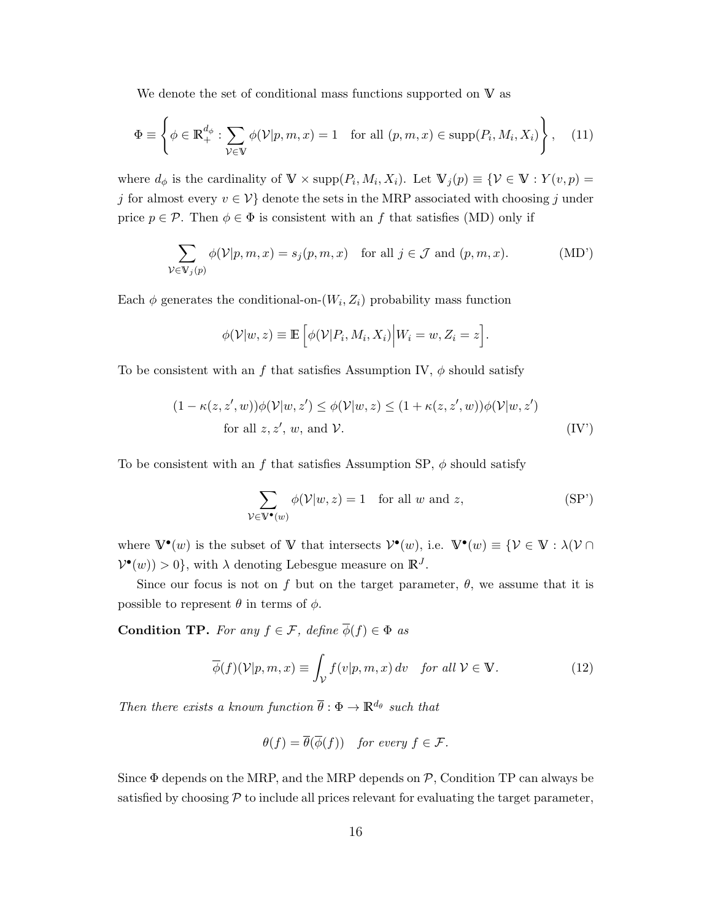We denote the set of conditional mass functions supported on **V** as

$$
\Phi \equiv \left\{ \phi \in \mathbb{R}_+^{d_\phi} : \sum_{\mathcal{V} \in \mathbb{V}} \phi(\mathcal{V}|p, m, x) = 1 \quad \text{for all } (p, m, x) \in \text{supp}(P_i, M_i, X_i) \right\}, \quad (11)
$$

where  $d_{\phi}$  is the cardinality of  $\mathbb{V} \times \text{supp}(P_i, M_i, X_i)$ . Let  $\mathbb{V}_j(p) \equiv \{ \mathcal{V} \in \mathbb{V} : Y(v, p) =$ j for almost every  $v \in V$  denote the sets in the MRP associated with choosing j under price  $p \in \mathcal{P}$ . Then  $\phi \in \Phi$  is consistent with an f that satisfies [\(MD\)](#page-13-1) only if

$$
\sum_{\mathcal{V}\in\mathbb{V}_j(p)} \phi(\mathcal{V}|p,m,x) = s_j(p,m,x) \text{ for all } j \in \mathcal{J} \text{ and } (p,m,x). \tag{MD'}
$$

Each  $\phi$  generates the conditional-on- $(W_i, Z_i)$  probability mass function

<span id="page-17-1"></span>
$$
\phi(\mathcal{V}|w,z) \equiv \mathbb{E}\left[\phi(\mathcal{V}|P_i,M_i,X_i)\Big|W_i=w,Z_i=z\right].
$$

To be consistent with an f that satisfies Assumption [IV,](#page-12-0)  $\phi$  should satisfy

$$
(1 - \kappa(z, z', w))\phi(\mathcal{V}|w, z') \le \phi(\mathcal{V}|w, z) \le (1 + \kappa(z, z', w))\phi(\mathcal{V}|w, z')
$$
  
for all  $z, z', w$ , and  $\mathcal{V}$ . (IV')

To be consistent with an f that satisfies Assumption [SP,](#page-13-0)  $\phi$  should satisfy

<span id="page-17-3"></span><span id="page-17-2"></span>
$$
\sum_{\mathcal{V}\in\mathbb{V}^\bullet(w)} \phi(\mathcal{V}|w,z) = 1 \quad \text{for all } w \text{ and } z,
$$
 (SP')

where  $\mathbb{V}^{\bullet}(w)$  is the subset of  $\mathbb{V}$  that intersects  $\mathcal{V}^{\bullet}(w)$ , i.e.  $\mathbb{V}^{\bullet}(w) \equiv {\mathcal{V} \in \mathbb{V} : \lambda(\mathcal{V} \cap \mathcal{V})}$  $V^{\bullet}(w) > 0$ , with  $\lambda$  denoting Lebesgue measure on  $\mathbb{R}^{J}$ .

Since our focus is not on f but on the target parameter,  $\theta$ , we assume that it is possible to represent  $\theta$  in terms of  $\phi$ .

<span id="page-17-0"></span>**Condition TP.** For any  $f \in \mathcal{F}$ , define  $\overline{\phi}(f) \in \Phi$  as

$$
\overline{\phi}(f)(\mathcal{V}|p,m,x) \equiv \int_{\mathcal{V}} f(v|p,m,x) dv \quad \text{for all } \mathcal{V} \in \mathbb{V}.
$$
 (12)

Then there exists a known function  $\overline{\theta} : \Phi \to \mathbb{R}^{d_{\theta}}$  such that

<span id="page-17-4"></span>
$$
\theta(f) = \overline{\theta}(\overline{\phi}(f)) \quad \text{for every } f \in \mathcal{F}.
$$

Since  $\Phi$  depends on the MRP, and the MRP depends on  $\mathcal{P}$ , Condition [TP](#page-17-0) can always be satisfied by choosing  $P$  to include all prices relevant for evaluating the target parameter,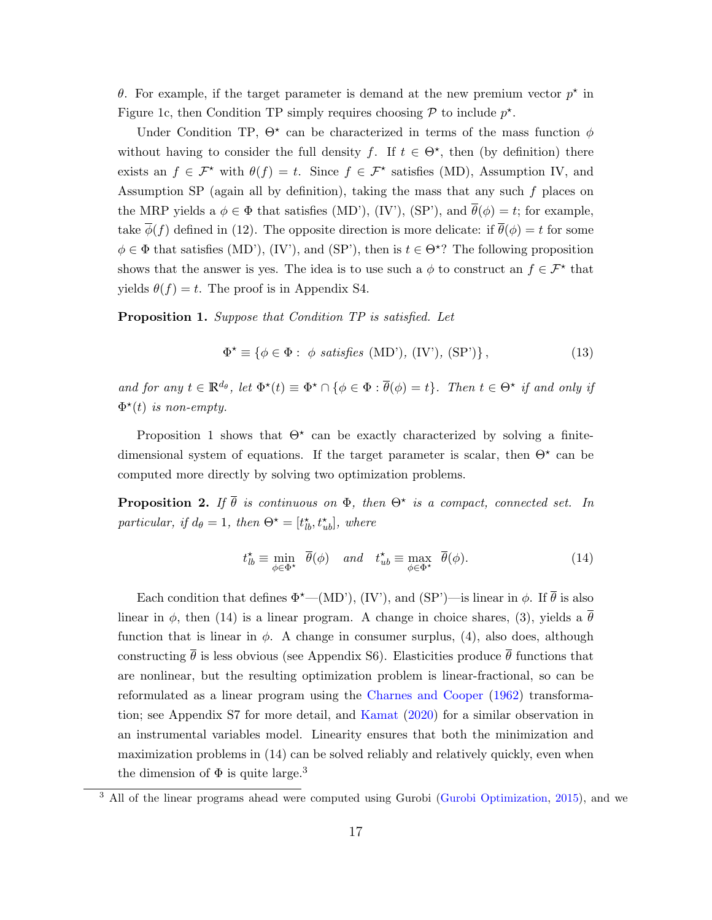<span id="page-18-3"></span>θ. For example, if the target parameter is demand at the new premium vector  $p^*$  in Figure [1c,](#page-15-0) then Condition [TP](#page-17-0) simply requires choosing  $P$  to include  $p^*$ .

Under Condition [TP,](#page-17-0)  $\Theta^*$  can be characterized in terms of the mass function  $\phi$ without having to consider the full density f. If  $t \in \Theta^*$ , then (by definition) there exists an  $f \in \mathcal{F}^*$  with  $\theta(f) = t$ . Since  $f \in \mathcal{F}^*$  satisfies [\(MD\)](#page-13-1), Assumption [IV,](#page-12-0) and Assumption [SP](#page-13-0) (again all by definition), taking the mass that any such  $f$  places on the MRP yields a  $\phi \in \Phi$  that satisfies [\(MD'\)](#page-17-1), [\(IV'\)](#page-17-2), [\(SP'\)](#page-17-3), and  $\overline{\theta}(\phi) = t$ ; for example, take  $\overline{\phi}(f)$  defined in [\(12\)](#page-17-4). The opposite direction is more delicate: if  $\overline{\theta}(\phi) = t$  for some  $\phi \in \Phi$  that satisfies [\(MD'\)](#page-17-1), [\(IV'\)](#page-17-2), and [\(SP'\)](#page-17-3), then is  $t \in \Theta^*$ ? The following proposition shows that the answer is yes. The idea is to use such a  $\phi$  to construct an  $f \in \mathcal{F}^{\star}$  that yields  $\theta(f) = t$ . The proof is in Appendix [S4.](#page-28-0)

<span id="page-18-0"></span>Proposition 1. Suppose that Condition [TP](#page-17-0) is satisfied. Let

$$
\Phi^{\star} \equiv \{ \phi \in \Phi : \phi \; satisfies \; (MD'), \, (IV'), \, (SP') \}, \tag{13}
$$

and for any  $t \in \mathbb{R}^{d_{\theta}}$ , let  $\Phi^{\star}(t) \equiv \Phi^{\star} \cap \{\phi \in \Phi : \overline{\theta}(\phi) = t\}$ . Then  $t \in \Theta^{\star}$  if and only if  $\Phi^{\star}(t)$  is non-empty.

Proposition [1](#page-18-0) shows that  $\Theta^*$  can be exactly characterized by solving a finitedimensional system of equations. If the target parameter is scalar, then  $\Theta^*$  can be computed more directly by solving two optimization problems.

**Proposition 2.** If  $\overline{\theta}$  is continuous on  $\Phi$ , then  $\Theta^*$  is a compact, connected set. In particular, if  $d_{\theta} = 1$ , then  $\Theta^{\star} = [t_{lb}^{\star}, t_{ub}^{\star}],$  where

<span id="page-18-1"></span>
$$
t_{lb}^{\star} \equiv \min_{\phi \in \Phi^{\star}} \overline{\theta}(\phi) \quad \text{and} \quad t_{ub}^{\star} \equiv \max_{\phi \in \Phi^{\star}} \overline{\theta}(\phi). \tag{14}
$$

Each condition that defines  $\Phi^*$ —[\(MD'\)](#page-17-1), [\(IV'\)](#page-17-2), and [\(SP'\)](#page-17-3)—is linear in  $\phi$ . If  $\overline{\theta}$  is also linear in  $\phi$ , then [\(14\)](#page-18-1) is a linear program. A change in choice shares, [\(3\)](#page-11-1), yields a  $\bar{\theta}$ function that is linear in  $\phi$ . A change in consumer surplus, [\(4\)](#page-11-2), also does, although constructing  $\bar{\theta}$  is less obvious (see Appendix [S6\)](#page-40-0). Elasticities produce  $\bar{\theta}$  functions that are nonlinear, but the resulting optimization problem is linear-fractional, so can be reformulated as a linear program using the [Charnes and Cooper](#page-42-14) [\(1962\)](#page-42-14) transformation; see Appendix [S7](#page--1-0) for more detail, and [Kamat](#page-44-8) [\(2020\)](#page-44-8) for a similar observation in an instrumental variables model. Linearity ensures that both the minimization and maximization problems in [\(14\)](#page-18-1) can be solved reliably and relatively quickly, even when the dimension of  $\Phi$  is quite large.<sup>[3](#page-18-2)</sup>

<span id="page-18-2"></span><sup>&</sup>lt;sup>3</sup> All of the linear programs ahead were computed using Gurobi [\(Gurobi Optimization,](#page-43-12) [2015\)](#page-43-12), and we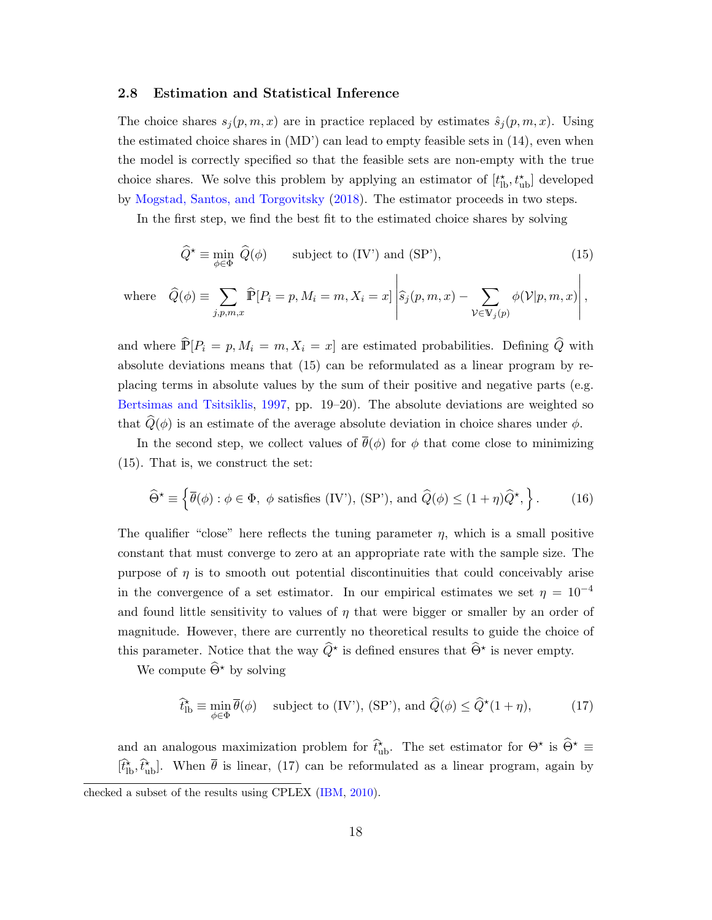#### <span id="page-19-3"></span><span id="page-19-2"></span>2.8 Estimation and Statistical Inference

The choice shares  $s_i(p, m, x)$  are in practice replaced by estimates  $\hat{s}_i(p, m, x)$ . Using the estimated choice shares in  $(MD')$  can lead to empty feasible sets in  $(14)$ , even when the model is correctly specified so that the feasible sets are non-empty with the true choice shares. We solve this problem by applying an estimator of  $[t^*_{\text{lb}}, t^*_{\text{ub}}]$  developed by [Mogstad, Santos, and Torgovitsky](#page-45-12) [\(2018\)](#page-45-12). The estimator proceeds in two steps.

In the first step, we find the best fit to the estimated choice shares by solving

$$
\widehat{Q}^{\star} \equiv \min_{\phi \in \Phi} \widehat{Q}(\phi) \qquad \text{subject to (IV') and (SP'),} \tag{15}
$$

<span id="page-19-0"></span> $\overline{1}$ 

where 
$$
\hat{Q}(\phi) \equiv \sum_{j,p,m,x} \hat{\mathbb{P}}[P_i = p, M_i = m, X_i = x] \left| \hat{s}_j(p,m,x) - \sum_{\mathcal{V} \in \mathbb{V}_j(p)} \phi(\mathcal{V}|p,m,x) \right|,
$$

and where  $\widehat{\mathbb{P}}[P_i = p, M_i = m, X_i = x]$  are estimated probabilities. Defining  $\widehat{Q}$  with absolute deviations means that [\(15\)](#page-19-0) can be reformulated as a linear program by replacing terms in absolute values by the sum of their positive and negative parts (e.g. [Bertsimas and Tsitsiklis,](#page-41-15) [1997,](#page-41-15) pp. 19–20). The absolute deviations are weighted so that  $\widehat{Q}(\phi)$  is an estimate of the average absolute deviation in choice shares under  $\phi$ .

In the second step, we collect values of  $\bar{\theta}(\phi)$  for  $\phi$  that come close to minimizing [\(15\)](#page-19-0). That is, we construct the set:

$$
\widehat{\Theta}^{\star} \equiv \left\{ \overline{\theta}(\phi) : \phi \in \Phi, \phi \text{ satisfies (IV'), (SP'), and } \widehat{Q}(\phi) \le (1 + \eta)\widehat{Q}^{\star}, \right\}. \tag{16}
$$

The qualifier "close" here reflects the tuning parameter  $\eta$ , which is a small positive constant that must converge to zero at an appropriate rate with the sample size. The purpose of  $\eta$  is to smooth out potential discontinuities that could conceivably arise in the convergence of a set estimator. In our empirical estimates we set  $\eta = 10^{-4}$ and found little sensitivity to values of  $\eta$  that were bigger or smaller by an order of magnitude. However, there are currently no theoretical results to guide the choice of this parameter. Notice that the way  $\hat{Q}^*$  is defined ensures that  $\hat{\Theta}^*$  is never empty.

We compute  $\widehat{\Theta}^*$  by solving

<span id="page-19-1"></span>
$$
\widehat{t}_{\mathrm{lb}}^{\star} \equiv \min_{\phi \in \Phi} \overline{\theta}(\phi) \quad \text{subject to (IV'), (SP'), and } \widehat{Q}(\phi) \le \widehat{Q}^{\star}(1+\eta), \tag{17}
$$

and an analogous maximization problem for  $\hat{t}_{ub}^*$ . The set estimator for  $\Theta^*$  is  $\hat{\Theta}^* \equiv$  $[\hat{t}_{\rm lb}^*, \hat{t}_{\rm ub}^*]$ . When  $\bar{\theta}$  is linear, [\(17\)](#page-19-1) can be reformulated as a linear program, again by

checked a subset of the results using CPLEX [\(IBM,](#page-44-14) [2010\)](#page-44-14).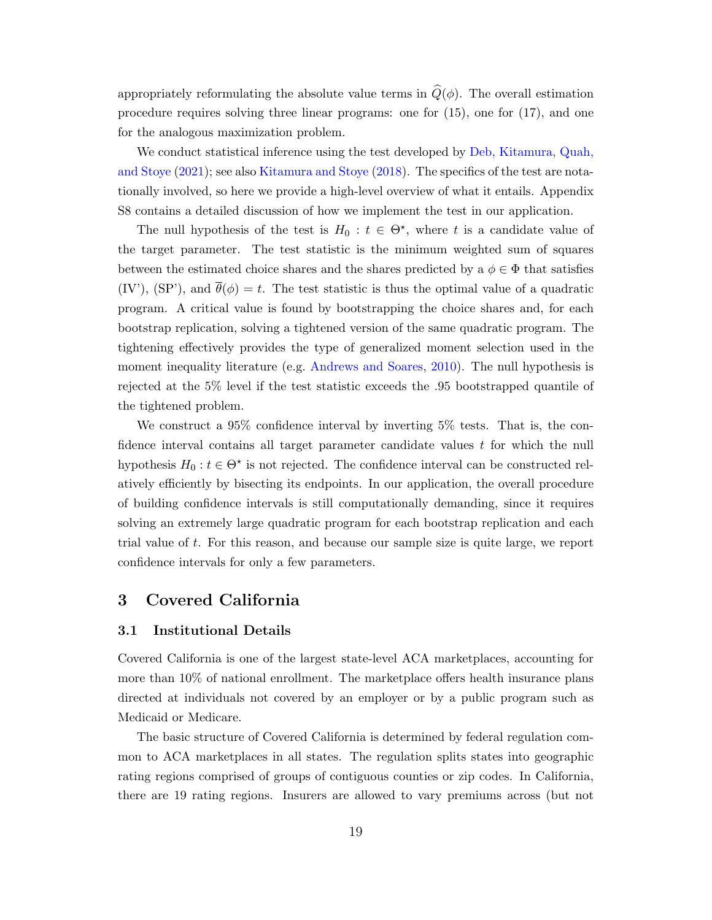<span id="page-20-1"></span>appropriately reformulating the absolute value terms in  $\hat{Q}(\phi)$ . The overall estimation procedure requires solving three linear programs: one for [\(15\)](#page-19-0), one for [\(17\)](#page-19-1), and one for the analogous maximization problem.

We conduct statistical inference using the test developed by [Deb, Kitamura, Quah,](#page-42-15) [and Stoye](#page-42-15) [\(2021\)](#page-42-15); see also [Kitamura and Stoye](#page-44-15) [\(2018\)](#page-44-15). The specifics of the test are notationally involved, so here we provide a high-level overview of what it entails. Appendix [S8](#page--1-0) contains a detailed discussion of how we implement the test in our application.

The null hypothesis of the test is  $H_0: t \in \Theta^*$ , where t is a candidate value of the target parameter. The test statistic is the minimum weighted sum of squares between the estimated choice shares and the shares predicted by a  $\phi \in \Phi$  that satisfies [\(IV'\)](#page-17-2), [\(SP'\)](#page-17-3), and  $\bar{\theta}(\phi) = t$ . The test statistic is thus the optimal value of a quadratic program. A critical value is found by bootstrapping the choice shares and, for each bootstrap replication, solving a tightened version of the same quadratic program. The tightening effectively provides the type of generalized moment selection used in the moment inequality literature (e.g. [Andrews and Soares,](#page-41-16) [2010\)](#page-41-16). The null hypothesis is rejected at the 5% level if the test statistic exceeds the .95 bootstrapped quantile of the tightened problem.

We construct a 95% confidence interval by inverting 5% tests. That is, the confidence interval contains all target parameter candidate values  $t$  for which the null hypothesis  $H_0: t \in \Theta^*$  is not rejected. The confidence interval can be constructed relatively efficiently by bisecting its endpoints. In our application, the overall procedure of building confidence intervals is still computationally demanding, since it requires solving an extremely large quadratic program for each bootstrap replication and each trial value of t. For this reason, and because our sample size is quite large, we report confidence intervals for only a few parameters.

## <span id="page-20-0"></span>3 Covered California

#### 3.1 Institutional Details

Covered California is one of the largest state-level ACA marketplaces, accounting for more than 10% of national enrollment. The marketplace offers health insurance plans directed at individuals not covered by an employer or by a public program such as Medicaid or Medicare.

The basic structure of Covered California is determined by federal regulation common to ACA marketplaces in all states. The regulation splits states into geographic rating regions comprised of groups of contiguous counties or zip codes. In California, there are 19 rating regions. Insurers are allowed to vary premiums across (but not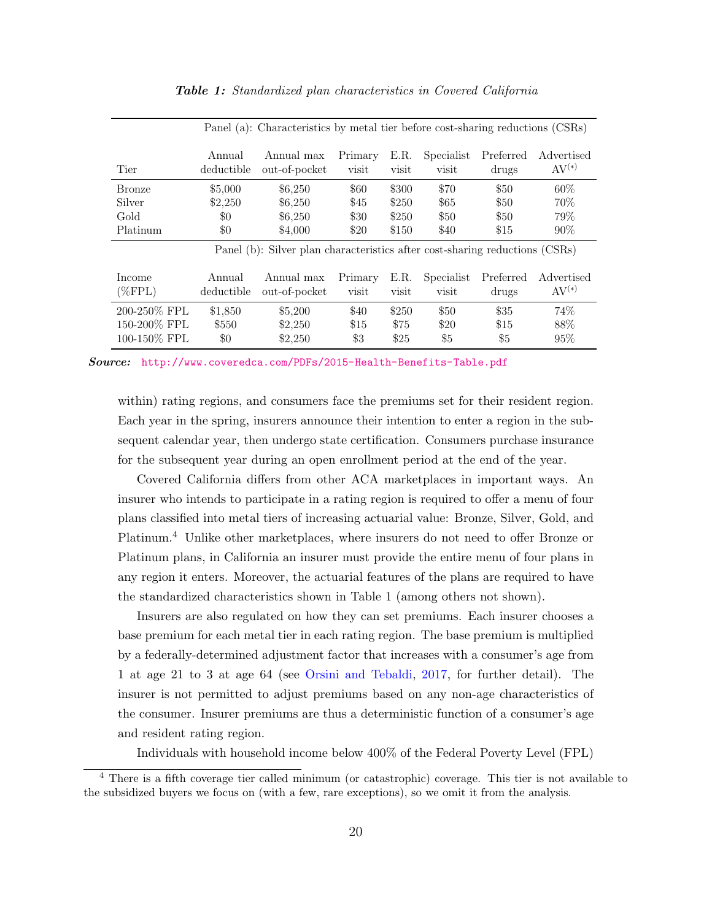<span id="page-21-2"></span><span id="page-21-1"></span>

|                     | Panel (a): Characteristics by metal tier before cost-sharing reductions (CSRs) |                                                                             |                  |               |                     |                    |                          |  |  |  |
|---------------------|--------------------------------------------------------------------------------|-----------------------------------------------------------------------------|------------------|---------------|---------------------|--------------------|--------------------------|--|--|--|
| Tier                | Annual<br>deductible                                                           | Annual max<br>out-of-pocket                                                 | Primary<br>visit | E.R.<br>visit | Specialist<br>visit | Preferred<br>drugs | Advertised<br>$AV^{(*)}$ |  |  |  |
| <b>Bronze</b>       | \$5,000                                                                        | \$6,250                                                                     | \$60             | \$300         | \$70                | \$50               | 60\%                     |  |  |  |
| Silver              | \$2,250                                                                        | \$6,250                                                                     | \$45             | \$250         | \$65                | \$50               | 70%                      |  |  |  |
| Gold                | \$0                                                                            | \$6,250                                                                     | \$30             | \$250         | \$50                | \$50               | 79%                      |  |  |  |
| Platinum            | $\$0$                                                                          | \$4,000                                                                     | \$20             | \$150         | \$40                | \$15               | 90%                      |  |  |  |
|                     |                                                                                | Panel (b): Silver plan characteristics after cost-sharing reductions (CSRs) |                  |               |                     |                    |                          |  |  |  |
| Income<br>$(\%FPL)$ | Annual<br>deductible                                                           | Annual max<br>out-of-pocket                                                 | Primary<br>visit | E.R.<br>visit | Specialist<br>visit | Preferred<br>drugs | Advertised<br>$AV^{(*)}$ |  |  |  |
| 200-250% FPL        | \$1,850                                                                        | \$5,200                                                                     | \$40             | \$250         | \$50                | \$35               | 74%                      |  |  |  |
| 150-200% FPL        | \$550                                                                          | \$2,250                                                                     | \$15             | \$75          | \$20                | \$15               | 88%                      |  |  |  |
| 100-150% FPL        | $\$0$                                                                          | \$2,250                                                                     | \$3              | \$25          | $\$5$               | $\$5$              | 95%                      |  |  |  |

Table 1: Standardized plan characteristics in Covered California

Source: <http://www.coveredca.com/PDFs/2015-Health-Benefits-Table.pdf>

within) rating regions, and consumers face the premiums set for their resident region. Each year in the spring, insurers announce their intention to enter a region in the subsequent calendar year, then undergo state certification. Consumers purchase insurance for the subsequent year during an open enrollment period at the end of the year.

Covered California differs from other ACA marketplaces in important ways. An insurer who intends to participate in a rating region is required to offer a menu of four plans classified into metal tiers of increasing actuarial value: Bronze, Silver, Gold, and Platinum.[4](#page-21-0) Unlike other marketplaces, where insurers do not need to offer Bronze or Platinum plans, in California an insurer must provide the entire menu of four plans in any region it enters. Moreover, the actuarial features of the plans are required to have the standardized characteristics shown in Table [1](#page-21-1) (among others not shown).

Insurers are also regulated on how they can set premiums. Each insurer chooses a base premium for each metal tier in each rating region. The base premium is multiplied by a federally-determined adjustment factor that increases with a consumer's age from 1 at age 21 to 3 at age 64 (see [Orsini and Tebaldi,](#page-45-13) [2017,](#page-45-13) for further detail). The insurer is not permitted to adjust premiums based on any non-age characteristics of the consumer. Insurer premiums are thus a deterministic function of a consumer's age and resident rating region.

Individuals with household income below 400% of the Federal Poverty Level (FPL)

<span id="page-21-0"></span><sup>4</sup> There is a fifth coverage tier called minimum (or catastrophic) coverage. This tier is not available to the subsidized buyers we focus on (with a few, rare exceptions), so we omit it from the analysis.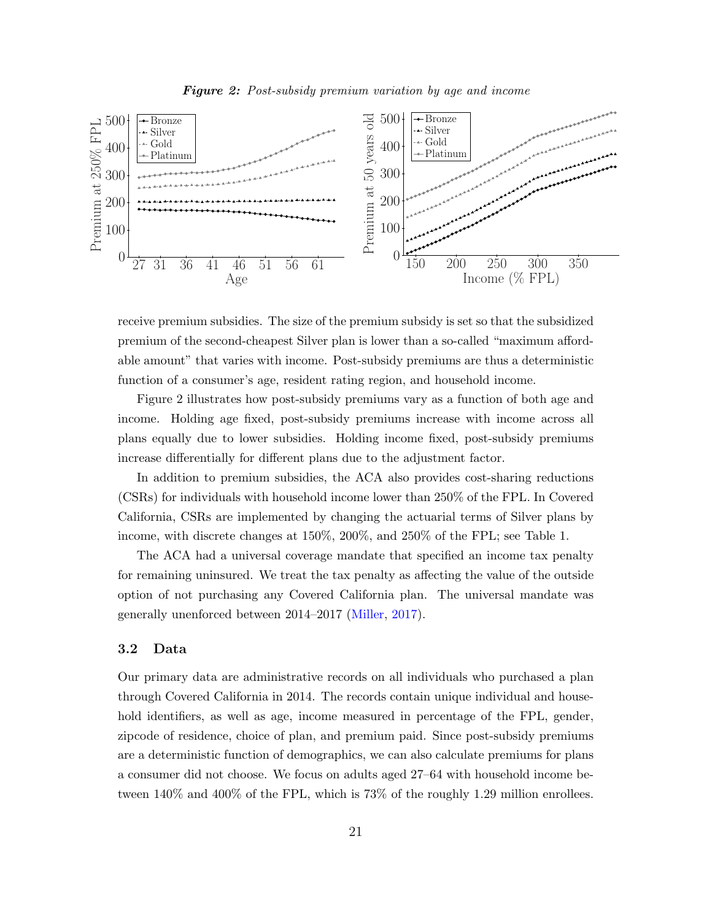

<span id="page-22-1"></span><span id="page-22-0"></span>

receive premium subsidies. The size of the premium subsidy is set so that the subsidized premium of the second-cheapest Silver plan is lower than a so-called "maximum affordable amount" that varies with income. Post-subsidy premiums are thus a deterministic function of a consumer's age, resident rating region, and household income.

Figure [2](#page-22-0) illustrates how post-subsidy premiums vary as a function of both age and income. Holding age fixed, post-subsidy premiums increase with income across all plans equally due to lower subsidies. Holding income fixed, post-subsidy premiums increase differentially for different plans due to the adjustment factor.

In addition to premium subsidies, the ACA also provides cost-sharing reductions (CSRs) for individuals with household income lower than 250% of the FPL. In Covered California, CSRs are implemented by changing the actuarial terms of Silver plans by income, with discrete changes at 150%, 200%, and 250% of the FPL; see Table [1.](#page-21-1)

The ACA had a universal coverage mandate that specified an income tax penalty for remaining uninsured. We treat the tax penalty as affecting the value of the outside option of not purchasing any Covered California plan. The universal mandate was generally unenforced between 2014–2017 [\(Miller,](#page-45-14) [2017\)](#page-45-14).

#### 3.2 Data

Our primary data are administrative records on all individuals who purchased a plan through Covered California in 2014. The records contain unique individual and household identifiers, as well as age, income measured in percentage of the FPL, gender, zipcode of residence, choice of plan, and premium paid. Since post-subsidy premiums are a deterministic function of demographics, we can also calculate premiums for plans a consumer did not choose. We focus on adults aged 27–64 with household income between 140% and 400% of the FPL, which is 73% of the roughly 1.29 million enrollees.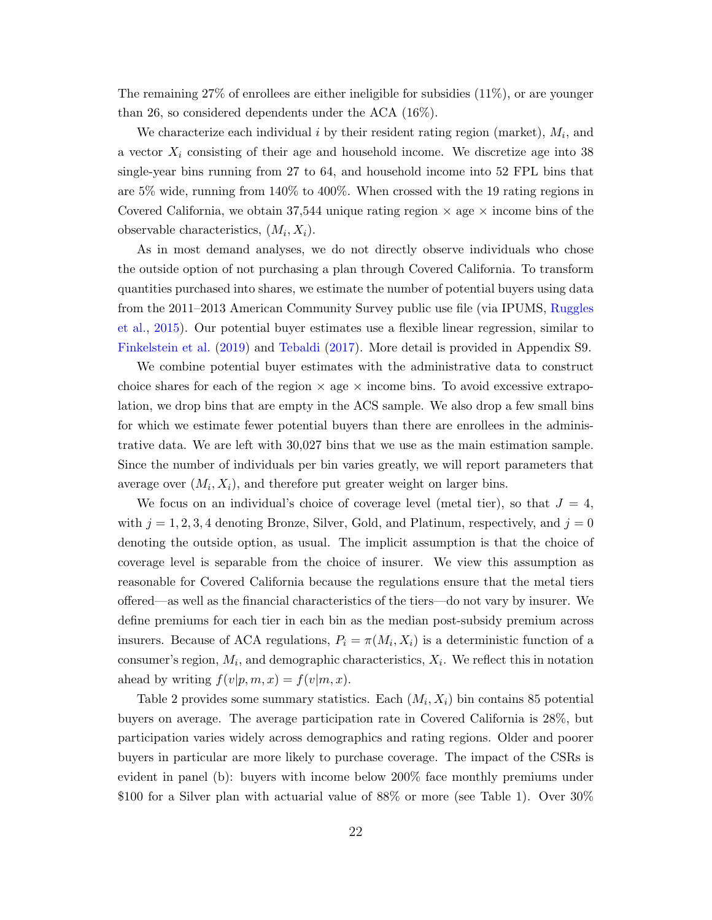<span id="page-23-0"></span>The remaining 27% of enrollees are either ineligible for subsidies (11%), or are younger than 26, so considered dependents under the ACA (16%).

We characterize each individual  $i$  by their resident rating region (market),  $M_i$ , and a vector  $X_i$  consisting of their age and household income. We discretize age into 38 single-year bins running from 27 to 64, and household income into 52 FPL bins that are 5% wide, running from 140% to 400%. When crossed with the 19 rating regions in Covered California, we obtain 37,544 unique rating region  $\times$  age  $\times$  income bins of the observable characteristics,  $(M_i, X_i)$ .

As in most demand analyses, we do not directly observe individuals who chose the outside option of not purchasing a plan through Covered California. To transform quantities purchased into shares, we estimate the number of potential buyers using data from the 2011–2013 American Community Survey public use file (via IPUMS, [Ruggles](#page-45-15) [et al.,](#page-45-15) [2015\)](#page-45-15). Our potential buyer estimates use a flexible linear regression, similar to [Finkelstein et al.](#page-43-9) [\(2019\)](#page-43-9) and [Tebaldi](#page-46-1) [\(2017\)](#page-46-1). More detail is provided in Appendix [S9.](#page--1-0)

We combine potential buyer estimates with the administrative data to construct choice shares for each of the region  $\times$  age  $\times$  income bins. To avoid excessive extrapolation, we drop bins that are empty in the ACS sample. We also drop a few small bins for which we estimate fewer potential buyers than there are enrollees in the administrative data. We are left with 30,027 bins that we use as the main estimation sample. Since the number of individuals per bin varies greatly, we will report parameters that average over  $(M_i, X_i)$ , and therefore put greater weight on larger bins.

We focus on an individual's choice of coverage level (metal tier), so that  $J = 4$ , with  $j = 1, 2, 3, 4$  denoting Bronze, Silver, Gold, and Platinum, respectively, and  $j = 0$ denoting the outside option, as usual. The implicit assumption is that the choice of coverage level is separable from the choice of insurer. We view this assumption as reasonable for Covered California because the regulations ensure that the metal tiers offered—as well as the financial characteristics of the tiers—do not vary by insurer. We define premiums for each tier in each bin as the median post-subsidy premium across insurers. Because of ACA regulations,  $P_i = \pi(M_i, X_i)$  is a deterministic function of a consumer's region,  $M_i$ , and demographic characteristics,  $X_i$ . We reflect this in notation ahead by writing  $f(v|p, m, x) = f(v|m, x)$ .

Table [2](#page-24-0) provides some summary statistics. Each  $(M_i, X_i)$  bin contains 85 potential buyers on average. The average participation rate in Covered California is 28%, but participation varies widely across demographics and rating regions. Older and poorer buyers in particular are more likely to purchase coverage. The impact of the CSRs is evident in panel (b): buyers with income below 200% face monthly premiums under \$100 for a Silver plan with actuarial value of 88% or more (see Table [1\)](#page-21-1). Over 30%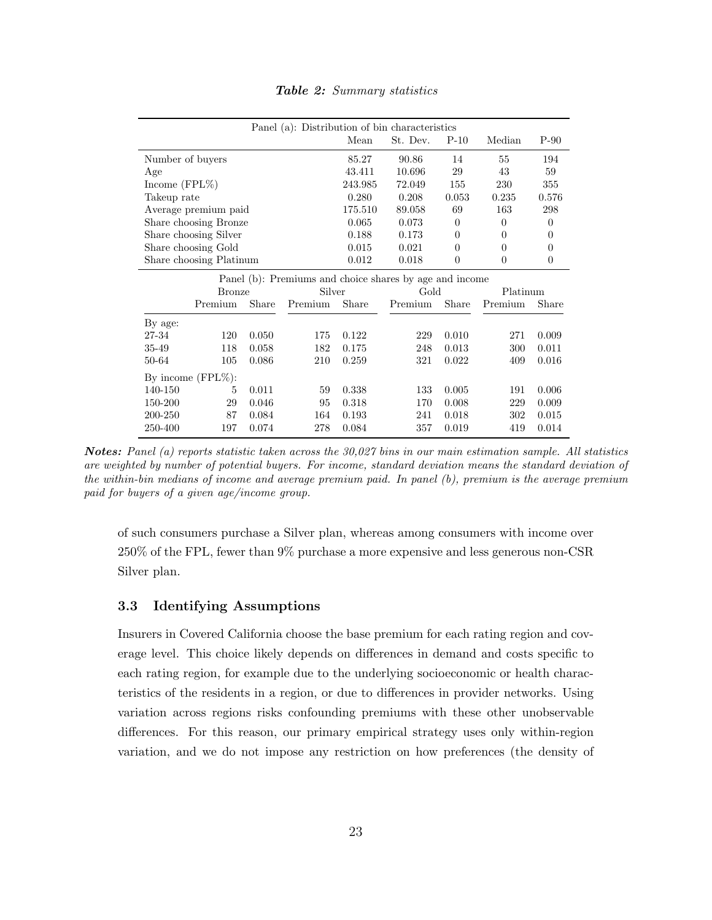<span id="page-24-0"></span>

| Panel (a): Distribution of bin characteristics          |                       |       |         |         |                         |                |                |                |  |  |
|---------------------------------------------------------|-----------------------|-------|---------|---------|-------------------------|----------------|----------------|----------------|--|--|
|                                                         |                       |       |         | Mean    | St. Dev.                | $P-10$         | Median         | $P-90$         |  |  |
| Number of buyers                                        |                       |       |         | 85.27   | 90.86                   | 14             | 55             | 194            |  |  |
| Age                                                     |                       |       | 43.411  | 10.696  | 29                      | 43             | 59             |                |  |  |
| Income $(FPL\%)$                                        |                       |       |         | 243.985 | 72.049                  | 155            | 230            | 355            |  |  |
| Takeup rate                                             |                       |       |         | 0.280   | 0.208                   | 0.053          | 0.235          | 0.576          |  |  |
|                                                         | Average premium paid  |       |         | 175.510 | 89.058                  | 69             | 163            | 298            |  |  |
|                                                         | Share choosing Bronze |       |         | 0.065   | 0.073                   | $\theta$       | $\overline{0}$ | $\overline{0}$ |  |  |
|                                                         | Share choosing Silver |       |         | 0.188   | 0.173                   | $\overline{0}$ | $\theta$       | $\overline{0}$ |  |  |
|                                                         | Share choosing Gold   |       |         | 0.015   | 0.021<br>$\overline{0}$ |                | $\overline{0}$ | $\overline{0}$ |  |  |
| Share choosing Platinum                                 |                       |       |         | 0.012   | 0.018                   | $\overline{0}$ | $\theta$       | $\overline{0}$ |  |  |
| Panel (b): Premiums and choice shares by age and income |                       |       |         |         |                         |                |                |                |  |  |
|                                                         |                       |       |         |         |                         |                |                |                |  |  |
|                                                         | <b>Bronze</b>         |       | Silver  |         | Gold                    |                | Platinum       |                |  |  |
|                                                         | Premium               | Share | Premium | Share   | Premium                 | Share          | Premium        | Share          |  |  |
| By age:                                                 |                       |       |         |         |                         |                |                |                |  |  |
| 27-34                                                   | 120                   | 0.050 | 175     | 0.122   | 229                     | 0.010          | 271            | 0.009          |  |  |
| 35-49                                                   | 118                   | 0.058 | 182     | 0.175   | 248                     | 0.013          | 300            | 0.011          |  |  |
| 50-64                                                   | 105                   | 0.086 | 210     | 0.259   | 321                     | 0.022          | 409            | 0.016          |  |  |
|                                                         | By income $(FPL\%)$ : |       |         |         |                         |                |                |                |  |  |
| 140-150                                                 | 5                     | 0.011 | 59      | 0.338   | 133                     | 0.005          | 191            | 0.006          |  |  |
| 150-200                                                 | 29                    | 0.046 | 95      | 0.318   | 170                     | 0.008          | 229            | 0.009          |  |  |
| 200-250                                                 | 87                    | 0.084 | 164     | 0.193   | 241                     | 0.018          | 302            | 0.015          |  |  |

Table 2: Summary statistics

Notes: Panel (a) reports statistic taken across the 30,027 bins in our main estimation sample. All statistics are weighted by number of potential buyers. For income, standard deviation means the standard deviation of the within-bin medians of income and average premium paid. In panel (b), premium is the average premium paid for buyers of a given age/income group.

of such consumers purchase a Silver plan, whereas among consumers with income over 250% of the FPL, fewer than 9% purchase a more expensive and less generous non-CSR Silver plan.

#### 3.3 Identifying Assumptions

Insurers in Covered California choose the base premium for each rating region and coverage level. This choice likely depends on differences in demand and costs specific to each rating region, for example due to the underlying socioeconomic or health characteristics of the residents in a region, or due to differences in provider networks. Using variation across regions risks confounding premiums with these other unobservable differences. For this reason, our primary empirical strategy uses only within-region variation, and we do not impose any restriction on how preferences (the density of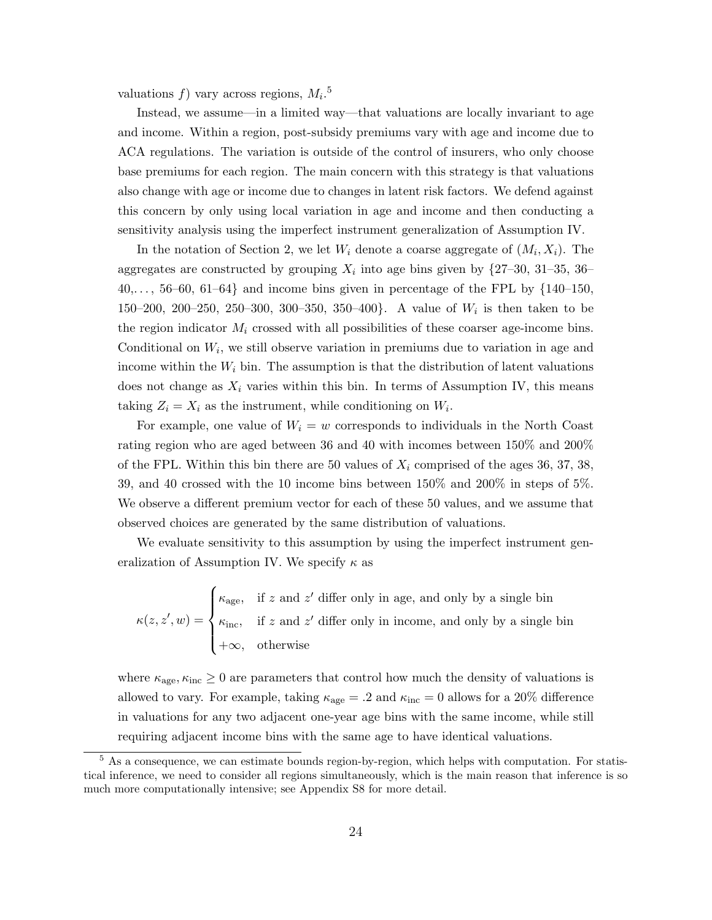valuations  $f$ ) vary across regions,  $M_i$ <sup>[5](#page-25-0)</sup>

Instead, we assume—in a limited way—that valuations are locally invariant to age and income. Within a region, post-subsidy premiums vary with age and income due to ACA regulations. The variation is outside of the control of insurers, who only choose base premiums for each region. The main concern with this strategy is that valuations also change with age or income due to changes in latent risk factors. We defend against this concern by only using local variation in age and income and then conducting a sensitivity analysis using the imperfect instrument generalization of Assumption [IV.](#page-12-0)

In the notation of Section [2,](#page-9-0) we let  $W_i$  denote a coarse aggregate of  $(M_i, X_i)$ . The aggregates are constructed by grouping  $X_i$  into age bins given by  $\{27-30, 31-35, 36 40,\ldots, 56-60, 61-64$  and income bins given in percentage of the FPL by  $\{140-150,$ 150–200, 200–250, 250–300, 300–350, 350–400}. A value of  $W_i$  is then taken to be the region indicator  $M_i$  crossed with all possibilities of these coarser age-income bins. Conditional on  $W_i$ , we still observe variation in premiums due to variation in age and income within the  $W_i$  bin. The assumption is that the distribution of latent valuations does not change as  $X_i$  varies within this bin. In terms of Assumption [IV,](#page-12-0) this means taking  $Z_i = X_i$  as the instrument, while conditioning on  $W_i$ .

For example, one value of  $W_i = w$  corresponds to individuals in the North Coast rating region who are aged between 36 and 40 with incomes between 150% and 200% of the FPL. Within this bin there are 50 values of  $X_i$  comprised of the ages 36, 37, 38, 39, and 40 crossed with the 10 income bins between 150% and 200% in steps of 5%. We observe a different premium vector for each of these 50 values, and we assume that observed choices are generated by the same distribution of valuations.

We evaluate sensitivity to this assumption by using the imperfect instrument gen-eralization of Assumption [IV.](#page-12-0) We specify  $\kappa$  as

 $\kappa(z, z', w) =$  $\sqrt{ }$  $\int$  $\overline{\mathcal{L}}$  $\kappa_{\text{age}}$ , if z and z' differ only in age, and only by a single bin  $\kappa_{\text{inc}}$ , if z and z' differ only in income, and only by a single bin +∞, otherwise

where  $\kappa_{\text{age}}, \kappa_{\text{inc}} \geq 0$  are parameters that control how much the density of valuations is allowed to vary. For example, taking  $\kappa_{\text{age}} = .2$  and  $\kappa_{\text{inc}} = 0$  allows for a 20% difference in valuations for any two adjacent one-year age bins with the same income, while still requiring adjacent income bins with the same age to have identical valuations.

<span id="page-25-0"></span><sup>5</sup> As a consequence, we can estimate bounds region-by-region, which helps with computation. For statistical inference, we need to consider all regions simultaneously, which is the main reason that inference is so much more computationally intensive; see Appendix [S8](#page--1-0) for more detail.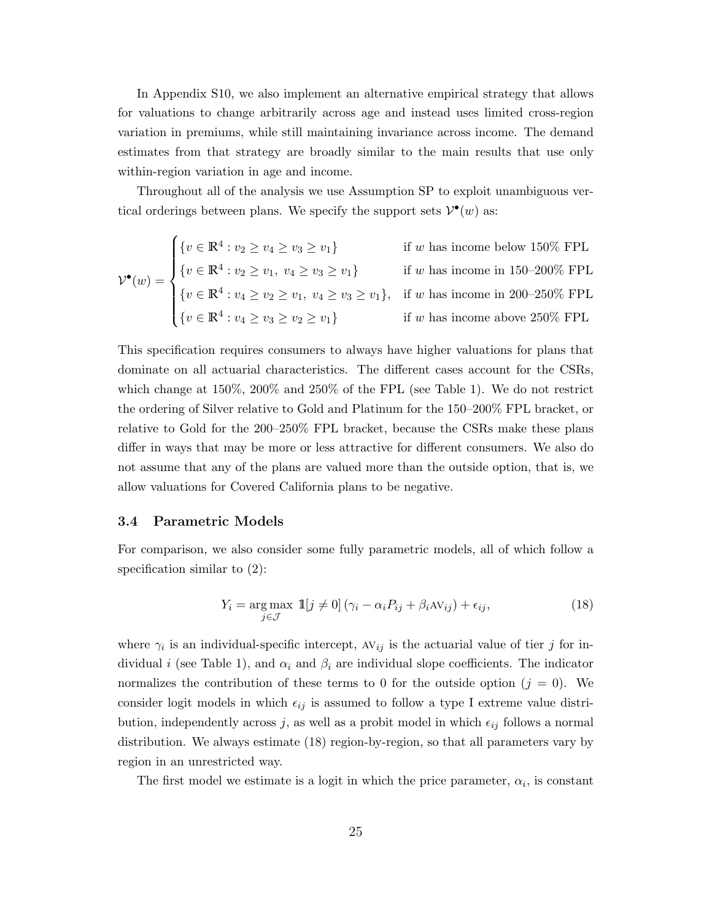In Appendix [S10,](#page--1-0) we also implement an alternative empirical strategy that allows for valuations to change arbitrarily across age and instead uses limited cross-region variation in premiums, while still maintaining invariance across income. The demand estimates from that strategy are broadly similar to the main results that use only within-region variation in age and income.

Throughout all of the analysis we use Assumption [SP](#page-13-0) to exploit unambiguous vertical orderings between plans. We specify the support sets  $\mathcal{V}^{\bullet}(w)$  as:

$$
\mathcal{V}^{\bullet}(w) = \begin{cases} \{v \in \mathbb{R}^4 : v_2 \ge v_4 \ge v_3 \ge v_1\} & \text{if } w \text{ has income below 150\% FPL} \\ \{v \in \mathbb{R}^4 : v_2 \ge v_1, \ v_4 \ge v_3 \ge v_1\} & \text{if } w \text{ has income in 150-200\% FPL} \\ \{v \in \mathbb{R}^4 : v_4 \ge v_2 \ge v_1, \ v_4 \ge v_3 \ge v_2\} & \text{if } w \text{ has income in 200-250\% FPL} \\ \{v \in \mathbb{R}^4 : v_4 \ge v_3 \ge v_2 \ge v_1\} & \text{if } w \text{ has income above 250\% FPL} \end{cases}
$$

This specification requires consumers to always have higher valuations for plans that dominate on all actuarial characteristics. The different cases account for the CSRs, which change at 150%, 200% and 250% of the FPL (see Table [1\)](#page-21-1). We do not restrict the ordering of Silver relative to Gold and Platinum for the 150–200% FPL bracket, or relative to Gold for the 200–250% FPL bracket, because the CSRs make these plans differ in ways that may be more or less attractive for different consumers. We also do not assume that any of the plans are valued more than the outside option, that is, we allow valuations for Covered California plans to be negative.

#### <span id="page-26-1"></span>3.4 Parametric Models

For comparison, we also consider some fully parametric models, all of which follow a specification similar to  $(2)$ :

<span id="page-26-0"></span>
$$
Y_i = \underset{j \in \mathcal{J}}{\arg \max} \ \mathbb{1}[j \neq 0] \left( \gamma_i - \alpha_i P_{ij} + \beta_i \text{AV}_{ij} \right) + \epsilon_{ij}, \tag{18}
$$

where  $\gamma_i$  is an individual-specific intercept,  $AV_{ij}$  is the actuarial value of tier j for in-dividual i (see Table [1\)](#page-21-1), and  $\alpha_i$  and  $\beta_i$  are individual slope coefficients. The indicator normalizes the contribution of these terms to 0 for the outside option  $(j = 0)$ . We consider logit models in which  $\epsilon_{ij}$  is assumed to follow a type I extreme value distribution, independently across j, as well as a probit model in which  $\epsilon_{ij}$  follows a normal distribution. We always estimate [\(18\)](#page-26-0) region-by-region, so that all parameters vary by region in an unrestricted way.

The first model we estimate is a logit in which the price parameter,  $\alpha_i$ , is constant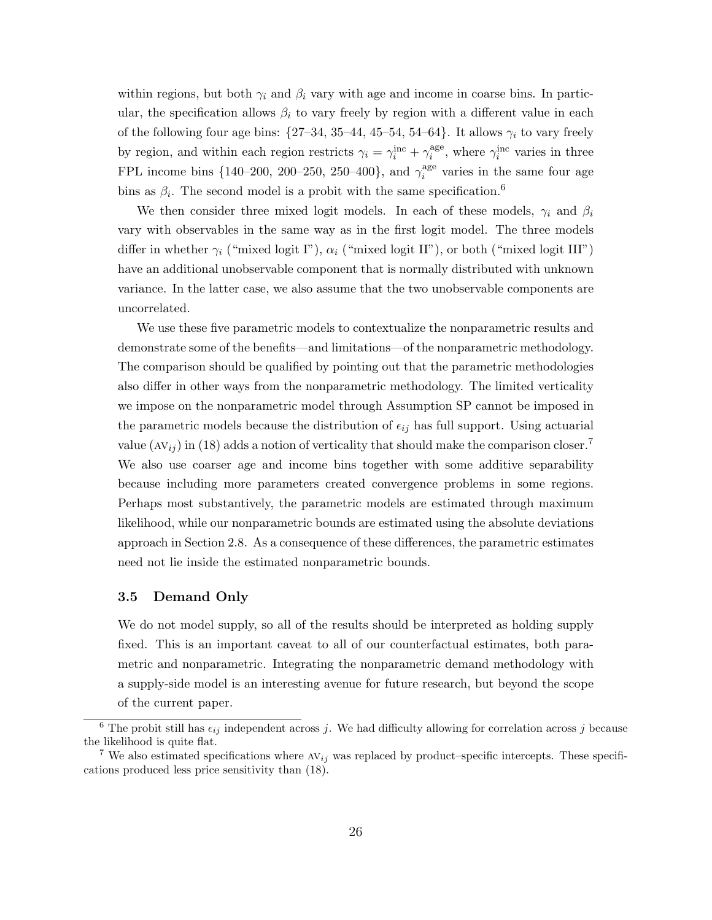within regions, but both  $\gamma_i$  and  $\beta_i$  vary with age and income in coarse bins. In particular, the specification allows  $\beta_i$  to vary freely by region with a different value in each of the following four age bins:  $\{27-34, 35-44, 45-54, 54-64\}$ . It allows  $\gamma_i$  to vary freely by region, and within each region restricts  $\gamma_i = \gamma_i^{\text{inc}} + \gamma_i^{\text{age}}$ <sup>age</sup>, where  $\gamma_i^{\text{inc}}$  varies in three FPL income bins  $\{140-200, 200-250, 250-400\}$ , and  $\gamma_i^{\text{age}}$  $i$ <sup>age</sup> varies in the same four age bins as  $\beta_i$ . The second model is a probit with the same specification.<sup>[6](#page-27-0)</sup>

We then consider three mixed logit models. In each of these models,  $\gamma_i$  and  $\beta_i$ vary with observables in the same way as in the first logit model. The three models differ in whether  $\gamma_i$  ("mixed logit I"),  $\alpha_i$  ("mixed logit II"), or both ("mixed logit III") have an additional unobservable component that is normally distributed with unknown variance. In the latter case, we also assume that the two unobservable components are uncorrelated.

We use these five parametric models to contextualize the nonparametric results and demonstrate some of the benefits—and limitations—of the nonparametric methodology. The comparison should be qualified by pointing out that the parametric methodologies also differ in other ways from the nonparametric methodology. The limited verticality we impose on the nonparametric model through Assumption [SP](#page-13-0) cannot be imposed in the parametric models because the distribution of  $\epsilon_{ij}$  has full support. Using actuarial value (AV<sub>ij</sub>) in [\(18\)](#page-26-0) adds a notion of verticality that should make the comparison closer.<sup>[7](#page-27-1)</sup> We also use coarser age and income bins together with some additive separability because including more parameters created convergence problems in some regions. Perhaps most substantively, the parametric models are estimated through maximum likelihood, while our nonparametric bounds are estimated using the absolute deviations approach in Section [2.8.](#page-19-2) As a consequence of these differences, the parametric estimates need not lie inside the estimated nonparametric bounds.

### 3.5 Demand Only

We do not model supply, so all of the results should be interpreted as holding supply fixed. This is an important caveat to all of our counterfactual estimates, both parametric and nonparametric. Integrating the nonparametric demand methodology with a supply-side model is an interesting avenue for future research, but beyond the scope of the current paper.

<span id="page-27-0"></span><sup>&</sup>lt;sup>6</sup> The probit still has  $\epsilon_{ij}$  independent across j. We had difficulty allowing for correlation across j because the likelihood is quite flat.

<span id="page-27-1"></span><sup>&</sup>lt;sup>7</sup> We also estimated specifications where  $AV_{ij}$  was replaced by product–specific intercepts. These specifications produced less price sensitivity than [\(18\)](#page-26-0).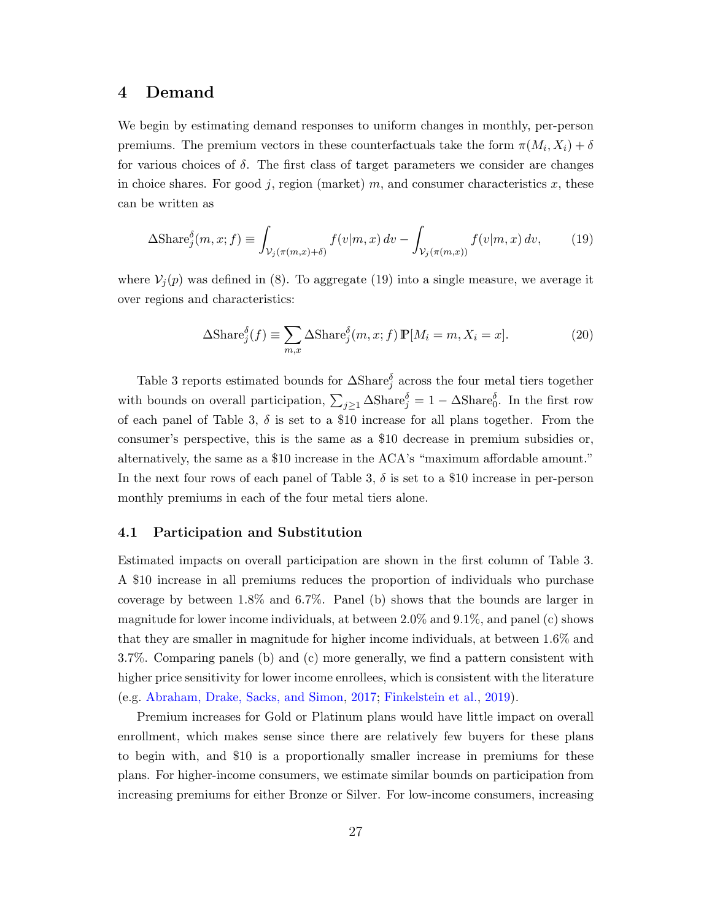## <span id="page-28-3"></span><span id="page-28-0"></span>4 Demand

We begin by estimating demand responses to uniform changes in monthly, per-person premiums. The premium vectors in these counterfactuals take the form  $\pi(M_i, X_i) + \delta$ for various choices of  $\delta$ . The first class of target parameters we consider are changes in choice shares. For good j, region (market)  $m$ , and consumer characteristics  $x$ , these can be written as

$$
\Delta \text{Share}_{j}^{\delta}(m, x; f) \equiv \int_{\mathcal{V}_{j}(\pi(m, x) + \delta)} f(v|m, x) dv - \int_{\mathcal{V}_{j}(\pi(m, x))} f(v|m, x) dv,
$$
 (19)

where  $V_j(p)$  was defined in [\(8\)](#page-13-2). To aggregate [\(19\)](#page-28-1) into a single measure, we average it over regions and characteristics:

<span id="page-28-2"></span><span id="page-28-1"></span>
$$
\Delta \text{Share}_{j}^{\delta}(f) \equiv \sum_{m,x} \Delta \text{Share}_{j}^{\delta}(m,x;f) \, \mathbb{P}[M_{i}=m,X_{i}=x]. \tag{20}
$$

Table [3](#page-29-0) reports estimated bounds for  $\Delta$ Share $\delta$ <sub>j</sub> across the four metal tiers together with bounds on overall participation,  $\sum_{j\geq 1} \Delta \text{Share}_{j}^{\delta} = 1 - \Delta \text{Share}_{0}^{\delta}$ . In the first row of each panel of Table [3,](#page-29-0)  $\delta$  is set to a \$10 increase for all plans together. From the consumer's perspective, this is the same as a \$10 decrease in premium subsidies or, alternatively, the same as a \$10 increase in the ACA's "maximum affordable amount." In the next four rows of each panel of Table [3,](#page-29-0)  $\delta$  is set to a \$10 increase in per-person monthly premiums in each of the four metal tiers alone.

#### 4.1 Participation and Substitution

Estimated impacts on overall participation are shown in the first column of Table [3.](#page-29-0) A \$10 increase in all premiums reduces the proportion of individuals who purchase coverage by between 1.8% and 6.7%. Panel (b) shows that the bounds are larger in magnitude for lower income individuals, at between 2.0% and 9.1%, and panel (c) shows that they are smaller in magnitude for higher income individuals, at between 1.6% and 3.7%. Comparing panels (b) and (c) more generally, we find a pattern consistent with higher price sensitivity for lower income enrollees, which is consistent with the literature (e.g. [Abraham, Drake, Sacks, and Simon,](#page-40-1) [2017;](#page-40-1) [Finkelstein et al.,](#page-43-9) [2019\)](#page-43-9).

Premium increases for Gold or Platinum plans would have little impact on overall enrollment, which makes sense since there are relatively few buyers for these plans to begin with, and \$10 is a proportionally smaller increase in premiums for these plans. For higher-income consumers, we estimate similar bounds on participation from increasing premiums for either Bronze or Silver. For low-income consumers, increasing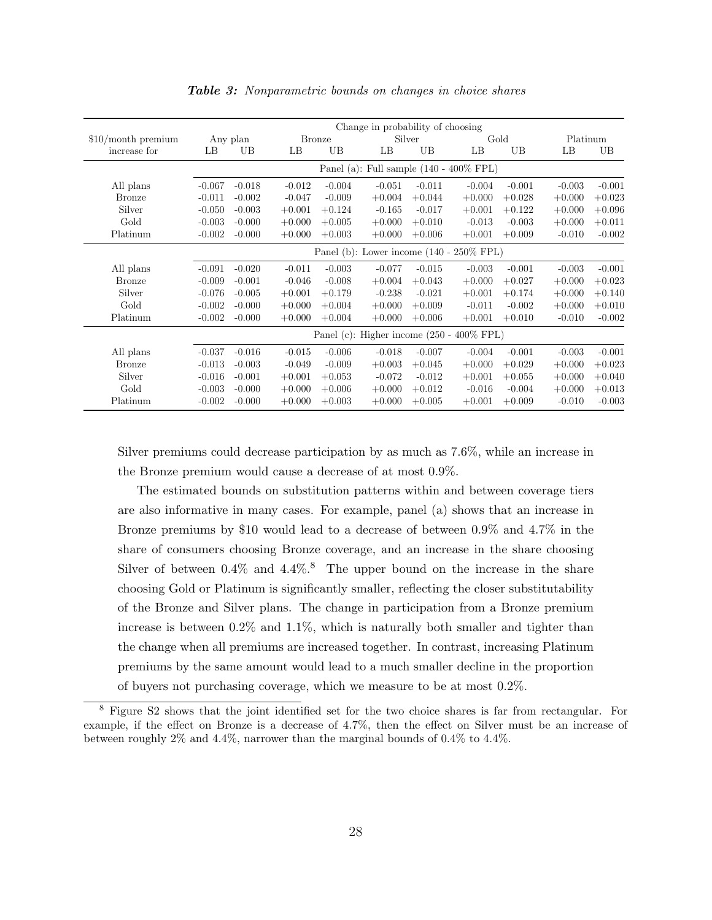<span id="page-29-0"></span>

|                     | Change in probability of choosing                    |          |          |               |                                                     |          |          |          |          |          |
|---------------------|------------------------------------------------------|----------|----------|---------------|-----------------------------------------------------|----------|----------|----------|----------|----------|
| $$10/morth$ premium |                                                      | Any plan |          | <b>Bronze</b> | Silver                                              |          | Gold     |          | Platinum |          |
| increase for        | LB                                                   | UB       | LB       | UB            | LB                                                  | UB       | LB       | UB       | LB       | UB       |
|                     |                                                      |          |          |               | Panel (a): Full sample $(140 - 400\% \text{ FPL})$  |          |          |          |          |          |
| All plans           | $-0.067$                                             | $-0.018$ | $-0.012$ | $-0.004$      | $-0.051$                                            | $-0.011$ | $-0.004$ | $-0.001$ | $-0.003$ | $-0.001$ |
| <b>Bronze</b>       | $-0.011$                                             | $-0.002$ | $-0.047$ | $-0.009$      | $+0.004$                                            | $+0.044$ | $+0.000$ | $+0.028$ | $+0.000$ | $+0.023$ |
| Silver              | $-0.050$                                             | $-0.003$ | $+0.001$ | $+0.124$      | $-0.165$                                            | $-0.017$ | $+0.001$ | $+0.122$ | $+0.000$ | $+0.096$ |
| Gold                | $-0.003$                                             | $-0.000$ | $+0.000$ | $+0.005$      | $+0.000$                                            | $+0.010$ | $-0.013$ | $-0.003$ | $+0.000$ | $+0.011$ |
| Platinum            | $-0.002$                                             | $-0.000$ | $+0.000$ | $+0.003$      | $+0.000$                                            | $+0.006$ | $+0.001$ | $+0.009$ | $-0.010$ | $-0.002$ |
|                     |                                                      |          |          |               | Panel (b): Lower income $(140 - 250\% \text{ FPL})$ |          |          |          |          |          |
| All plans           | $-0.091$                                             | $-0.020$ | $-0.011$ | $-0.003$      | $-0.077$                                            | $-0.015$ | $-0.003$ | $-0.001$ | $-0.003$ | $-0.001$ |
| <b>Bronze</b>       | $-0.009$                                             | $-0.001$ | $-0.046$ | $-0.008$      | $+0.004$                                            | $+0.043$ | $+0.000$ | $+0.027$ | $+0.000$ | $+0.023$ |
| Silver              | $-0.076$                                             | $-0.005$ | $+0.001$ | $+0.179$      | $-0.238$                                            | $-0.021$ | $+0.001$ | $+0.174$ | $+0.000$ | $+0.140$ |
| Gold                | $-0.002$                                             | $-0.000$ | $+0.000$ | $+0.004$      | $+0.000$                                            | $+0.009$ | $-0.011$ | $-0.002$ | $+0.000$ | $+0.010$ |
| Platinum            | $-0.002$                                             | $-0.000$ | $+0.000$ | $+0.004$      | $+0.000$                                            | $+0.006$ | $+0.001$ | $+0.010$ | $-0.010$ | $-0.002$ |
|                     | Panel (c): Higher income $(250 - 400\% \text{ FPL})$ |          |          |               |                                                     |          |          |          |          |          |
| All plans           | $-0.037$                                             | $-0.016$ | $-0.015$ | $-0.006$      | $-0.018$                                            | $-0.007$ | $-0.004$ | $-0.001$ | $-0.003$ | $-0.001$ |
| <b>Bronze</b>       | $-0.013$                                             | $-0.003$ | $-0.049$ | $-0.009$      | $+0.003$                                            | $+0.045$ | $+0.000$ | $+0.029$ | $+0.000$ | $+0.023$ |
| Silver              | $-0.016$                                             | $-0.001$ | $+0.001$ | $+0.053$      | $-0.072$                                            | $-0.012$ | $+0.001$ | $+0.055$ | $+0.000$ | $+0.040$ |
| Gold                | $-0.003$                                             | $-0.000$ | $+0.000$ | $+0.006$      | $+0.000$                                            | $+0.012$ | $-0.016$ | $-0.004$ | $+0.000$ | $+0.013$ |
| Platinum            | $-0.002$                                             | $-0.000$ | $+0.000$ | $+0.003$      | $+0.000$                                            | $+0.005$ | $+0.001$ | $+0.009$ | $-0.010$ | $-0.003$ |

Table 3: Nonparametric bounds on changes in choice shares

Silver premiums could decrease participation by as much as 7.6%, while an increase in the Bronze premium would cause a decrease of at most 0.9%.

The estimated bounds on substitution patterns within and between coverage tiers are also informative in many cases. For example, panel (a) shows that an increase in Bronze premiums by \$10 would lead to a decrease of between 0.9% and 4.7% in the share of consumers choosing Bronze coverage, and an increase in the share choosing Silver of between  $0.4\%$  and  $4.4\%$ .<sup>[8](#page-29-1)</sup> The upper bound on the increase in the share choosing Gold or Platinum is significantly smaller, reflecting the closer substitutability of the Bronze and Silver plans. The change in participation from a Bronze premium increase is between 0.2% and 1.1%, which is naturally both smaller and tighter than the change when all premiums are increased together. In contrast, increasing Platinum premiums by the same amount would lead to a much smaller decline in the proportion of buyers not purchasing coverage, which we measure to be at most 0.2%.

<span id="page-29-1"></span><sup>8</sup> Figure [S2](#page-15-0) shows that the joint identified set for the two choice shares is far from rectangular. For example, if the effect on Bronze is a decrease of 4.7%, then the effect on Silver must be an increase of between roughly 2% and 4.4%, narrower than the marginal bounds of 0.4% to 4.4%.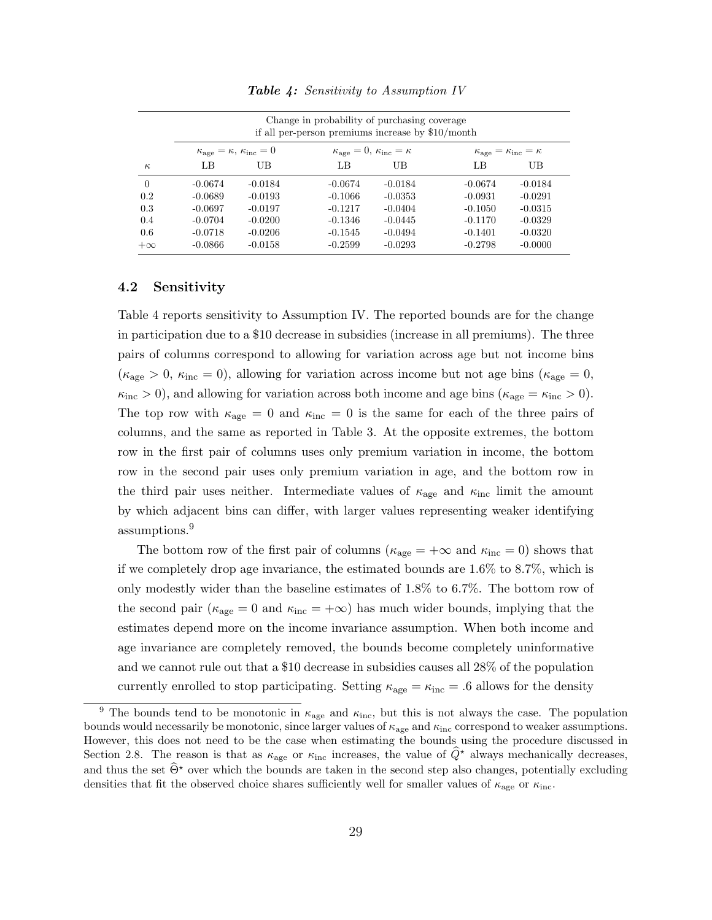<span id="page-30-0"></span>

|           | Change in probability of purchasing coverage<br>if all per-person premiums increase by $$10/m$ onth                                                                              |           |           |           |           |           |  |  |  |  |
|-----------|----------------------------------------------------------------------------------------------------------------------------------------------------------------------------------|-----------|-----------|-----------|-----------|-----------|--|--|--|--|
|           | $\kappa_{\text{age}} = 0, \, \kappa_{\text{inc}} = \kappa$<br>$\kappa_{\text{age}} = \kappa, \, \kappa_{\text{inc}} = 0$<br>$\kappa_{\text{age}} = \kappa_{\text{inc}} = \kappa$ |           |           |           |           |           |  |  |  |  |
| $\kappa$  | LB                                                                                                                                                                               | UB        | LB        | UB        | LB        | UB        |  |  |  |  |
| $\Omega$  | $-0.0674$                                                                                                                                                                        | $-0.0184$ | $-0.0674$ | $-0.0184$ | $-0.0674$ | $-0.0184$ |  |  |  |  |
| 0.2       | $-0.0689$                                                                                                                                                                        | $-0.0193$ | $-0.1066$ | $-0.0353$ | $-0.0931$ | $-0.0291$ |  |  |  |  |
| 0.3       | $-0.0697$                                                                                                                                                                        | $-0.0197$ | $-0.1217$ | $-0.0404$ | $-0.1050$ | $-0.0315$ |  |  |  |  |
| 0.4       | $-0.0704$                                                                                                                                                                        | $-0.0200$ | $-0.1346$ | $-0.0445$ | $-0.1170$ | $-0.0329$ |  |  |  |  |
| 0.6       | $-0.0718$                                                                                                                                                                        | $-0.0206$ | $-0.1545$ | $-0.0494$ | $-0.1401$ | $-0.0320$ |  |  |  |  |
| $+\infty$ | $-0.0866$                                                                                                                                                                        | $-0.0158$ | $-0.2599$ | $-0.0293$ | $-0.2798$ | $-0.0000$ |  |  |  |  |

Table 4: Sensitivity to Assumption [IV](#page-12-0)

### 4.2 Sensitivity

Table [4](#page-30-0) reports sensitivity to Assumption [IV.](#page-12-0) The reported bounds are for the change in participation due to a \$10 decrease in subsidies (increase in all premiums). The three pairs of columns correspond to allowing for variation across age but not income bins  $(\kappa_{\text{age}} > 0, \kappa_{\text{inc}} = 0)$ , allowing for variation across income but not age bins  $(\kappa_{\text{age}} = 0,$  $\kappa_{\text{inc}} > 0$ ), and allowing for variation across both income and age bins  $(\kappa_{\text{age}} = \kappa_{\text{inc}} > 0)$ . The top row with  $\kappa_{\text{age}} = 0$  and  $\kappa_{\text{inc}} = 0$  is the same for each of the three pairs of columns, and the same as reported in Table [3.](#page-29-0) At the opposite extremes, the bottom row in the first pair of columns uses only premium variation in income, the bottom row in the second pair uses only premium variation in age, and the bottom row in the third pair uses neither. Intermediate values of  $\kappa_{\text{age}}$  and  $\kappa_{\text{inc}}$  limit the amount by which adjacent bins can differ, with larger values representing weaker identifying assumptions.[9](#page-30-1)

The bottom row of the first pair of columns ( $\kappa_{\text{age}} = +\infty$  and  $\kappa_{\text{inc}} = 0$ ) shows that if we completely drop age invariance, the estimated bounds are 1.6% to 8.7%, which is only modestly wider than the baseline estimates of 1.8% to 6.7%. The bottom row of the second pair ( $\kappa_{\text{age}} = 0$  and  $\kappa_{\text{inc}} = +\infty$ ) has much wider bounds, implying that the estimates depend more on the income invariance assumption. When both income and age invariance are completely removed, the bounds become completely uninformative and we cannot rule out that a \$10 decrease in subsidies causes all 28% of the population currently enrolled to stop participating. Setting  $\kappa_{\text{age}} = \kappa_{\text{inc}} = .6$  allows for the density

<span id="page-30-1"></span><sup>&</sup>lt;sup>9</sup> The bounds tend to be monotonic in  $\kappa_{\text{age}}$  and  $\kappa_{\text{inc}}$ , but this is not always the case. The population bounds would necessarily be monotonic, since larger values of  $\kappa_{\text{age}}$  and  $\kappa_{\text{inc}}$  correspond to weaker assumptions. However, this does not need to be the case when estimating the bounds using the procedure discussed in Section [2.8.](#page-19-2) The reason is that as  $\kappa_{\text{age}}$  or  $\kappa_{\text{inc}}$  increases, the value of  $\bar{Q}^*$  always mechanically decreases, and thus the set  $\widehat{\Theta}^*$  over which the bounds are taken in the second step also changes, potentially excluding densities that fit the observed choice shares sufficiently well for smaller values of  $\kappa_{\text{age}}$  or  $\kappa_{\text{inc}}$ .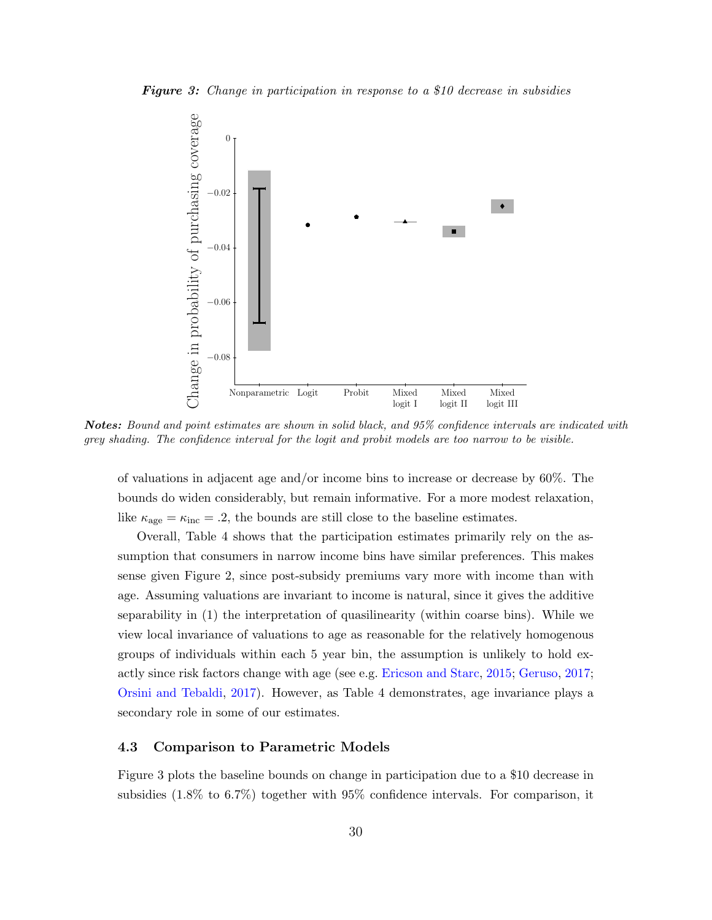<span id="page-31-1"></span><span id="page-31-0"></span>**Figure 3:** Change in participation in response to a \$10 decrease in subsidies



Notes: Bound and point estimates are shown in solid black, and 95% confidence intervals are indicated with grey shading. The confidence interval for the logit and probit models are too narrow to be visible.

of valuations in adjacent age and/or income bins to increase or decrease by 60%. The bounds do widen considerably, but remain informative. For a more modest relaxation, like  $\kappa_{\text{age}} = \kappa_{\text{inc}} = .2$ , the bounds are still close to the baseline estimates.

Overall, Table [4](#page-30-0) shows that the participation estimates primarily rely on the assumption that consumers in narrow income bins have similar preferences. This makes sense given Figure [2,](#page-22-0) since post-subsidy premiums vary more with income than with age. Assuming valuations are invariant to income is natural, since it gives the additive separability in [\(1\)](#page-4-0) the interpretation of quasilinearity (within coarse bins). While we view local invariance of valuations to age as reasonable for the relatively homogenous groups of individuals within each 5 year bin, the assumption is unlikely to hold exactly since risk factors change with age (see e.g. [Ericson and Starc,](#page-43-0) [2015;](#page-43-0) [Geruso,](#page-43-13) [2017;](#page-43-13) [Orsini and Tebaldi,](#page-45-13) [2017\)](#page-45-13). However, as Table [4](#page-30-0) demonstrates, age invariance plays a secondary role in some of our estimates.

#### 4.3 Comparison to Parametric Models

Figure [3](#page-31-0) plots the baseline bounds on change in participation due to a \$10 decrease in subsidies (1.8% to 6.7%) together with 95% confidence intervals. For comparison, it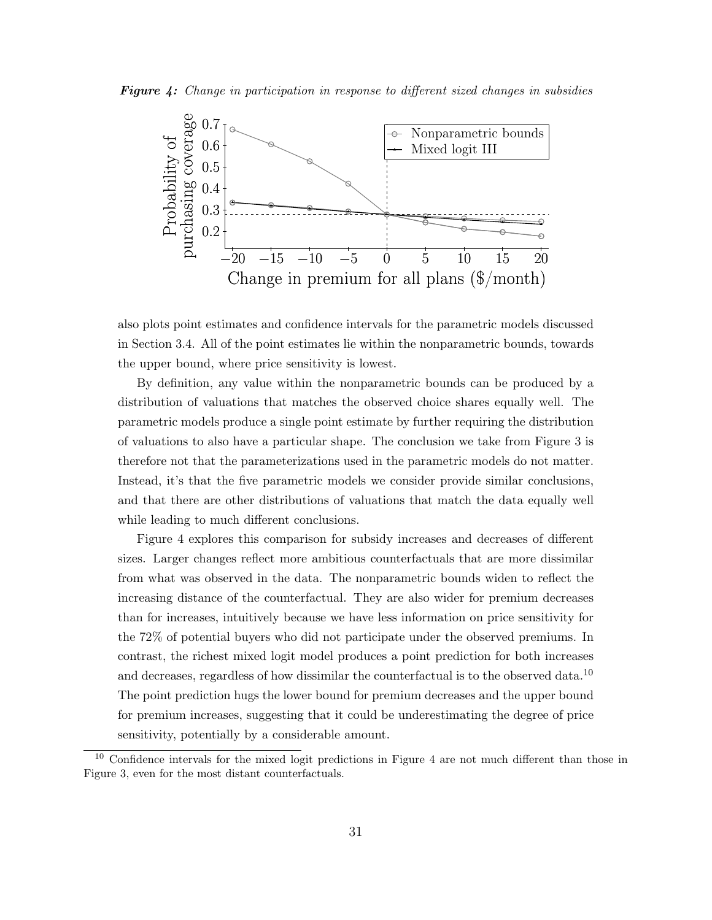<span id="page-32-0"></span>



also plots point estimates and confidence intervals for the parametric models discussed in Section [3.4.](#page-26-1) All of the point estimates lie within the nonparametric bounds, towards the upper bound, where price sensitivity is lowest.

By definition, any value within the nonparametric bounds can be produced by a distribution of valuations that matches the observed choice shares equally well. The parametric models produce a single point estimate by further requiring the distribution of valuations to also have a particular shape. The conclusion we take from Figure [3](#page-31-0) is therefore not that the parameterizations used in the parametric models do not matter. Instead, it's that the five parametric models we consider provide similar conclusions, and that there are other distributions of valuations that match the data equally well while leading to much different conclusions.

Figure [4](#page-32-0) explores this comparison for subsidy increases and decreases of different sizes. Larger changes reflect more ambitious counterfactuals that are more dissimilar from what was observed in the data. The nonparametric bounds widen to reflect the increasing distance of the counterfactual. They are also wider for premium decreases than for increases, intuitively because we have less information on price sensitivity for the 72% of potential buyers who did not participate under the observed premiums. In contrast, the richest mixed logit model produces a point prediction for both increases and decreases, regardless of how dissimilar the counterfactual is to the observed data.<sup>[10](#page-32-1)</sup> The point prediction hugs the lower bound for premium decreases and the upper bound for premium increases, suggesting that it could be underestimating the degree of price sensitivity, potentially by a considerable amount.

<span id="page-32-1"></span><sup>&</sup>lt;sup>10</sup> Confidence intervals for the mixed logit predictions in Figure [4](#page-32-0) are not much different than those in Figure [3,](#page-31-0) even for the most distant counterfactuals.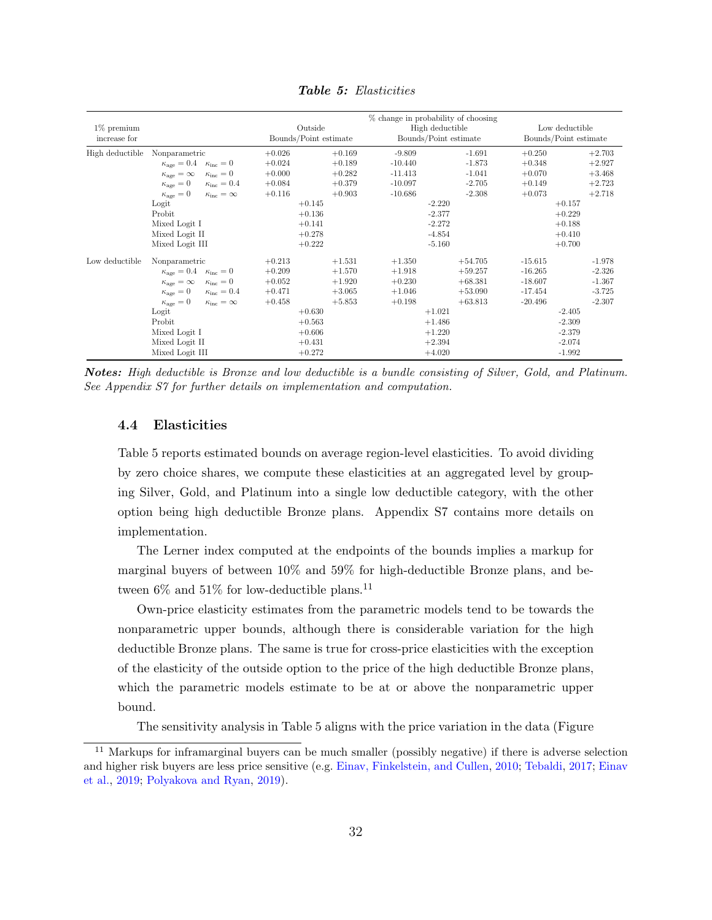<span id="page-33-2"></span><span id="page-33-0"></span>

| $1\%$ premium<br>increase for |                                                       |          | Outside<br>Bounds/Point estimate |           | % change in probability of choosing<br>High deductible<br>Bounds/Point estimate | Low deductible<br>Bounds/Point estimate |          |
|-------------------------------|-------------------------------------------------------|----------|----------------------------------|-----------|---------------------------------------------------------------------------------|-----------------------------------------|----------|
| High deductible               | Nonparametric                                         | $+0.026$ | $+0.169$                         | $-9.809$  | $-1.691$                                                                        | $+0.250$                                | $+2.703$ |
|                               | $\kappa_{\rm age}=0.4$<br>$\kappa_{\rm inc} = 0$      | $+0.024$ | $+0.189$                         | $-10.440$ | $-1.873$                                                                        | $+0.348$                                | $+2.927$ |
|                               | $\kappa_{\rm age}=\infty$<br>$\kappa_{\rm inc} = 0$   | $+0.000$ | $+0.282$                         | $-11.413$ | $-1.041$                                                                        | $+0.070$                                | $+3.468$ |
|                               | $\kappa_{\rm age}=0$<br>$\kappa_{\rm inc} = 0.4$      | $+0.084$ | $+0.379$                         | $-10.097$ | $-2.705$                                                                        | $+0.149$                                | $+2.723$ |
|                               | $\kappa_{\rm age}=0$<br>$\kappa_{\rm inc}=\infty$     | $+0.116$ | $+0.903$                         | $-10.686$ | $-2.308$                                                                        | $+0.073$                                | $+2.718$ |
|                               | Logit                                                 | $+0.145$ |                                  |           | $-2.220$                                                                        | $+0.157$                                |          |
|                               | Probit                                                | $+0.136$ |                                  |           | $-2.377$                                                                        |                                         | $+0.229$ |
|                               | Mixed Logit I                                         | $+0.141$ |                                  |           | $-2.272$                                                                        | $+0.188$                                |          |
|                               | Mixed Logit II                                        | $+0.278$ |                                  |           | $-4.854$                                                                        | $+0.410$                                |          |
|                               | Mixed Logit III                                       | $+0.222$ |                                  |           | $-5.160$                                                                        | $+0.700$                                |          |
| Low deductible                | Nonparametric                                         | $+0.213$ | $+1.531$                         | $+1.350$  | $+54.705$                                                                       | $-15.615$                               | $-1.978$ |
|                               | $\kappa_{\text{age}} = 0.4$<br>$\kappa_{\rm inc} = 0$ | $+0.209$ | $+1.570$                         | $+1.918$  | $+59.257$                                                                       | $-16.265$                               | $-2.326$ |
|                               | $\kappa_{\rm inc} = 0$<br>$\kappa_{\rm age}=\infty$   | $+0.052$ | $+1.920$                         | $+0.230$  | $+68.381$                                                                       | $-18.607$                               | $-1.367$ |
|                               | $\kappa_{\rm inc} = 0.4$<br>$\kappa_{\rm age}=0$      | $+0.471$ | $+3.065$                         | $+1.046$  | $+53.090$                                                                       | $-17.454$                               | $-3.725$ |
|                               | $\kappa_{\text{age}}=0$<br>$\kappa_{\rm inc}=\infty$  | $+0.458$ | $+5.853$                         | $+0.198$  | $+63.813$                                                                       | $-20.496$                               | $-2.307$ |
|                               | Logit                                                 | $+0.630$ |                                  | $+1.021$  |                                                                                 |                                         | $-2.405$ |
|                               | Probit                                                | $+0.563$ |                                  | $+1.486$  |                                                                                 |                                         | $-2.309$ |
|                               | Mixed Logit I                                         | $+0.606$ |                                  | $+1.220$  |                                                                                 |                                         | $-2.379$ |
|                               | Mixed Logit II                                        | $+0.431$ |                                  | $+2.394$  |                                                                                 |                                         | $-2.074$ |
|                               | Mixed Logit III                                       | $+0.272$ |                                  | $+4.020$  |                                                                                 |                                         | $-1.992$ |

Table 5: Elasticities

Notes: High deductible is Bronze and low deductible is a bundle consisting of Silver, Gold, and Platinum. See Appendix [S7](#page--1-0) for further details on implementation and computation.

#### 4.4 Elasticities

Table [5](#page-33-0) reports estimated bounds on average region-level elasticities. To avoid dividing by zero choice shares, we compute these elasticities at an aggregated level by grouping Silver, Gold, and Platinum into a single low deductible category, with the other option being high deductible Bronze plans. Appendix [S7](#page--1-0) contains more details on implementation.

The Lerner index computed at the endpoints of the bounds implies a markup for marginal buyers of between 10% and 59% for high-deductible Bronze plans, and between  $6\%$  and  $51\%$  for low-deductible plans.<sup>[11](#page-33-1)</sup>

Own-price elasticity estimates from the parametric models tend to be towards the nonparametric upper bounds, although there is considerable variation for the high deductible Bronze plans. The same is true for cross-price elasticities with the exception of the elasticity of the outside option to the price of the high deductible Bronze plans, which the parametric models estimate to be at or above the nonparametric upper bound.

The sensitivity analysis in Table [5](#page-33-0) aligns with the price variation in the data (Figure

<span id="page-33-1"></span><sup>&</sup>lt;sup>11</sup> Markups for inframarginal buyers can be much smaller (possibly negative) if there is adverse selection and higher risk buyers are less price sensitive (e.g. [Einav, Finkelstein, and Cullen,](#page-42-16) [2010;](#page-42-16) [Tebaldi,](#page-46-1) [2017;](#page-46-1) [Einav](#page-42-9) [et al.,](#page-42-9) [2019;](#page-42-9) [Polyakova and Ryan,](#page-45-0) [2019\)](#page-45-0).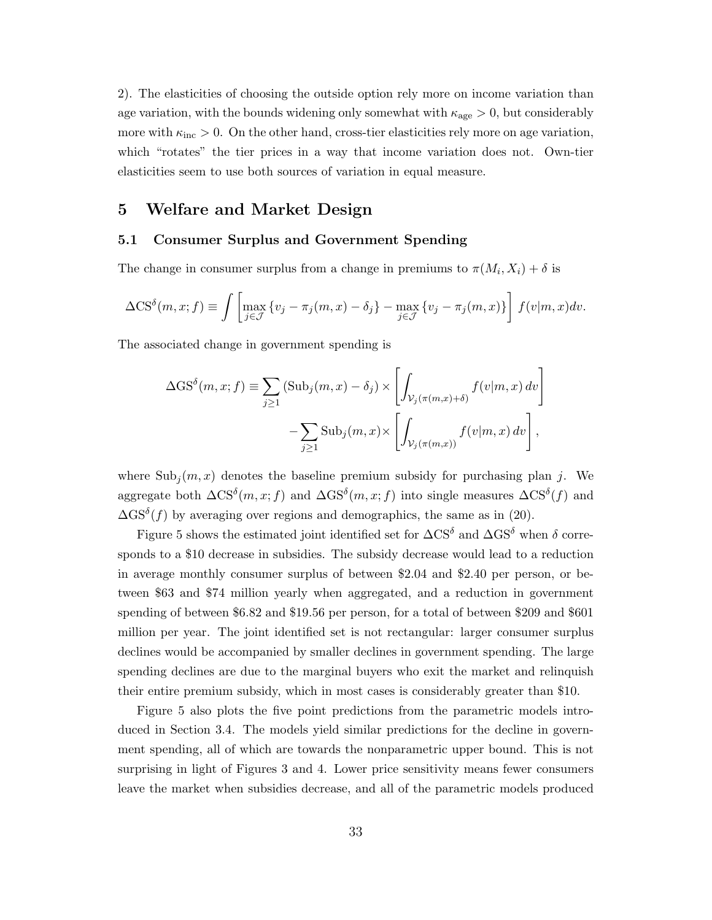[2\)](#page-22-0). The elasticities of choosing the outside option rely more on income variation than age variation, with the bounds widening only somewhat with  $\kappa_{\text{age}} > 0$ , but considerably more with  $\kappa_{\text{inc}} > 0$ . On the other hand, cross-tier elasticities rely more on age variation, which "rotates" the tier prices in a way that income variation does not. Own-tier elasticities seem to use both sources of variation in equal measure.

## <span id="page-34-0"></span>5 Welfare and Market Design

### 5.1 Consumer Surplus and Government Spending

The change in consumer surplus from a change in premiums to  $\pi(M_i, X_i) + \delta$  is

$$
\Delta CS^{\delta}(m, x; f) \equiv \int \left[ \max_{j \in \mathcal{J}} \left\{ v_j - \pi_j(m, x) - \delta_j \right\} - \max_{j \in \mathcal{J}} \left\{ v_j - \pi_j(m, x) \right\} \right] f(v|m, x) dv.
$$

The associated change in government spending is

$$
\Delta GS^{\delta}(m, x; f) \equiv \sum_{j \ge 1} (\text{Sub}_j(m, x) - \delta_j) \times \left[ \int_{\mathcal{V}_j(\pi(m, x) + \delta)} f(v|m, x) dv \right]
$$

$$
- \sum_{j \ge 1} \text{Sub}_j(m, x) \times \left[ \int_{\mathcal{V}_j(\pi(m, x))} f(v|m, x) dv \right],
$$

where  $\text{Sub}_i(m, x)$  denotes the baseline premium subsidy for purchasing plan j. We aggregate both  $\Delta CS^{\delta}(m, x; f)$  and  $\Delta GS^{\delta}(m, x; f)$  into single measures  $\Delta CS^{\delta}(f)$  and  $\Delta$ GS<sup>δ</sup>(f) by averaging over regions and demographics, the same as in [\(20\)](#page-28-2).

Figure [5](#page-35-0) shows the estimated joint identified set for  $\Delta CS^{\delta}$  and  $\Delta GS^{\delta}$  when  $\delta$  corresponds to a \$10 decrease in subsidies. The subsidy decrease would lead to a reduction in average monthly consumer surplus of between \$2.04 and \$2.40 per person, or between \$63 and \$74 million yearly when aggregated, and a reduction in government spending of between \$6.82 and \$19.56 per person, for a total of between \$209 and \$601 million per year. The joint identified set is not rectangular: larger consumer surplus declines would be accompanied by smaller declines in government spending. The large spending declines are due to the marginal buyers who exit the market and relinquish their entire premium subsidy, which in most cases is considerably greater than \$10.

Figure [5](#page-35-0) also plots the five point predictions from the parametric models introduced in Section [3.4.](#page-26-1) The models yield similar predictions for the decline in government spending, all of which are towards the nonparametric upper bound. This is not surprising in light of Figures [3](#page-31-0) and [4.](#page-32-0) Lower price sensitivity means fewer consumers leave the market when subsidies decrease, and all of the parametric models produced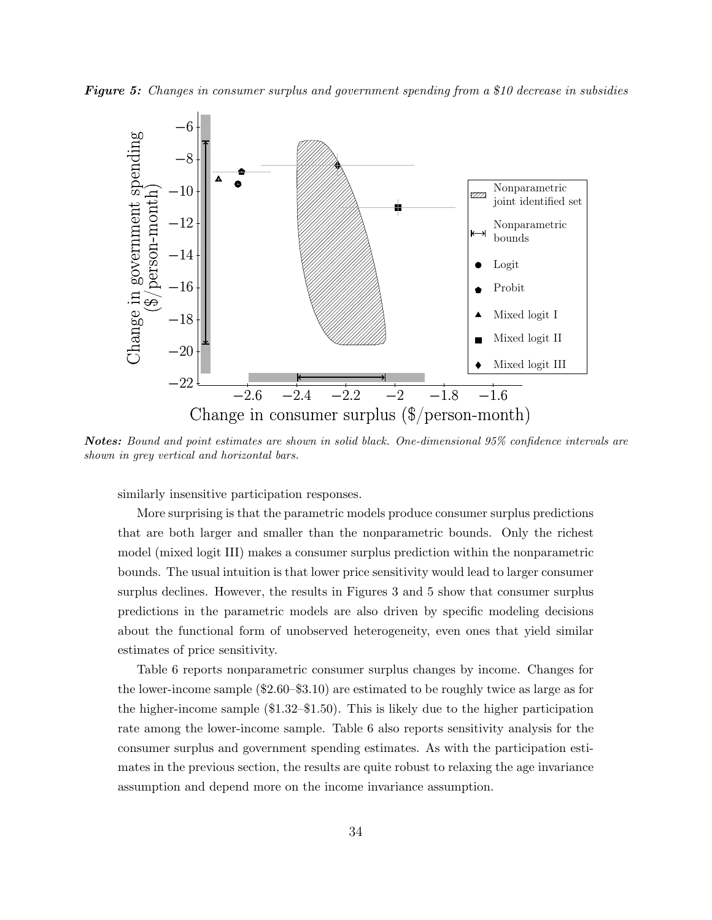<span id="page-35-0"></span>**Figure 5:** Changes in consumer surplus and government spending from a \$10 decrease in subsidies



Notes: Bound and point estimates are shown in solid black. One-dimensional 95% confidence intervals are shown in grey vertical and horizontal bars.

similarly insensitive participation responses.

More surprising is that the parametric models produce consumer surplus predictions that are both larger and smaller than the nonparametric bounds. Only the richest model (mixed logit III) makes a consumer surplus prediction within the nonparametric bounds. The usual intuition is that lower price sensitivity would lead to larger consumer surplus declines. However, the results in Figures [3](#page-31-0) and [5](#page-35-0) show that consumer surplus predictions in the parametric models are also driven by specific modeling decisions about the functional form of unobserved heterogeneity, even ones that yield similar estimates of price sensitivity.

Table [6](#page-36-0) reports nonparametric consumer surplus changes by income. Changes for the lower-income sample (\$2.60–\$3.10) are estimated to be roughly twice as large as for the higher-income sample (\$1.32–\$1.50). This is likely due to the higher participation rate among the lower-income sample. Table [6](#page-36-0) also reports sensitivity analysis for the consumer surplus and government spending estimates. As with the participation estimates in the previous section, the results are quite robust to relaxing the age invariance assumption and depend more on the income invariance assumption.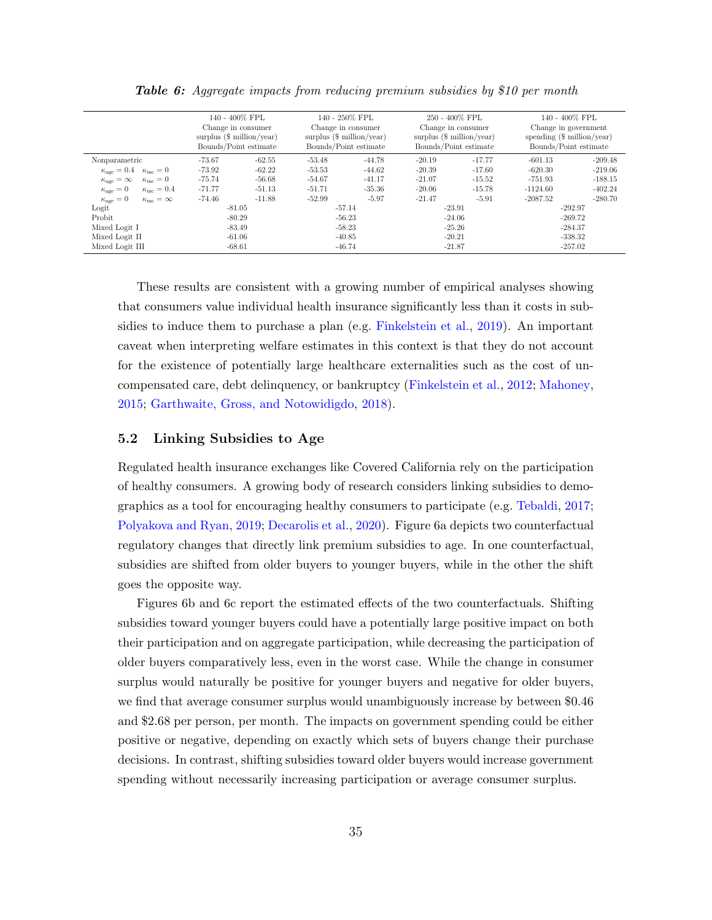<span id="page-36-1"></span><span id="page-36-0"></span>

|                                                     | 140 - 400% FPL     |                                    |                                    | 140 - 250% FPL     |          | 250 - 400% FPL              | 140 - 400% FPL               |           |
|-----------------------------------------------------|--------------------|------------------------------------|------------------------------------|--------------------|----------|-----------------------------|------------------------------|-----------|
|                                                     | Change in consumer |                                    |                                    | Change in consumer |          | Change in consumer          | Change in government         |           |
|                                                     |                    | surplus $(\text{\$ million/year})$ | surplus $(\text{\$ million/year})$ |                    |          | surplus $(\$$ million/year) | spending $(\$$ million/year) |           |
|                                                     |                    | Bounds/Point estimate              | Bounds/Point estimate              |                    |          | Bounds/Point estimate       | Bounds/Point estimate        |           |
| Nonparametric                                       | $-73.67$           | $-62.55$                           | $-53.48$                           | $-44.78$           | $-20.19$ | $-17.77$                    | $-601.13$                    | $-209.48$ |
| $\kappa_{\rm age}=0.4$<br>$\kappa_{\rm inc}=0$      | -73.92             | $-62.22$                           | $-53.53$                           | $-44.62$           | $-20.39$ | $-17.60$                    | $-620.30$                    | $-219.06$ |
| $\kappa_{\rm age}=\infty$<br>$\kappa_{\rm inc} = 0$ | $-75.74$           | $-56.68$                           | $-54.67$                           | $-41.17$           | $-21.07$ | $-15.52$                    | $-751.93$                    | $-188.15$ |
| $\kappa_{\rm age}=0$<br>$\kappa_{\rm inc} = 0.4$    | $-71.77$           | $-51.13$                           | $-51.71$                           | $-35.36$           | $-20.06$ | $-15.78$                    | $-1124.60$                   | $-402.24$ |
| $\kappa_{\rm age}=0$<br>$\kappa_{\rm inc}=\infty$   | $-74.46$           | $-11.88$                           | $-52.99$                           | $-5.97$            | $-21.47$ | $-5.91$                     | $-2087.52$                   | $-280.70$ |
| Logit                                               |                    | $-81.05$                           |                                    | $-57.14$           |          | $-23.91$                    |                              | $-292.97$ |
| Probit                                              |                    | $-80.29$                           |                                    | $-56.23$           |          | $-24.06$                    |                              | $-269.72$ |
| Mixed Logit I                                       |                    | $-83.49$                           |                                    | $-58.23$           |          | $-25.26$                    |                              | $-284.37$ |
| Mixed Logit II                                      | $-61.06$           |                                    | $-40.85$                           |                    | $-20.21$ |                             | $-338.32$                    |           |
| Mixed Logit III                                     |                    | $-68.61$                           |                                    | $-46.74$           |          | $-21.87$                    |                              | $-257.02$ |

**Table 6:** Aggregate impacts from reducing premium subsidies by \$10 per month

These results are consistent with a growing number of empirical analyses showing that consumers value individual health insurance significantly less than it costs in subsidies to induce them to purchase a plan (e.g. [Finkelstein et al.,](#page-43-9) [2019\)](#page-43-9). An important caveat when interpreting welfare estimates in this context is that they do not account for the existence of potentially large healthcare externalities such as the cost of uncompensated care, debt delinquency, or bankruptcy [\(Finkelstein et al.,](#page-43-14) [2012;](#page-43-14) [Mahoney,](#page-44-16) [2015;](#page-44-16) [Garthwaite, Gross, and Notowidigdo,](#page-43-15) [2018\)](#page-43-15).

#### 5.2 Linking Subsidies to Age

Regulated health insurance exchanges like Covered California rely on the participation of healthy consumers. A growing body of research considers linking subsidies to demographics as a tool for encouraging healthy consumers to participate (e.g. [Tebaldi,](#page-46-1) [2017;](#page-46-1) [Polyakova and Ryan,](#page-45-0) [2019;](#page-45-0) [Decarolis et al.,](#page-42-10) [2020\)](#page-42-10). Figure [6a](#page-37-0) depicts two counterfactual regulatory changes that directly link premium subsidies to age. In one counterfactual, subsidies are shifted from older buyers to younger buyers, while in the other the shift goes the opposite way.

Figures [6b](#page-37-0) and [6c](#page-37-0) report the estimated effects of the two counterfactuals. Shifting subsidies toward younger buyers could have a potentially large positive impact on both their participation and on aggregate participation, while decreasing the participation of older buyers comparatively less, even in the worst case. While the change in consumer surplus would naturally be positive for younger buyers and negative for older buyers, we find that average consumer surplus would unambiguously increase by between \$0.46 and \$2.68 per person, per month. The impacts on government spending could be either positive or negative, depending on exactly which sets of buyers change their purchase decisions. In contrast, shifting subsidies toward older buyers would increase government spending without necessarily increasing participation or average consumer surplus.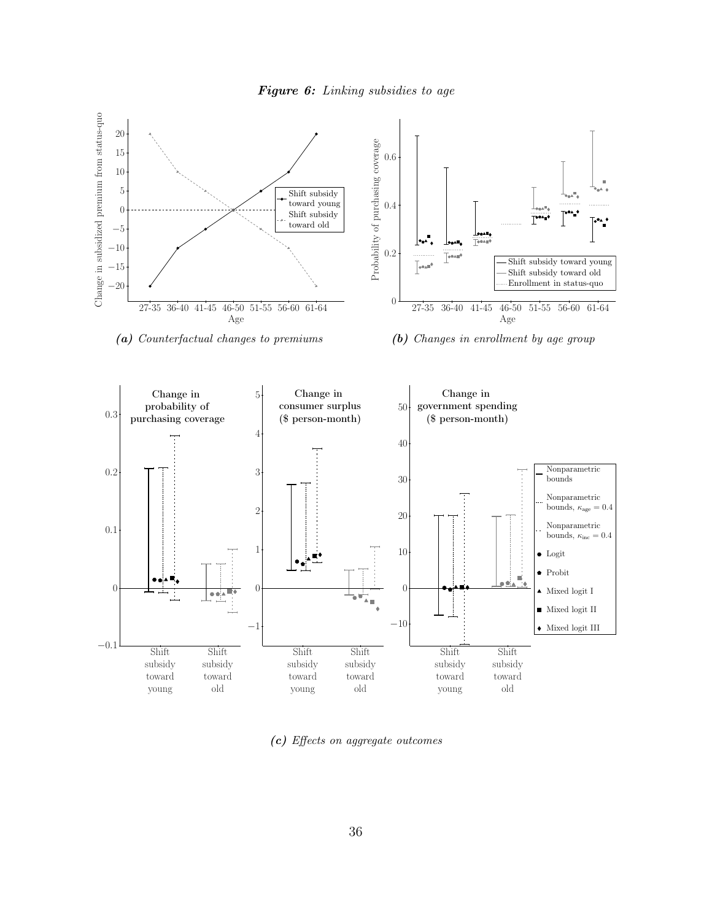

<span id="page-37-0"></span>

(a) Counterfactual changes to premiums

(b) Changes in enrollment by age group



(c) Effects on aggregate outcomes 1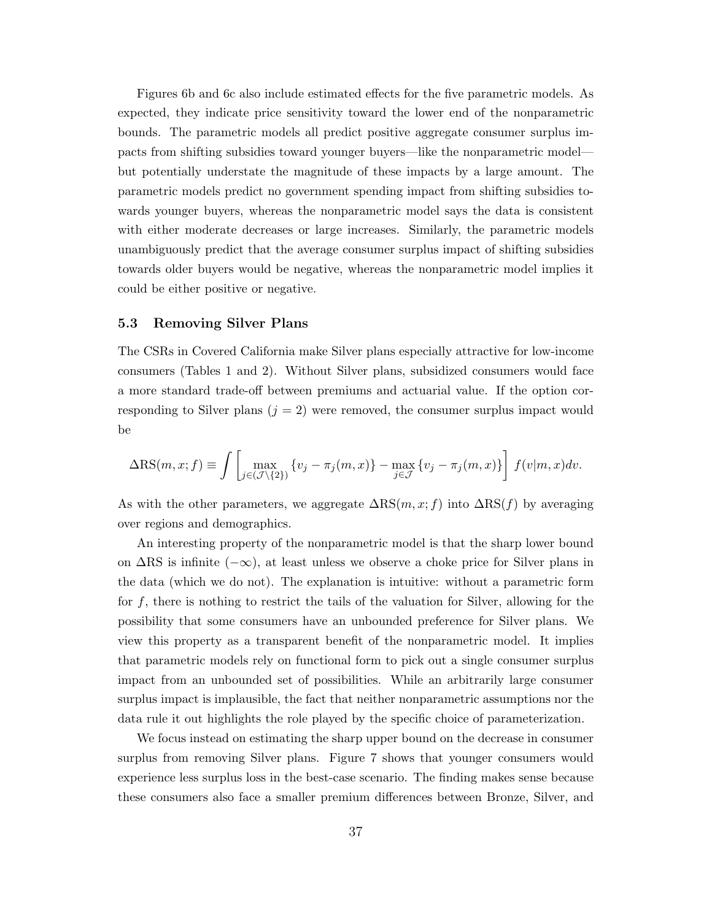Figures [6b](#page-37-0) and [6c](#page-37-0) also include estimated effects for the five parametric models. As expected, they indicate price sensitivity toward the lower end of the nonparametric bounds. The parametric models all predict positive aggregate consumer surplus impacts from shifting subsidies toward younger buyers—like the nonparametric model but potentially understate the magnitude of these impacts by a large amount. The parametric models predict no government spending impact from shifting subsidies towards younger buyers, whereas the nonparametric model says the data is consistent with either moderate decreases or large increases. Similarly, the parametric models unambiguously predict that the average consumer surplus impact of shifting subsidies towards older buyers would be negative, whereas the nonparametric model implies it could be either positive or negative.

#### 5.3 Removing Silver Plans

The CSRs in Covered California make Silver plans especially attractive for low-income consumers (Tables [1](#page-21-1) and [2\)](#page-24-0). Without Silver plans, subsidized consumers would face a more standard trade-off between premiums and actuarial value. If the option corresponding to Silver plans  $(j = 2)$  were removed, the consumer surplus impact would be

$$
\Delta RS(m, x; f) \equiv \int \left[ \max_{j \in (\mathcal{J} \setminus \{2\})} \{v_j - \pi_j(m, x)\} - \max_{j \in \mathcal{J}} \{v_j - \pi_j(m, x)\} \right] f(v|m, x) dv.
$$

As with the other parameters, we aggregate  $\Delta RS(m, x; f)$  into  $\Delta RS(f)$  by averaging over regions and demographics.

An interesting property of the nonparametric model is that the sharp lower bound on  $\Delta$ RS is infinite ( $-\infty$ ), at least unless we observe a choke price for Silver plans in the data (which we do not). The explanation is intuitive: without a parametric form for  $f$ , there is nothing to restrict the tails of the valuation for Silver, allowing for the possibility that some consumers have an unbounded preference for Silver plans. We view this property as a transparent benefit of the nonparametric model. It implies that parametric models rely on functional form to pick out a single consumer surplus impact from an unbounded set of possibilities. While an arbitrarily large consumer surplus impact is implausible, the fact that neither nonparametric assumptions nor the data rule it out highlights the role played by the specific choice of parameterization.

We focus instead on estimating the sharp upper bound on the decrease in consumer surplus from removing Silver plans. Figure [7](#page-39-0) shows that younger consumers would experience less surplus loss in the best-case scenario. The finding makes sense because these consumers also face a smaller premium differences between Bronze, Silver, and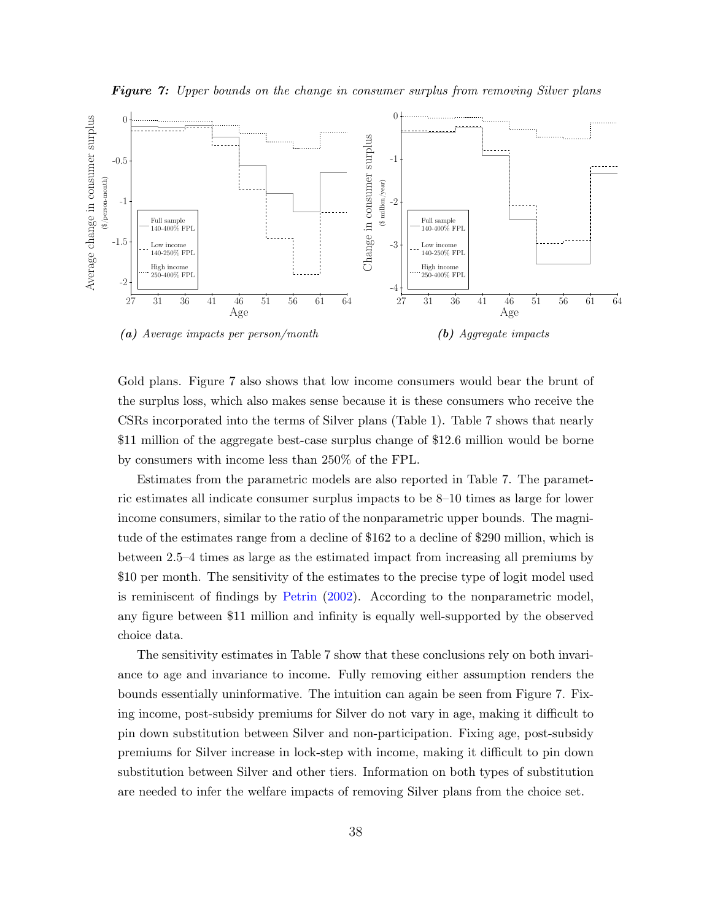<span id="page-39-1"></span><span id="page-39-0"></span>

**Figure 7:** Upper bounds on the change in consumer surplus from removing Silver plans

Gold plans. Figure [7](#page-39-0) also shows that low income consumers would bear the brunt of the surplus loss, which also makes sense because it is these consumers who receive the CSRs incorporated into the terms of Silver plans (Table [1\)](#page-21-1). Table [7](#page-40-2) shows that nearly \$11 million of the aggregate best-case surplus change of \$12.6 million would be borne by consumers with income less than 250% of the FPL.

Estimates from the parametric models are also reported in Table [7.](#page-40-2) The parametric estimates all indicate consumer surplus impacts to be 8–10 times as large for lower income consumers, similar to the ratio of the nonparametric upper bounds. The magnitude of the estimates range from a decline of \$162 to a decline of \$290 million, which is between 2.5–4 times as large as the estimated impact from increasing all premiums by \$10 per month. The sensitivity of the estimates to the precise type of logit model used is reminiscent of findings by [Petrin](#page-45-8) [\(2002\)](#page-45-8). According to the nonparametric model, any figure between \$11 million and infinity is equally well-supported by the observed choice data.

The sensitivity estimates in Table [7](#page-40-2) show that these conclusions rely on both invariance to age and invariance to income. Fully removing either assumption renders the bounds essentially uninformative. The intuition can again be seen from Figure [7.](#page-39-0) Fixing income, post-subsidy premiums for Silver do not vary in age, making it difficult to pin down substitution between Silver and non-participation. Fixing age, post-subsidy premiums for Silver increase in lock-step with income, making it difficult to pin down substitution between Silver and other tiers. Information on both types of substitution are needed to infer the welfare impacts of removing Silver plans from the choice set.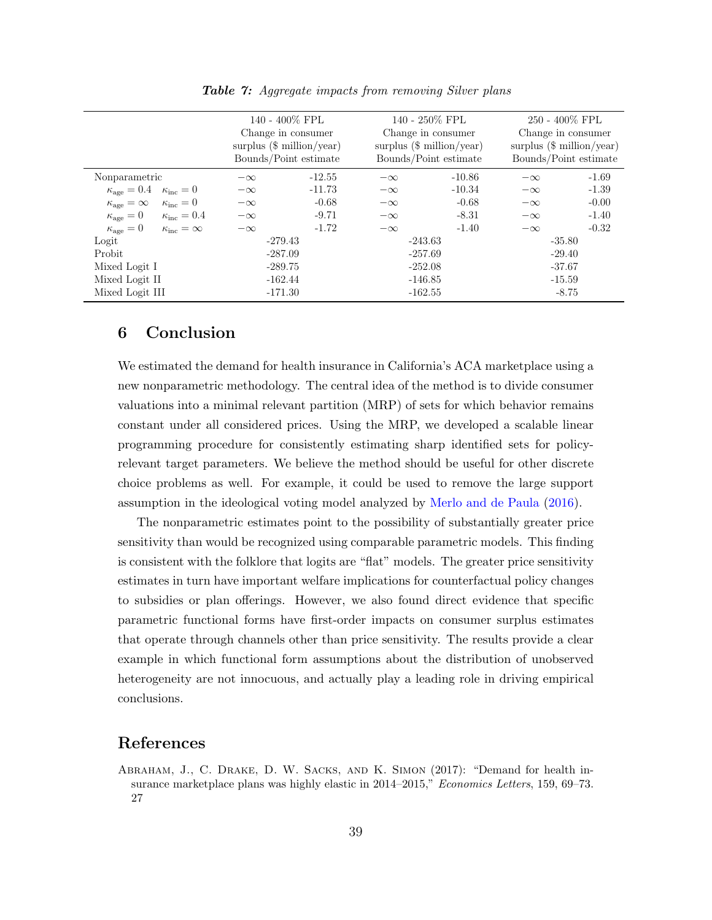<span id="page-40-3"></span><span id="page-40-2"></span>

|                                                     | 140 - 400% FPL<br>Change in consumer<br>surplus $(\$$ million/year)<br>Bounds/Point estimate |          | 140 - 250% FPL<br>Change in consumer<br>surplus $(\$$ million/year)<br>Bounds/Point estimate |           | $250 - 400\%$ FPL<br>Change in consumer<br>surplus $(\$$ million/year)<br>Bounds/Point estimate |         |
|-----------------------------------------------------|----------------------------------------------------------------------------------------------|----------|----------------------------------------------------------------------------------------------|-----------|-------------------------------------------------------------------------------------------------|---------|
| Nonparametric                                       | $-\infty$                                                                                    | $-12.55$ | $-\infty$                                                                                    | $-10.86$  | $-\infty$                                                                                       | $-1.69$ |
| $\kappa_{\rm age}=0.4$<br>$\kappa_{\rm inc} = 0$    | $-\infty$                                                                                    | $-11.73$ | $-\infty$                                                                                    | $-10.34$  | $-\infty$                                                                                       | $-1.39$ |
| $\kappa_{\rm age}=\infty$<br>$\kappa_{\rm inc} = 0$ | $-\infty$                                                                                    | $-0.68$  | $-\infty$                                                                                    | $-0.68$   | $-\infty$                                                                                       | $-0.00$ |
| $\kappa_{\rm age}=0$<br>$\kappa_{\rm inc} = 0.4$    | $-\infty$                                                                                    | $-9.71$  | $-\infty$                                                                                    | $-8.31$   | $-\infty$                                                                                       | $-1.40$ |
| $\kappa_{\rm age}=0$<br>$\kappa_{\rm inc}=\infty$   | $-\infty$                                                                                    | $-1.72$  | $-\infty$                                                                                    | $-1.40$   | $-\infty$                                                                                       | $-0.32$ |
| Logit                                               | -279.43                                                                                      |          | -243.63                                                                                      |           | $-35.80$                                                                                        |         |
| Probit                                              | $-287.09$                                                                                    |          |                                                                                              | $-257.69$ | $-29.40$                                                                                        |         |
| Mixed Logit I                                       | -289.75                                                                                      |          | $-252.08$                                                                                    |           | $-37.67$                                                                                        |         |
| Mixed Logit II                                      | $-162.44$                                                                                    |          | $-146.85$                                                                                    |           | $-15.59$                                                                                        |         |
| Mixed Logit III                                     | $-171.30$                                                                                    |          |                                                                                              | $-162.55$ | $-8.75$                                                                                         |         |

Table 7: Aggregate impacts from removing Silver plans

# <span id="page-40-0"></span>6 Conclusion

We estimated the demand for health insurance in California's ACA marketplace using a new nonparametric methodology. The central idea of the method is to divide consumer valuations into a minimal relevant partition (MRP) of sets for which behavior remains constant under all considered prices. Using the MRP, we developed a scalable linear programming procedure for consistently estimating sharp identified sets for policyrelevant target parameters. We believe the method should be useful for other discrete choice problems as well. For example, it could be used to remove the large support assumption in the ideological voting model analyzed by [Merlo and de Paula](#page-45-16) [\(2016\)](#page-45-16).

The nonparametric estimates point to the possibility of substantially greater price sensitivity than would be recognized using comparable parametric models. This finding is consistent with the folklore that logits are "flat" models. The greater price sensitivity estimates in turn have important welfare implications for counterfactual policy changes to subsidies or plan offerings. However, we also found direct evidence that specific parametric functional forms have first-order impacts on consumer surplus estimates that operate through channels other than price sensitivity. The results provide a clear example in which functional form assumptions about the distribution of unobserved heterogeneity are not innocuous, and actually play a leading role in driving empirical conclusions.

# References

<span id="page-40-1"></span>Abraham, J., C. Drake, D. W. Sacks, and K. Simon (2017): "Demand for health insurance marketplace plans was highly elastic in 2014–2015," Economics Letters, 159, 69–73. [27](#page-28-3)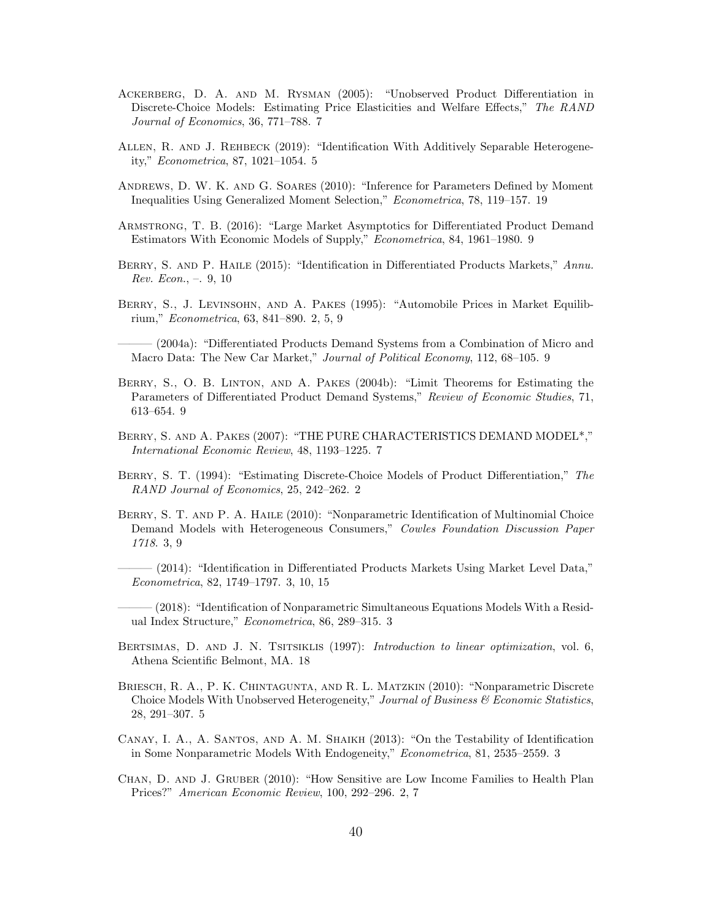- <span id="page-41-9"></span>Ackerberg, D. A. and M. Rysman (2005): "Unobserved Product Differentiation in Discrete-Choice Models: Estimating Price Elasticities and Welfare Effects," The RAND Journal of Economics, 36, 771–788. [7](#page-8-0)
- <span id="page-41-8"></span>ALLEN, R. AND J. REHBECK (2019): "Identification With Additively Separable Heterogeneity," Econometrica, 87, 1021–1054. [5](#page-6-0)
- <span id="page-41-16"></span>ANDREWS, D. W. K. AND G. SOARES (2010): "Inference for Parameters Defined by Moment Inequalities Using Generalized Moment Selection," Econometrica, 78, 119–157. [19](#page-20-1)
- <span id="page-41-13"></span>Armstrong, T. B. (2016): "Large Market Asymptotics for Differentiated Product Demand Estimators With Economic Models of Supply," Econometrica, 84, 1961–1980. [9](#page-10-1)
- <span id="page-41-11"></span>BERRY, S. AND P. HAILE (2015): "Identification in Differentiated Products Markets," Annu. Rev. Econ., –. [9,](#page-10-1) [10](#page-11-3)
- <span id="page-41-2"></span>Berry, S., J. Levinsohn, and A. Pakes (1995): "Automobile Prices in Market Equilibrium," Econometrica, 63, 841–890. [2,](#page-3-1) [5,](#page-6-0) [9](#page-10-1)

<span id="page-41-14"></span>——— (2004a): "Differentiated Products Demand Systems from a Combination of Micro and Macro Data: The New Car Market," Journal of Political Economy, 112, 68–105. [9](#page-10-1)

- <span id="page-41-12"></span>Berry, S., O. B. Linton, and A. Pakes (2004b): "Limit Theorems for Estimating the Parameters of Differentiated Product Demand Systems," Review of Economic Studies, 71, 613–654. [9](#page-10-1)
- <span id="page-41-10"></span>Berry, S. and A. Pakes (2007): "THE PURE CHARACTERISTICS DEMAND MODEL\*," International Economic Review, 48, 1193–1225. [7](#page-8-0)
- <span id="page-41-1"></span>BERRY, S. T. (1994): "Estimating Discrete-Choice Models of Product Differentiation," The RAND Journal of Economics, 25, 242–262. [2](#page-3-1)
- <span id="page-41-3"></span>BERRY, S. T. AND P. A. HAILE (2010): "Nonparametric Identification of Multinomial Choice Demand Models with Heterogeneous Consumers," Cowles Foundation Discussion Paper 1718. [3,](#page-4-2) [9](#page-10-1)
- <span id="page-41-4"></span>– (2014): "Identification in Differentiated Products Markets Using Market Level Data," Econometrica, 82, 1749–1797. [3,](#page-4-2) [10,](#page-11-3) [15](#page-16-0)

<span id="page-41-6"></span> $(2018)$ : "Identification of Nonparametric Simultaneous Equations Models With a Residual Index Structure," Econometrica, 86, 289–315. [3](#page-4-2)

- <span id="page-41-15"></span>BERTSIMAS, D. AND J. N. TSITSIKLIS (1997): Introduction to linear optimization, vol. 6, Athena Scientific Belmont, MA. [18](#page-19-3)
- <span id="page-41-7"></span>Briesch, R. A., P. K. Chintagunta, and R. L. Matzkin (2010): "Nonparametric Discrete Choice Models With Unobserved Heterogeneity," Journal of Business & Economic Statistics, 28, 291–307. [5](#page-6-0)
- <span id="page-41-5"></span>CANAY, I. A., A. SANTOS, AND A. M. SHAIKH (2013): "On the Testability of Identification in Some Nonparametric Models With Endogeneity," Econometrica, 81, 2535–2559. [3](#page-4-2)
- <span id="page-41-0"></span>Chan, D. and J. Gruber (2010): "How Sensitive are Low Income Families to Health Plan Prices?" American Economic Review, 100, 292–296. [2,](#page-3-1) [7](#page-8-0)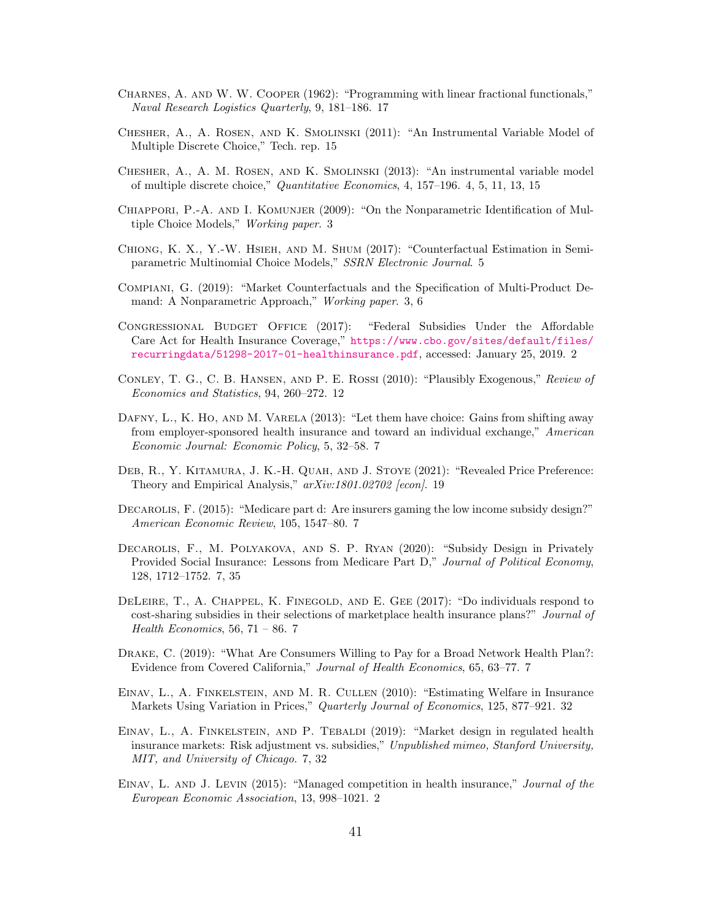- <span id="page-42-14"></span>Charnes, A. and W. W. Cooper (1962): "Programming with linear fractional functionals," Naval Research Logistics Quarterly, 9, 181–186. [17](#page-18-3)
- <span id="page-42-13"></span>Chesher, A., A. Rosen, and K. Smolinski (2011): "An Instrumental Variable Model of Multiple Discrete Choice," Tech. rep. [15](#page-16-0)
- <span id="page-42-4"></span>Chesher, A., A. M. Rosen, and K. Smolinski (2013): "An instrumental variable model of multiple discrete choice," Quantitative Economics, 4, 157–196. [4,](#page-5-0) [5,](#page-6-0) [11,](#page-12-1) [13,](#page-14-1) [15](#page-16-0)
- <span id="page-42-2"></span>Chiappori, P.-A. and I. Komunjer (2009): "On the Nonparametric Identification of Multiple Choice Models," Working paper. [3](#page-4-2)
- <span id="page-42-5"></span>Chiong, K. X., Y.-W. Hsieh, and M. Shum (2017): "Counterfactual Estimation in Semiparametric Multinomial Choice Models," SSRN Electronic Journal. [5](#page-6-0)
- <span id="page-42-3"></span>Compiani, G. (2019): "Market Counterfactuals and the Specification of Multi-Product Demand: A Nonparametric Approach," Working paper. [3,](#page-4-2) [6](#page-7-0)
- <span id="page-42-0"></span>Congressional Budget Office (2017): "Federal Subsidies Under the Affordable Care Act for Health Insurance Coverage," [https://www.cbo.gov/sites/default/files/](https://www.cbo.gov/sites/default/files/recurringdata/51298-2017-01-healthinsurance.pdf) [recurringdata/51298-2017-01-healthinsurance.pdf](https://www.cbo.gov/sites/default/files/recurringdata/51298-2017-01-healthinsurance.pdf), accessed: January 25, 2019. [2](#page-3-1)
- <span id="page-42-12"></span>Conley, T. G., C. B. Hansen, and P. E. Rossi (2010): "Plausibly Exogenous," Review of Economics and Statistics, 94, 260–272. [12](#page-13-3)
- <span id="page-42-11"></span>DAFNY, L., K. HO, AND M. VARELA (2013): "Let them have choice: Gains from shifting away from employer-sponsored health insurance and toward an individual exchange," American Economic Journal: Economic Policy, 5, 32–58. [7](#page-8-0)
- <span id="page-42-15"></span>Deb, R., Y. Kitamura, J. K.-H. Quah, and J. Stoye (2021): "Revealed Price Preference: Theory and Empirical Analysis," arXiv:1801.02702 [econ]. [19](#page-20-1)
- <span id="page-42-8"></span>DECAROLIS, F. (2015): "Medicare part d: Are insurers gaming the low income subsidy design?" American Economic Review, 105, 1547–80. [7](#page-8-0)
- <span id="page-42-10"></span>Decarolis, F., M. Polyakova, and S. P. Ryan (2020): "Subsidy Design in Privately Provided Social Insurance: Lessons from Medicare Part D," Journal of Political Economy, 128, 1712–1752. [7,](#page-8-0) [35](#page-36-1)
- <span id="page-42-6"></span>DELEIRE, T., A. CHAPPEL, K. FINEGOLD, AND E. GEE (2017): "Do individuals respond to cost-sharing subsidies in their selections of marketplace health insurance plans?" Journal of Health Economics, 56, [7](#page-8-0)1 – 86. 7
- <span id="page-42-7"></span>Drake, C. (2019): "What Are Consumers Willing to Pay for a Broad Network Health Plan?: Evidence from Covered California," Journal of Health Economics, 65, 63–77. [7](#page-8-0)
- <span id="page-42-16"></span>Einav, L., A. Finkelstein, and M. R. Cullen (2010): "Estimating Welfare in Insurance Markets Using Variation in Prices," Quarterly Journal of Economics, 125, 877–921. [32](#page-33-2)
- <span id="page-42-9"></span>EINAV, L., A. FINKELSTEIN, AND P. TEBALDI (2019): "Market design in regulated health insurance markets: Risk adjustment vs. subsidies," Unpublished mimeo, Stanford University, MIT, and University of Chicago. [7,](#page-8-0) [32](#page-33-2)
- <span id="page-42-1"></span>EINAV, L. AND J. LEVIN (2015): "Managed competition in health insurance," Journal of the European Economic Association, 13, 998–1021. [2](#page-3-1)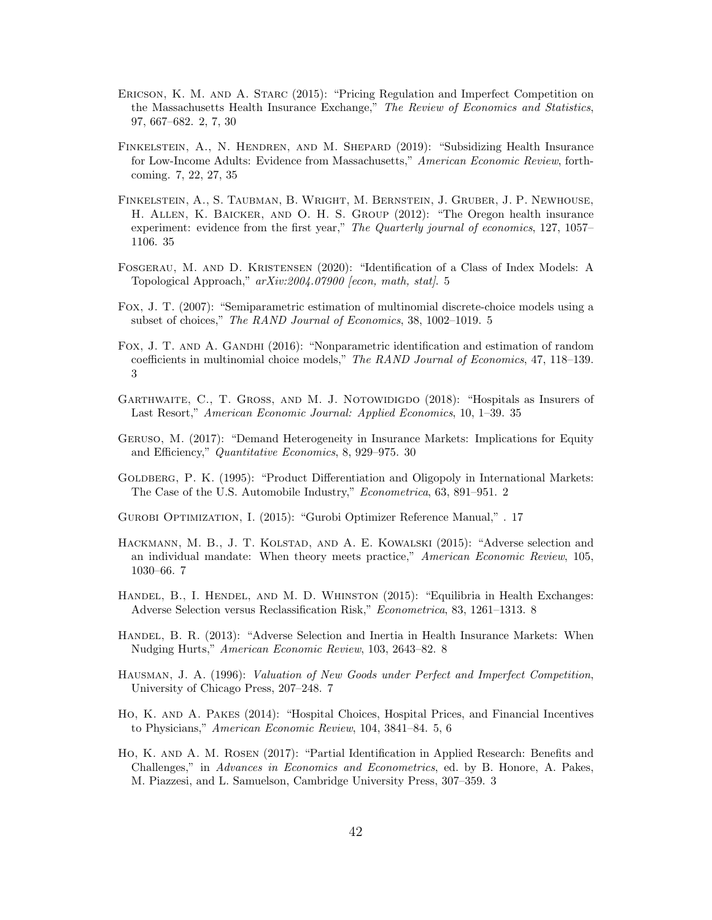- <span id="page-43-0"></span>Ericson, K. M. and A. Starc (2015): "Pricing Regulation and Imperfect Competition on the Massachusetts Health Insurance Exchange," The Review of Economics and Statistics, 97, 667–682. [2,](#page-3-1) [7,](#page-8-0) [30](#page-31-1)
- <span id="page-43-9"></span>Finkelstein, A., N. Hendren, and M. Shepard (2019): "Subsidizing Health Insurance for Low-Income Adults: Evidence from Massachusetts," American Economic Review, forthcoming. [7,](#page-8-0) [22,](#page-23-0) [27,](#page-28-3) [35](#page-36-1)
- <span id="page-43-14"></span>Finkelstein, A., S. Taubman, B. Wright, M. Bernstein, J. Gruber, J. P. Newhouse, H. Allen, K. Baicker, and O. H. S. Group (2012): "The Oregon health insurance experiment: evidence from the first year," The Quarterly journal of economics, 127, 1057– 1106. [35](#page-36-1)
- <span id="page-43-6"></span>Fosgerau, M. and D. Kristensen (2020): "Identification of a Class of Index Models: A Topological Approach,"  $arXiv:2004.07900$  [econ, math, stat]. [5](#page-6-0)
- <span id="page-43-4"></span>Fox, J. T. (2007): "Semiparametric estimation of multinomial discrete-choice models using a subset of choices," The RAND Journal of Economics, 38, 1002–1019. [5](#page-6-0)
- <span id="page-43-2"></span>FOX, J. T. AND A. GANDHI (2016): "Nonparametric identification and estimation of random coefficients in multinomial choice models," The RAND Journal of Economics, 47, 118–139. [3](#page-4-2)
- <span id="page-43-15"></span>GARTHWAITE, C., T. GROSS, AND M. J. NOTOWIDIGDO (2018): "Hospitals as Insurers of Last Resort," American Economic Journal: Applied Economics, 10, 1–39. [35](#page-36-1)
- <span id="page-43-13"></span>Geruso, M. (2017): "Demand Heterogeneity in Insurance Markets: Implications for Equity and Efficiency," Quantitative Economics, 8, 929–975. [30](#page-31-1)
- <span id="page-43-1"></span>GOLDBERG, P. K. (1995): "Product Differentiation and Oligopoly in International Markets: The Case of the U.S. Automobile Industry," Econometrica, 63, 891–951. [2](#page-3-1)
- <span id="page-43-12"></span>Gurobi Optimization, I. (2015): "Gurobi Optimizer Reference Manual," . [17](#page-18-3)
- <span id="page-43-8"></span>Hackmann, M. B., J. T. Kolstad, and A. E. Kowalski (2015): "Adverse selection and an individual mandate: When theory meets practice," American Economic Review, 105, 1030–66. [7](#page-8-0)
- <span id="page-43-11"></span>HANDEL, B., I. HENDEL, AND M. D. WHINSTON (2015): "Equilibria in Health Exchanges: Adverse Selection versus Reclassification Risk," Econometrica, 83, 1261–1313. [8](#page-9-1)
- <span id="page-43-10"></span>HANDEL, B. R. (2013): "Adverse Selection and Inertia in Health Insurance Markets: When Nudging Hurts," American Economic Review, 103, 2643–82. [8](#page-9-1)
- <span id="page-43-7"></span>Hausman, J. A. (1996): Valuation of New Goods under Perfect and Imperfect Competition, University of Chicago Press, 207–248. [7](#page-8-0)
- <span id="page-43-5"></span>Ho, K. and A. Pakes (2014): "Hospital Choices, Hospital Prices, and Financial Incentives to Physicians," American Economic Review, 104, 3841–84. [5,](#page-6-0) [6](#page-7-0)
- <span id="page-43-3"></span>Ho, K. and A. M. Rosen (2017): "Partial Identification in Applied Research: Benefits and Challenges," in Advances in Economics and Econometrics, ed. by B. Honore, A. Pakes, M. Piazzesi, and L. Samuelson, Cambridge University Press, 307–359. [3](#page-4-2)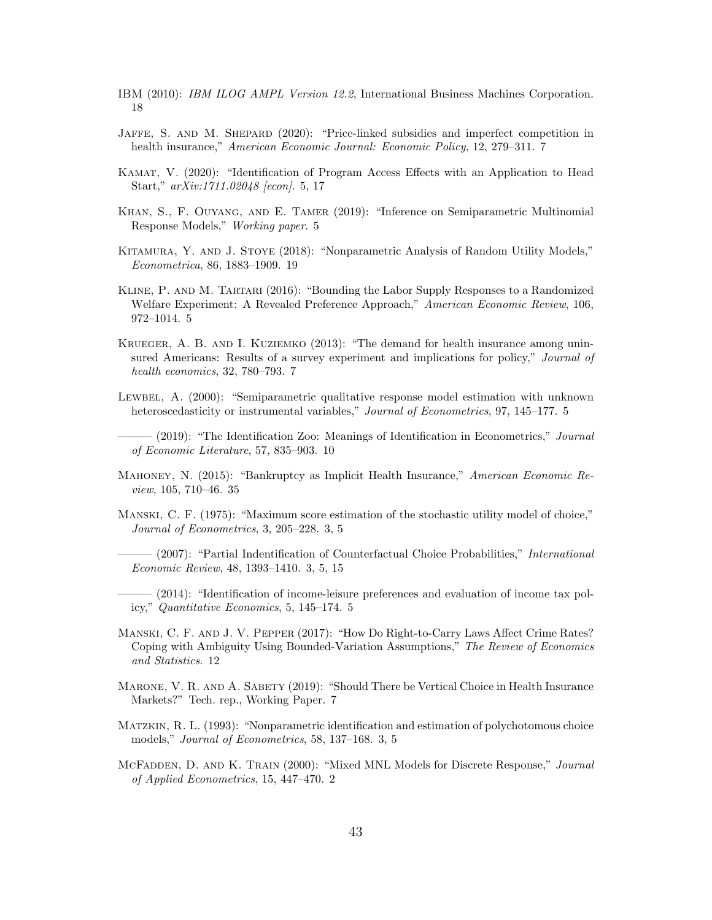- <span id="page-44-14"></span>IBM (2010): IBM ILOG AMPL Version 12.2, International Business Machines Corporation. [18](#page-19-3)
- <span id="page-44-10"></span>Jaffe, S. and M. Shepard (2020): "Price-linked subsidies and imperfect competition in health insurance," American Economic Journal: Economic Policy, 12, 279–311. [7](#page-8-0)
- <span id="page-44-8"></span>Kamat, V. (2020): "Identification of Program Access Effects with an Application to Head Start," arXiv:1711.02048 [econ]. [5,](#page-6-0) [17](#page-18-3)
- <span id="page-44-5"></span>Khan, S., F. Ouyang, and E. Tamer (2019): "Inference on Semiparametric Multinomial Response Models," Working paper. [5](#page-6-0)
- <span id="page-44-15"></span>Kitamura, Y. and J. Stoye (2018): "Nonparametric Analysis of Random Utility Models," Econometrica, 86, 1883–1909. [19](#page-20-1)
- <span id="page-44-7"></span>Kline, P. and M. Tartari (2016): "Bounding the Labor Supply Responses to a Randomized Welfare Experiment: A Revealed Preference Approach," American Economic Review, 106, 972–1014. [5](#page-6-0)
- <span id="page-44-9"></span>Krueger, A. B. and I. Kuziemko (2013): "The demand for health insurance among uninsured Americans: Results of a survey experiment and implications for policy," Journal of health economics, 32, 780–793. [7](#page-8-0)
- <span id="page-44-4"></span>LEWBEL, A. (2000): "Semiparametric qualitative response model estimation with unknown heteroscedasticity or instrumental variables," Journal of Econometrics, 97, 145–177. [5](#page-6-0)
- <span id="page-44-12"></span> $-(2019)$ : "The Identification Zoo: Meanings of Identification in Econometrics," Journal of Economic Literature, 57, 835–903. [10](#page-11-3)
- <span id="page-44-16"></span>Mahoney, N. (2015): "Bankruptcy as Implicit Health Insurance," American Economic Review, 105, 710–46. [35](#page-36-1)
- <span id="page-44-3"></span><span id="page-44-1"></span>Manski, C. F. (1975): "Maximum score estimation of the stochastic utility model of choice," Journal of Econometrics, 3, 205–228. [3,](#page-4-2) [5](#page-6-0)
	- (2007): "Partial Indentification of Counterfactual Choice Probabilities," *International* Economic Review, 48, 1393–1410. [3,](#page-4-2) [5,](#page-6-0) [15](#page-16-0)
	- $-(2014)$ : "Identification of income-leisure preferences and evaluation of income tax policy," Quantitative Economics, 5, 145–174. [5](#page-6-0)
- <span id="page-44-13"></span><span id="page-44-6"></span>Manski, C. F. and J. V. Pepper (2017): "How Do Right-to-Carry Laws Affect Crime Rates? Coping with Ambiguity Using Bounded-Variation Assumptions," The Review of Economics and Statistics. [12](#page-13-3)
- <span id="page-44-11"></span>Marone, V. R. and A. Sabety (2019): "Should There be Vertical Choice in Health Insurance Markets?" Tech. rep., Working Paper. [7](#page-8-0)
- <span id="page-44-2"></span>Matzkin, R. L. (1993): "Nonparametric identification and estimation of polychotomous choice models," Journal of Econometrics, 58, 137–168. [3,](#page-4-2) [5](#page-6-0)
- <span id="page-44-0"></span>McFadden, D. and K. Train (2000): "Mixed MNL Models for Discrete Response," Journal of Applied Econometrics, 15, 447–470. [2](#page-3-1)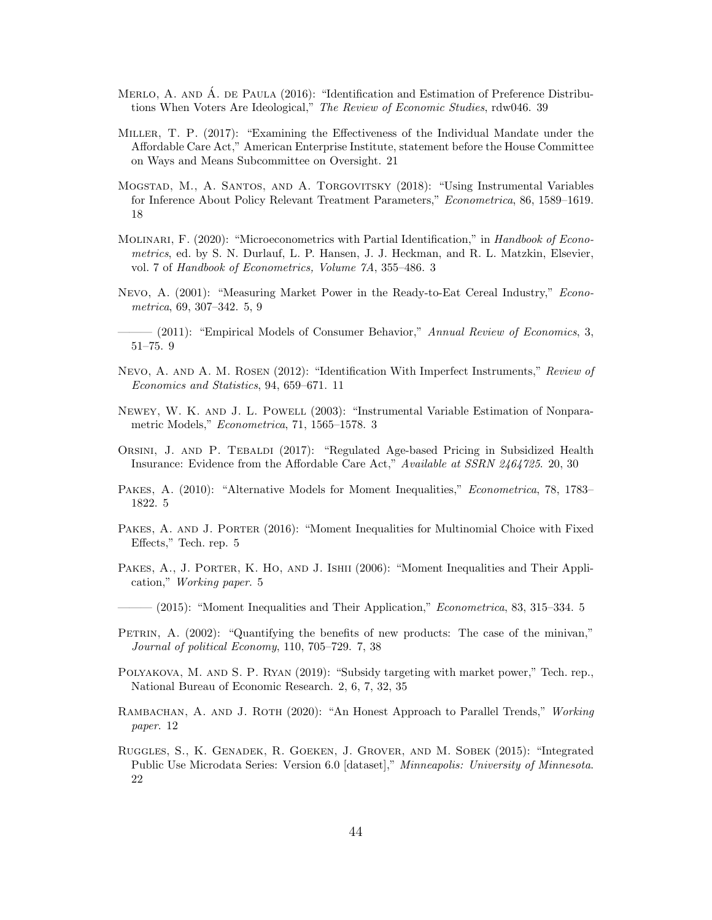- <span id="page-45-16"></span>MERLO, A. AND Á. DE PAULA (2016): "Identification and Estimation of Preference Distributions When Voters Are Ideological," The Review of Economic Studies, rdw046. [39](#page-40-3)
- <span id="page-45-14"></span>Miller, T. P. (2017): "Examining the Effectiveness of the Individual Mandate under the Affordable Care Act," American Enterprise Institute, statement before the House Committee on Ways and Means Subcommittee on Oversight. [21](#page-22-1)
- <span id="page-45-12"></span>Mogstad, M., A. Santos, and A. Torgovitsky (2018): "Using Instrumental Variables for Inference About Policy Relevant Treatment Parameters," Econometrica, 86, 1589–1619. [18](#page-19-3)
- <span id="page-45-2"></span>MOLINARI, F. (2020): "Microeconometrics with Partial Identification," in *Handbook of Econo*metrics, ed. by S. N. Durlauf, L. P. Hansen, J. J. Heckman, and R. L. Matzkin, Elsevier, vol. 7 of Handbook of Econometrics, Volume 7A, 355–486. [3](#page-4-2)
- <span id="page-45-7"></span>Nevo, A. (2001): "Measuring Market Power in the Ready-to-Eat Cereal Industry," Econometrica, 69, 307–342. [5,](#page-6-0) [9](#page-10-1)

<span id="page-45-9"></span> $-$  (2011): "Empirical Models of Consumer Behavior," Annual Review of Economics, 3, 51–75. [9](#page-10-1)

- <span id="page-45-10"></span>Nevo, A. and A. M. Rosen (2012): "Identification With Imperfect Instruments," Review of Economics and Statistics, 94, 659–671. [11](#page-12-1)
- <span id="page-45-1"></span>Newey, W. K. and J. L. Powell (2003): "Instrumental Variable Estimation of Nonparametric Models," Econometrica, 71, 1565–1578. [3](#page-4-2)
- <span id="page-45-13"></span>Orsini, J. and P. Tebaldi (2017): "Regulated Age-based Pricing in Subsidized Health Insurance: Evidence from the Affordable Care Act," Available at SSRN 2464725. [20,](#page-21-2) [30](#page-31-1)
- <span id="page-45-3"></span>PAKES, A. (2010): "Alternative Models for Moment Inequalities," *Econometrica*, 78, 1783– 1822. [5](#page-6-0)
- <span id="page-45-6"></span>PAKES, A. AND J. PORTER (2016): "Moment Inequalities for Multinomial Choice with Fixed Effects," Tech. rep. [5](#page-6-0)
- <span id="page-45-4"></span>PAKES, A., J. PORTER, K. HO, AND J. ISHII (2006): "Moment Inequalities and Their Application," Working paper. [5](#page-6-0)

<span id="page-45-5"></span> $-$  (2015): "Moment Inequalities and Their Application," *Econometrica*, 83, 315–334. [5](#page-6-0)

- <span id="page-45-8"></span>PETRIN, A. (2002): "Quantifying the benefits of new products: The case of the minivan," Journal of political Economy, 110, 705–729. [7,](#page-8-0) [38](#page-39-1)
- <span id="page-45-0"></span>POLYAKOVA, M. AND S. P. RYAN (2019): "Subsidy targeting with market power," Tech. rep., National Bureau of Economic Research. [2,](#page-3-1) [6,](#page-7-0) [7,](#page-8-0) [32,](#page-33-2) [35](#page-36-1)
- <span id="page-45-11"></span>RAMBACHAN, A. AND J. ROTH (2020): "An Honest Approach to Parallel Trends," Working paper. [12](#page-13-3)
- <span id="page-45-15"></span>Ruggles, S., K. Genadek, R. Goeken, J. Grover, and M. Sobek (2015): "Integrated Public Use Microdata Series: Version 6.0 [dataset]," Minneapolis: University of Minnesota. [22](#page-23-0)